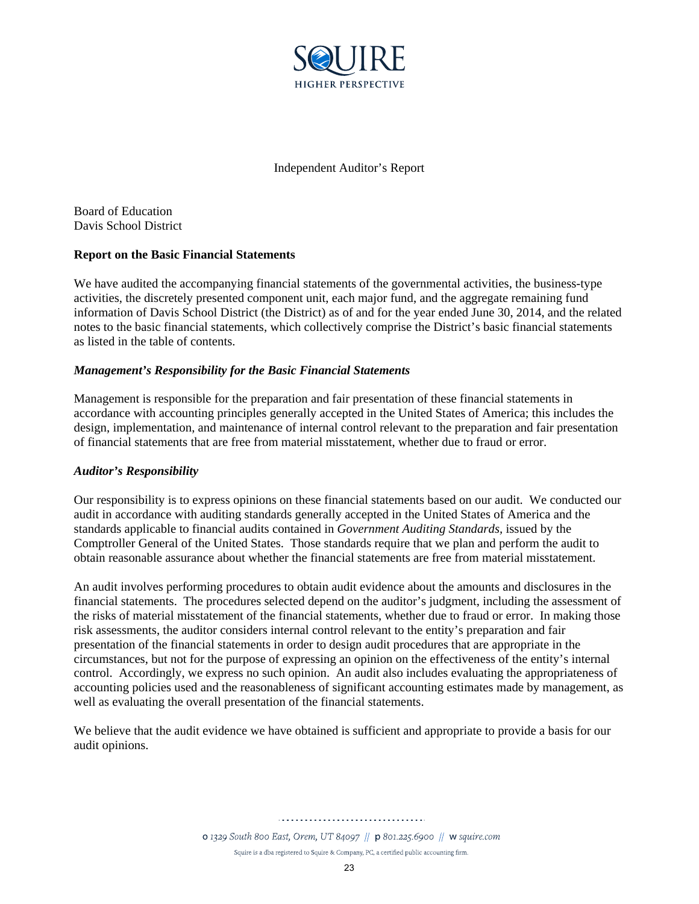

Independent Auditor's Report

Board of Education Davis School District

#### **Report on the Basic Financial Statements**

We have audited the accompanying financial statements of the governmental activities, the business-type activities, the discretely presented component unit, each major fund, and the aggregate remaining fund information of Davis School District (the District) as of and for the year ended June 30, 2014, and the related notes to the basic financial statements, which collectively comprise the District's basic financial statements as listed in the table of contents.

#### *Management's Responsibility for the Basic Financial Statements*

Management is responsible for the preparation and fair presentation of these financial statements in accordance with accounting principles generally accepted in the United States of America; this includes the design, implementation, and maintenance of internal control relevant to the preparation and fair presentation of financial statements that are free from material misstatement, whether due to fraud or error.

#### *Auditor's Responsibility*

Our responsibility is to express opinions on these financial statements based on our audit. We conducted our audit in accordance with auditing standards generally accepted in the United States of America and the standards applicable to financial audits contained in *Government Auditing Standards,* issued by the Comptroller General of the United States. Those standards require that we plan and perform the audit to obtain reasonable assurance about whether the financial statements are free from material misstatement.

An audit involves performing procedures to obtain audit evidence about the amounts and disclosures in the financial statements. The procedures selected depend on the auditor's judgment, including the assessment of the risks of material misstatement of the financial statements, whether due to fraud or error. In making those risk assessments, the auditor considers internal control relevant to the entity's preparation and fair presentation of the financial statements in order to design audit procedures that are appropriate in the circumstances, but not for the purpose of expressing an opinion on the effectiveness of the entity's internal control. Accordingly, we express no such opinion. An audit also includes evaluating the appropriateness of accounting policies used and the reasonableness of significant accounting estimates made by management, as well as evaluating the overall presentation of the financial statements.

We believe that the audit evidence we have obtained is sufficient and appropriate to provide a basis for our audit opinions.

> **o** 1329 South 800 East, Orem, UT 84097 || **p** 801.225.6900 || **w** squire.com Squire is a dba registered to Squire & Company, PC, a certified public accounting firm.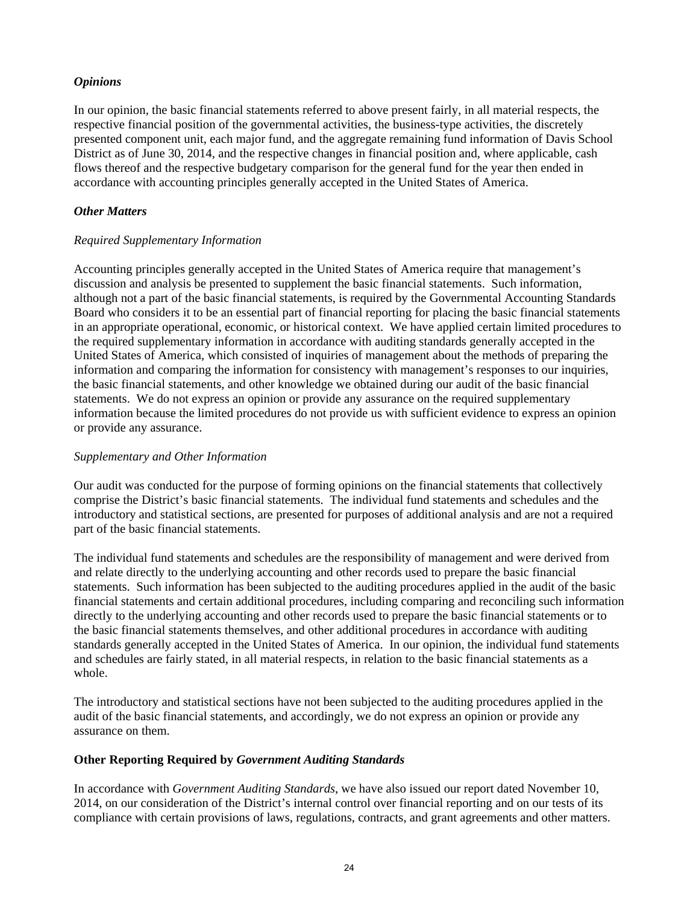#### *Opinions*

In our opinion, the basic financial statements referred to above present fairly, in all material respects, the respective financial position of the governmental activities, the business-type activities, the discretely presented component unit, each major fund, and the aggregate remaining fund information of Davis School District as of June 30, 2014, and the respective changes in financial position and, where applicable, cash flows thereof and the respective budgetary comparison for the general fund for the year then ended in accordance with accounting principles generally accepted in the United States of America.

#### *Other Matters*

#### *Required Supplementary Information*

Accounting principles generally accepted in the United States of America require that management's discussion and analysis be presented to supplement the basic financial statements. Such information, although not a part of the basic financial statements, is required by the Governmental Accounting Standards Board who considers it to be an essential part of financial reporting for placing the basic financial statements in an appropriate operational, economic, or historical context. We have applied certain limited procedures to the required supplementary information in accordance with auditing standards generally accepted in the United States of America, which consisted of inquiries of management about the methods of preparing the information and comparing the information for consistency with management's responses to our inquiries, the basic financial statements, and other knowledge we obtained during our audit of the basic financial statements. We do not express an opinion or provide any assurance on the required supplementary information because the limited procedures do not provide us with sufficient evidence to express an opinion or provide any assurance.

#### *Supplementary and Other Information*

Our audit was conducted for the purpose of forming opinions on the financial statements that collectively comprise the District's basic financial statements. The individual fund statements and schedules and the introductory and statistical sections, are presented for purposes of additional analysis and are not a required part of the basic financial statements.

The individual fund statements and schedules are the responsibility of management and were derived from and relate directly to the underlying accounting and other records used to prepare the basic financial statements. Such information has been subjected to the auditing procedures applied in the audit of the basic financial statements and certain additional procedures, including comparing and reconciling such information directly to the underlying accounting and other records used to prepare the basic financial statements or to the basic financial statements themselves, and other additional procedures in accordance with auditing standards generally accepted in the United States of America. In our opinion, the individual fund statements and schedules are fairly stated, in all material respects, in relation to the basic financial statements as a whole.

The introductory and statistical sections have not been subjected to the auditing procedures applied in the audit of the basic financial statements, and accordingly, we do not express an opinion or provide any assurance on them.

#### **Other Reporting Required by** *Government Auditing Standards*

In accordance with *Government Auditing Standards*, we have also issued our report dated November 10, 2014, on our consideration of the District's internal control over financial reporting and on our tests of its compliance with certain provisions of laws, regulations, contracts, and grant agreements and other matters.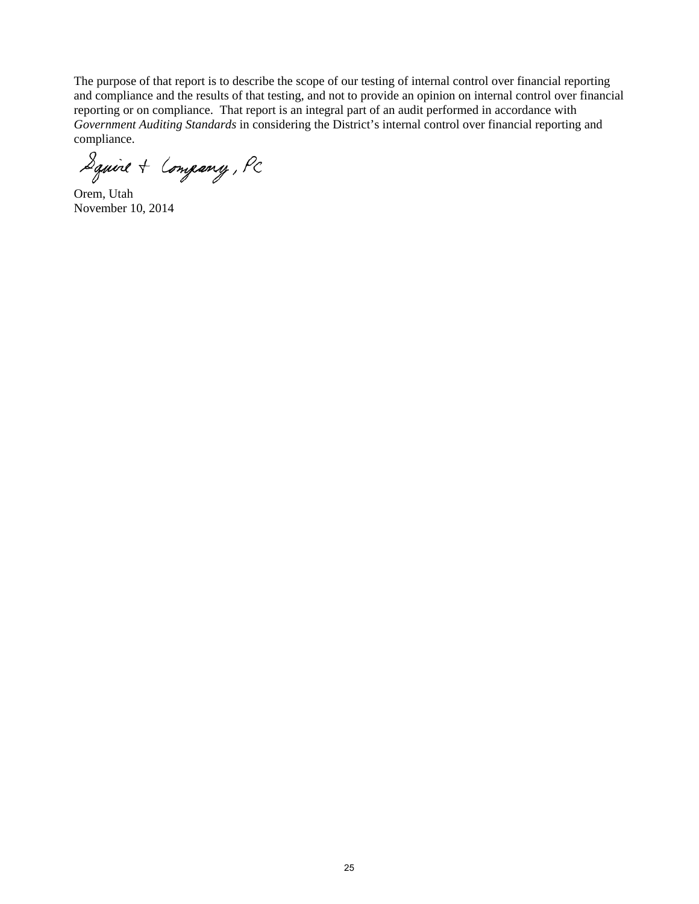The purpose of that report is to describe the scope of our testing of internal control over financial reporting and compliance and the results of that testing, and not to provide an opinion on internal control over financial reporting or on compliance. That report is an integral part of an audit performed in accordance with *Government Auditing Standards* in considering the District's internal control over financial reporting and compliance.

Squire + Company, PC

Orem, Utah November 10, 2014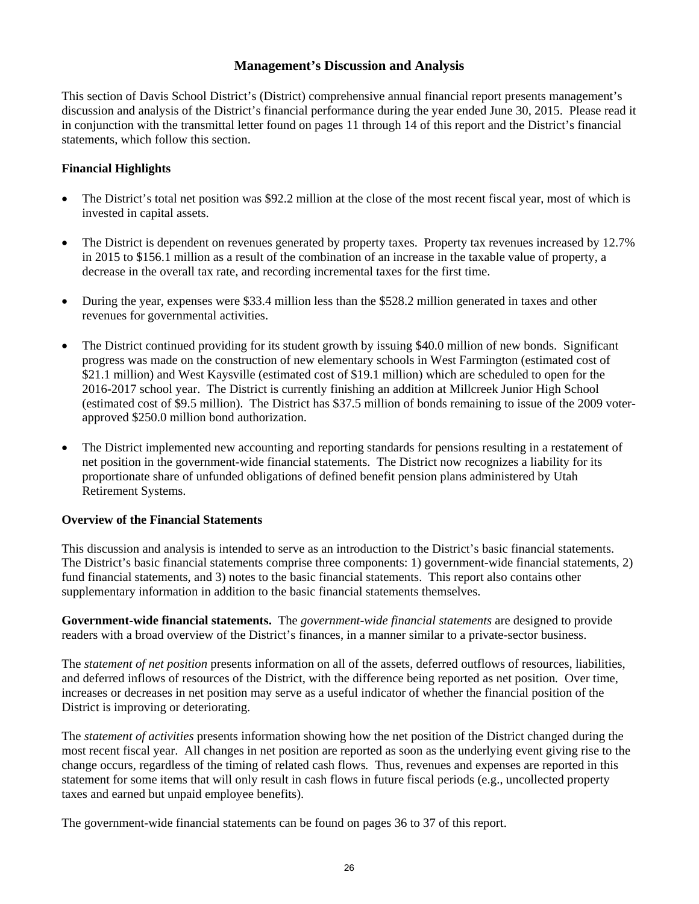#### **Management's Discussion and Analysis**

This section of Davis School District's (District) comprehensive annual financial report presents management's discussion and analysis of the District's financial performance during the year ended June 30, 2015. Please read it in conjunction with the transmittal letter found on pages 11 through 14 of this report and the District's financial statements, which follow this section.

#### **Financial Highlights**

- The District's total net position was \$92.2 million at the close of the most recent fiscal year, most of which is invested in capital assets.
- The District is dependent on revenues generated by property taxes. Property tax revenues increased by 12.7% in 2015 to \$156.1 million as a result of the combination of an increase in the taxable value of property, a decrease in the overall tax rate, and recording incremental taxes for the first time.
- During the year, expenses were \$33.4 million less than the \$528.2 million generated in taxes and other revenues for governmental activities.
- The District continued providing for its student growth by issuing \$40.0 million of new bonds. Significant progress was made on the construction of new elementary schools in West Farmington (estimated cost of \$21.1 million) and West Kaysville (estimated cost of \$19.1 million) which are scheduled to open for the 2016-2017 school year. The District is currently finishing an addition at Millcreek Junior High School (estimated cost of \$9.5 million). The District has \$37.5 million of bonds remaining to issue of the 2009 voterapproved \$250.0 million bond authorization.
- The District implemented new accounting and reporting standards for pensions resulting in a restatement of net position in the government-wide financial statements. The District now recognizes a liability for its proportionate share of unfunded obligations of defined benefit pension plans administered by Utah Retirement Systems.

#### **Overview of the Financial Statements**

This discussion and analysis is intended to serve as an introduction to the District's basic financial statements. The District's basic financial statements comprise three components: 1) government-wide financial statements, 2) fund financial statements, and 3) notes to the basic financial statements. This report also contains other supplementary information in addition to the basic financial statements themselves.

**Government-wide financial statements.** The *government-wide financial statements* are designed to provide readers with a broad overview of the District's finances, in a manner similar to a private-sector business.

The *statement of net position* presents information on all of the assets, deferred outflows of resources, liabilities, and deferred inflows of resources of the District, with the difference being reported as net position*.* Over time, increases or decreases in net position may serve as a useful indicator of whether the financial position of the District is improving or deteriorating.

The *statement of activities* presents information showing how the net position of the District changed during the most recent fiscal year. All changes in net position are reported as soon as the underlying event giving rise to the change occurs, regardless of the timing of related cash flows*.* Thus, revenues and expenses are reported in this statement for some items that will only result in cash flows in future fiscal periods (e.g., uncollected property taxes and earned but unpaid employee benefits).

The government-wide financial statements can be found on pages 36 to 37 of this report.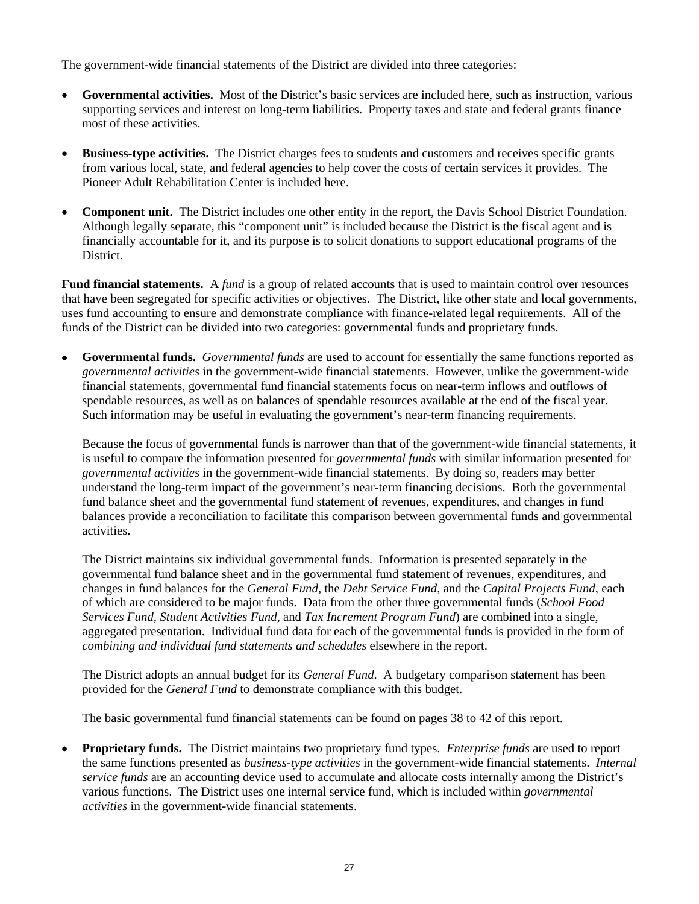The government-wide financial statements of the District are divided into three categories:

- **Governmental activities.** Most of the District's basic services are included here, such as instruction, various supporting services and interest on long-term liabilities. Property taxes and state and federal grants finance most of these activities.
- **Business-type activities.** The District charges fees to students and customers and receives specific grants from various local, state, and federal agencies to help cover the costs of certain services it provides. The Pioneer Adult Rehabilitation Center is included here.
- **Component unit.** The District includes one other entity in the report, the Davis School District Foundation. Although legally separate, this "component unit" is included because the District is the fiscal agent and is financially accountable for it, and its purpose is to solicit donations to support educational programs of the District.

**Fund financial statements.** A *fund* is a group of related accounts that is used to maintain control over resources that have been segregated for specific activities or objectives. The District, like other state and local governments, uses fund accounting to ensure and demonstrate compliance with finance-related legal requirements. All of the funds of the District can be divided into two categories: governmental funds and proprietary funds.

 **Governmental funds.** *Governmental funds* are used to account for essentially the same functions reported as *governmental activities* in the government-wide financial statements. However, unlike the government-wide financial statements, governmental fund financial statements focus on near-term inflows and outflows of spendable resources, as well as on balances of spendable resources available at the end of the fiscal year. Such information may be useful in evaluating the government's near-term financing requirements.

Because the focus of governmental funds is narrower than that of the government-wide financial statements, it is useful to compare the information presented for *governmental funds* with similar information presented for *governmental activities* in the government-wide financial statements. By doing so, readers may better understand the long-term impact of the government's near-term financing decisions. Both the governmental fund balance sheet and the governmental fund statement of revenues, expenditures, and changes in fund balances provide a reconciliation to facilitate this comparison between governmental funds and governmental activities.

The District maintains six individual governmental funds. Information is presented separately in the governmental fund balance sheet and in the governmental fund statement of revenues, expenditures, and changes in fund balances for the *General Fund*, the *Debt Service Fund*, and the *Capital Projects Fund*, each of which are considered to be major funds. Data from the other three governmental funds (*School Food Services Fund, Student Activities Fund,* and *Tax Increment Program Fund*) are combined into a single, aggregated presentation. Individual fund data for each of the governmental funds is provided in the form of *combining and individual fund statements and schedules* elsewhere in the report.

The District adopts an annual budget for its *General Fund*. A budgetary comparison statement has been provided for the *General Fund* to demonstrate compliance with this budget.

The basic governmental fund financial statements can be found on pages 38 to 42 of this report.

 **Proprietary funds.** The District maintains two proprietary fund types. *Enterprise funds* are used to report the same functions presented as *business-type activities* in the government-wide financial statements. *Internal service funds* are an accounting device used to accumulate and allocate costs internally among the District's various functions. The District uses one internal service fund, which is included within *governmental activities* in the government-wide financial statements.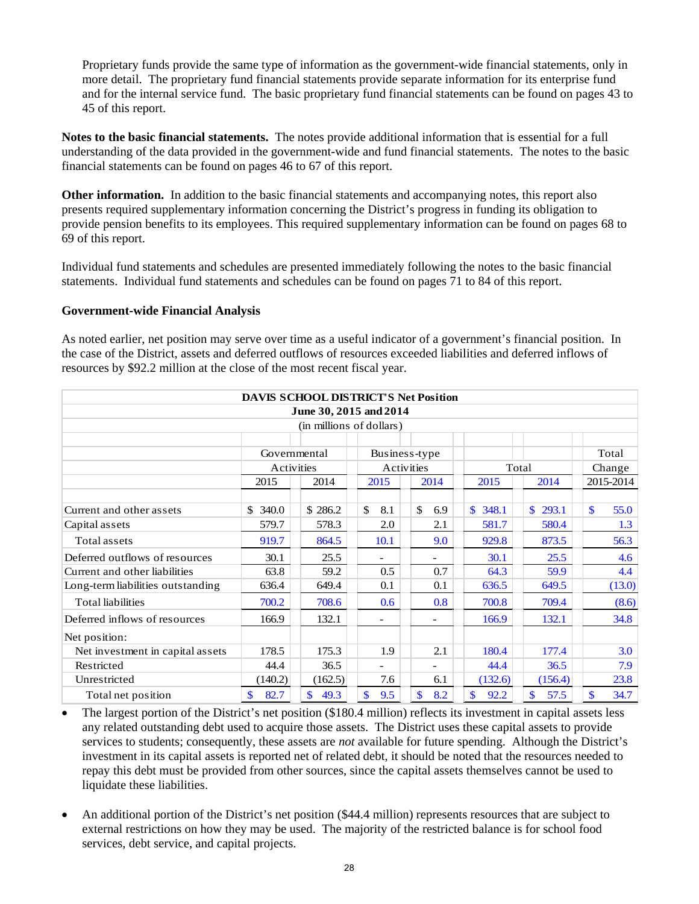Proprietary funds provide the same type of information as the government-wide financial statements, only in more detail. The proprietary fund financial statements provide separate information for its enterprise fund and for the internal service fund. The basic proprietary fund financial statements can be found on pages 43 to 45 of this report.

**Notes to the basic financial statements.** The notes provide additional information that is essential for a full understanding of the data provided in the government-wide and fund financial statements. The notes to the basic financial statements can be found on pages 46 to 67 of this report.

**Other information.** In addition to the basic financial statements and accompanying notes, this report also presents required supplementary information concerning the District's progress in funding its obligation to provide pension benefits to its employees. This required supplementary information can be found on pages 68 to 69 of this report.

Individual fund statements and schedules are presented immediately following the notes to the basic financial statements. Individual fund statements and schedules can be found on pages 71 to 84 of this report.

#### **Government-wide Financial Analysis**

As noted earlier, net position may serve over time as a useful indicator of a government's financial position. In the case of the District, assets and deferred outflows of resources exceeded liabilities and deferred inflows of resources by \$92.2 million at the close of the most recent fiscal year.

|                                   | <b>DAVIS SCHOOL DISTRICT'S Net Position</b> |                        |                          |                          |                       |                       |                      |  |  |  |  |  |
|-----------------------------------|---------------------------------------------|------------------------|--------------------------|--------------------------|-----------------------|-----------------------|----------------------|--|--|--|--|--|
|                                   |                                             | June 30, 2015 and 2014 |                          |                          |                       |                       |                      |  |  |  |  |  |
| (in millions of dollars)          |                                             |                        |                          |                          |                       |                       |                      |  |  |  |  |  |
|                                   |                                             |                        |                          |                          |                       |                       |                      |  |  |  |  |  |
|                                   | Governmental                                |                        |                          | Business-type            |                       |                       | Total                |  |  |  |  |  |
|                                   | Activities                                  |                        |                          | Activities               | Total                 | Change                |                      |  |  |  |  |  |
|                                   | 2015                                        | 2014                   | 2015                     | 2014                     | 2015                  | 2014                  | 2015-2014            |  |  |  |  |  |
| Current and other assets          | 340.0<br>\$                                 | \$286.2                | \$<br>8.1                | \$<br>6.9                | $\mathbf{s}$<br>348.1 | \$293.1               | $\mathbf{s}$<br>55.0 |  |  |  |  |  |
| Capital assets                    | 579.7                                       | 578.3                  | 2.0                      | 2.1                      | 581.7                 | 580.4                 | 1.3                  |  |  |  |  |  |
| Total assets                      | 919.7                                       | 864.5                  | 10.1                     | 9.0                      | 929.8                 | 873.5                 | 56.3                 |  |  |  |  |  |
| Deferred outflows of resources    | 30.1                                        | 25.5                   |                          | $\overline{\phantom{0}}$ | 30.1                  | 25.5                  | 4.6                  |  |  |  |  |  |
| Current and other liabilities     | 63.8                                        | 59.2                   | 0.5                      | 0.7                      | 64.3                  | 59.9                  | 4.4                  |  |  |  |  |  |
| Long-term liabilities outstanding | 636.4                                       | 649.4                  | 0.1                      | $0.1\,$                  | 636.5                 | 649.5                 | (13.0)               |  |  |  |  |  |
| <b>Total liabilities</b>          | 700.2                                       | 708.6                  | 0.6                      | 0.8                      | 700.8                 | 709.4                 | (8.6)                |  |  |  |  |  |
| Deferred inflows of resources     | 166.9                                       | 132.1                  | $\overline{\phantom{a}}$ | $\overline{\phantom{a}}$ | 166.9                 | 132.1                 | 34.8                 |  |  |  |  |  |
| Net position:                     |                                             |                        |                          |                          |                       |                       |                      |  |  |  |  |  |
| Net investment in capital assets  | 178.5                                       | 175.3                  | 1.9                      | 2.1                      | 180.4                 | 177.4                 | 3.0                  |  |  |  |  |  |
| Restricted                        | 44.4                                        | 36.5                   | $\overline{\phantom{a}}$ | $\overline{\phantom{0}}$ | 44.4                  | 36.5                  | 7.9                  |  |  |  |  |  |
| Unrestricted                      | (140.2)                                     | (162.5)                | 7.6                      | 6.1                      | (132.6)               | (156.4)               | 23.8                 |  |  |  |  |  |
| Total net position                | $\mathbf{\$}$<br>82.7                       | $\mathbf{s}$<br>49.3   | $\mathbf{\$}$<br>9.5     | $\mathbf{\$}$<br>8.2     | $\mathbf{\$}$<br>92.2 | $\mathbf{\$}$<br>57.5 | \$<br>34.7           |  |  |  |  |  |

 The largest portion of the District's net position (\$180.4 million) reflects its investment in capital assets less any related outstanding debt used to acquire those assets. The District uses these capital assets to provide services to students; consequently, these assets are *not* available for future spending. Although the District's investment in its capital assets is reported net of related debt, it should be noted that the resources needed to repay this debt must be provided from other sources, since the capital assets themselves cannot be used to liquidate these liabilities.

 An additional portion of the District's net position (\$44.4 million) represents resources that are subject to external restrictions on how they may be used. The majority of the restricted balance is for school food services, debt service, and capital projects.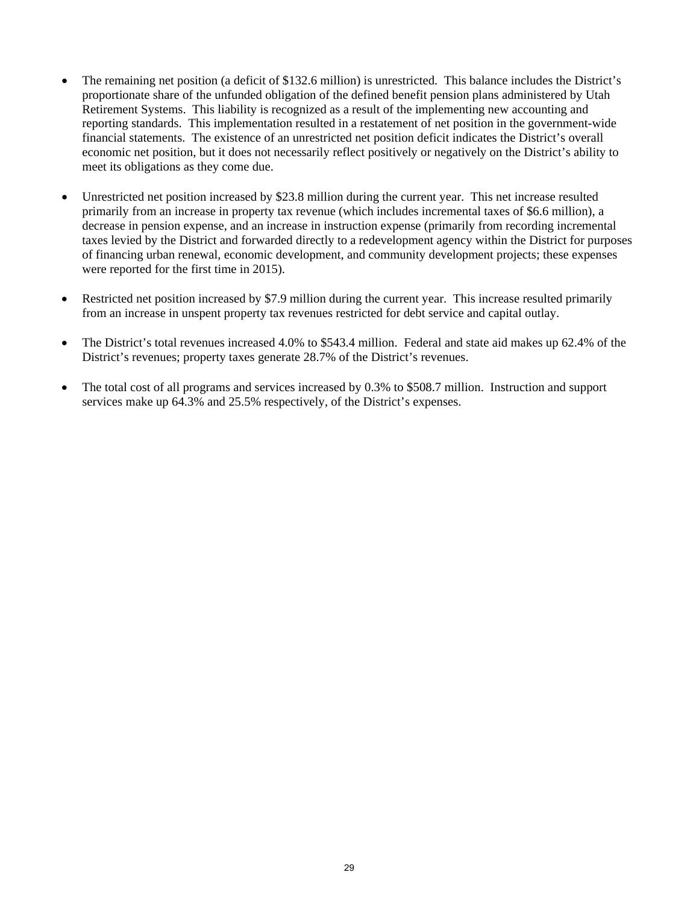- The remaining net position (a deficit of \$132.6 million) is unrestricted. This balance includes the District's proportionate share of the unfunded obligation of the defined benefit pension plans administered by Utah Retirement Systems. This liability is recognized as a result of the implementing new accounting and reporting standards. This implementation resulted in a restatement of net position in the government-wide financial statements. The existence of an unrestricted net position deficit indicates the District's overall economic net position, but it does not necessarily reflect positively or negatively on the District's ability to meet its obligations as they come due.
- Unrestricted net position increased by \$23.8 million during the current year. This net increase resulted primarily from an increase in property tax revenue (which includes incremental taxes of \$6.6 million), a decrease in pension expense, and an increase in instruction expense (primarily from recording incremental taxes levied by the District and forwarded directly to a redevelopment agency within the District for purposes of financing urban renewal, economic development, and community development projects; these expenses were reported for the first time in 2015).
- Restricted net position increased by \$7.9 million during the current year. This increase resulted primarily from an increase in unspent property tax revenues restricted for debt service and capital outlay.
- The District's total revenues increased 4.0% to \$543.4 million. Federal and state aid makes up 62.4% of the District's revenues; property taxes generate 28.7% of the District's revenues.
- The total cost of all programs and services increased by 0.3% to \$508.7 million. Instruction and support services make up 64.3% and 25.5% respectively, of the District's expenses.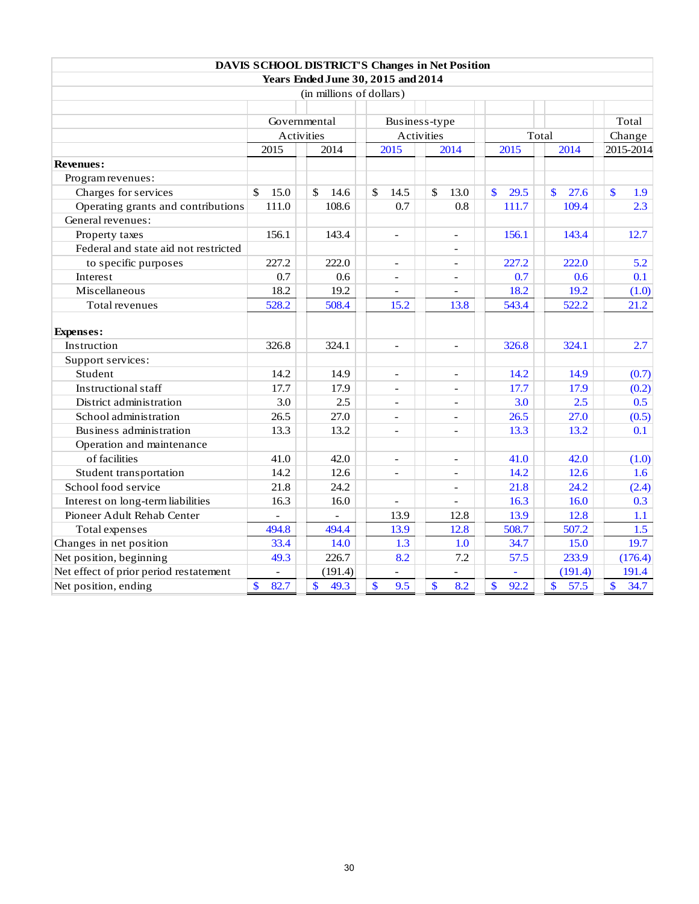|                                        |                      | DAVIS SCHOOL DISTRICT'S Changes in Net Position |                          |                          |                       |                                   |                        |
|----------------------------------------|----------------------|-------------------------------------------------|--------------------------|--------------------------|-----------------------|-----------------------------------|------------------------|
|                                        |                      | <b>Years Ended June 30, 2015 and 2014</b>       |                          |                          |                       |                                   |                        |
|                                        |                      | (in millions of dollars)                        |                          |                          |                       |                                   |                        |
|                                        |                      |                                                 |                          |                          |                       |                                   |                        |
|                                        |                      | Governmental                                    | Business-type            |                          |                       |                                   | Total                  |
|                                        |                      | Activities                                      | Activities               |                          |                       | Total                             | Change                 |
|                                        | 2015                 | 2014                                            | 2015                     | 2014                     | 2015                  | 2014                              | 2015-2014              |
| <b>Revenues:</b>                       |                      |                                                 |                          |                          |                       |                                   |                        |
| Program revenues:                      |                      |                                                 |                          |                          |                       |                                   |                        |
| Charges for services                   | $\mathbb{S}$<br>15.0 | $\mathbb{S}$<br>14.6                            | \$<br>14.5               | \$<br>13.0               | $\mathbf{\$}$<br>29.5 | $\boldsymbol{\mathsf{S}}$<br>27.6 | \$<br>1.9              |
| Operating grants and contributions     | 111.0                | 108.6                                           | 0.7                      | 0.8                      | 111.7                 | 109.4                             | 2.3                    |
| General revenues:                      |                      |                                                 |                          |                          |                       |                                   |                        |
| Property taxes                         | 156.1                | 143.4                                           | $\blacksquare$           | $\overline{\phantom{a}}$ | 156.1                 | 143.4                             | 12.7                   |
| Federal and state aid not restricted   |                      |                                                 |                          | $\overline{\phantom{0}}$ |                       |                                   |                        |
| to specific purposes                   | 227.2                | 222.0                                           | $\overline{\phantom{a}}$ | $\overline{\phantom{a}}$ | 227.2                 | 222.0                             | 5.2                    |
| Interest                               | 0.7                  | 0.6                                             | $\overline{\phantom{a}}$ | $\overline{\phantom{a}}$ | 0.7                   | 0.6                               | 0.1                    |
| Miscellaneous                          | 18.2                 | 19.2                                            | $\overline{\phantom{0}}$ | $\overline{\phantom{a}}$ | 18.2                  | 19.2                              | (1.0)                  |
| Total revenues                         | 528.2                | 508.4                                           | 15.2                     | 13.8                     | 543.4                 | 522.2                             | 21.2                   |
|                                        |                      |                                                 |                          |                          |                       |                                   |                        |
| <b>Expenses:</b>                       |                      |                                                 |                          |                          |                       |                                   |                        |
| Instruction                            | 326.8                | 324.1                                           | $\blacksquare$           | $\overline{\phantom{0}}$ | 326.8                 | 324.1                             | 2.7                    |
| Support services:                      |                      |                                                 |                          |                          |                       |                                   |                        |
| Student                                | 14.2                 | 14.9                                            | $\blacksquare$           | $\blacksquare$           | 14.2                  | 14.9                              | (0.7)                  |
| Instructional staff                    | 17.7                 | 17.9                                            | $\overline{a}$           | $\frac{1}{2}$            | 17.7                  | 17.9                              | (0.2)                  |
| District administration                | 3.0                  | 2.5                                             | $\blacksquare$           | $\overline{\phantom{0}}$ | 3.0                   | 2.5                               | 0.5                    |
| School administration                  | 26.5                 | 27.0                                            | $\overline{\phantom{0}}$ | $\overline{a}$           | 26.5                  | 27.0                              | (0.5)                  |
| Business administration                | 13.3                 | 13.2                                            | $\overline{\phantom{a}}$ | $\overline{\phantom{a}}$ | 13.3                  | 13.2                              | 0.1                    |
| Operation and maintenance              |                      |                                                 |                          |                          |                       |                                   |                        |
| of facilities                          | 41.0                 | 42.0                                            | $\overline{\phantom{a}}$ | $\overline{\phantom{a}}$ | 41.0                  | 42.0                              | (1.0)                  |
| Student transportation                 | 14.2                 | 12.6                                            | $\overline{\phantom{a}}$ | $\overline{\phantom{a}}$ | 14.2                  | 12.6                              | 1.6                    |
| School food service                    | 21.8                 | 24.2                                            |                          | $\overline{\phantom{a}}$ | 21.8                  | 24.2                              | (2.4)                  |
| Interest on long-term liabilities      | 16.3                 | 16.0                                            |                          |                          | 16.3                  | 16.0                              | 0.3                    |
| Pioneer Adult Rehab Center             | $\overline{a}$       |                                                 | 13.9                     | 12.8                     | 13.9                  | 12.8                              | 1.1                    |
| Total expenses                         | 494.8                | 494.4                                           | 13.9                     | 12.8                     | 508.7                 | 507.2                             | 1.5                    |
| Changes in net position                | 33.4                 | 14.0                                            | 1.3                      | 1.0                      | 34.7                  | 15.0                              | 19.7                   |
| Net position, beginning                | 49.3                 | 226.7                                           | 8.2                      | 7.2                      | 57.5                  | 233.9                             | (176.4)                |
| Net effect of prior period restatement |                      | (191.4)                                         |                          | $\overline{a}$           |                       | (191.4)                           | 191.4                  |
| Net position, ending                   | \$<br>82.7           | $\mathbf{\$}$<br>49.3                           | \$<br>9.5                | $\mathbf{\$}$<br>8.2     | \$<br>92.2            | \$<br>57.5                        | $\mathbf{\$\}$<br>34.7 |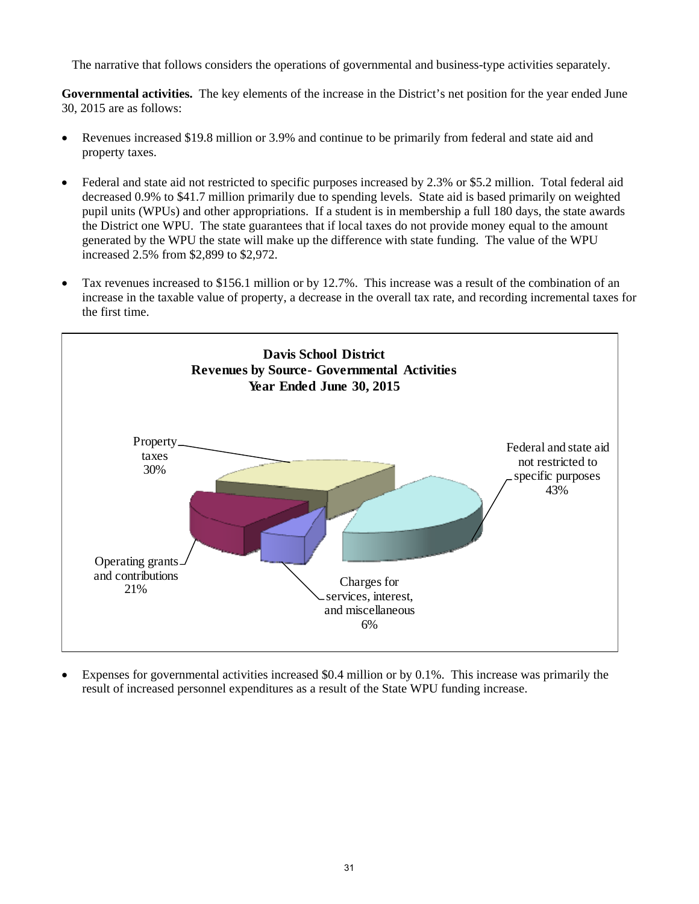The narrative that follows considers the operations of governmental and business-type activities separately.

**Governmental activities.** The key elements of the increase in the District's net position for the year ended June 30, 2015 are as follows:

- Revenues increased \$19.8 million or 3.9% and continue to be primarily from federal and state aid and property taxes.
- Federal and state aid not restricted to specific purposes increased by 2.3% or \$5.2 million. Total federal aid decreased 0.9% to \$41.7 million primarily due to spending levels. State aid is based primarily on weighted pupil units (WPUs) and other appropriations. If a student is in membership a full 180 days, the state awards the District one WPU. The state guarantees that if local taxes do not provide money equal to the amount generated by the WPU the state will make up the difference with state funding. The value of the WPU increased 2.5% from \$2,899 to \$2,972.
- Tax revenues increased to \$156.1 million or by 12.7%. This increase was a result of the combination of an increase in the taxable value of property, a decrease in the overall tax rate, and recording incremental taxes for the first time.



 Expenses for governmental activities increased \$0.4 million or by 0.1%. This increase was primarily the result of increased personnel expenditures as a result of the State WPU funding increase.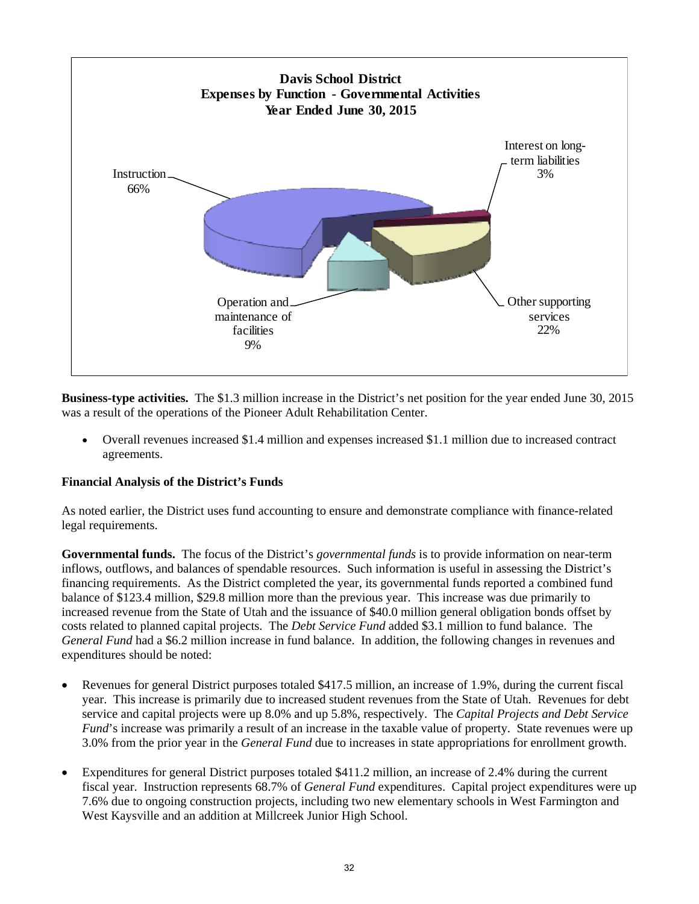

**Business-type activities.** The \$1.3 million increase in the District's net position for the year ended June 30, 2015 was a result of the operations of the Pioneer Adult Rehabilitation Center.

 Overall revenues increased \$1.4 million and expenses increased \$1.1 million due to increased contract agreements.

#### **Financial Analysis of the District's Funds**

As noted earlier, the District uses fund accounting to ensure and demonstrate compliance with finance-related legal requirements.

**Governmental funds.** The focus of the District's *governmental funds* is to provide information on near-term inflows, outflows, and balances of spendable resources. Such information is useful in assessing the District's financing requirements. As the District completed the year, its governmental funds reported a combined fund balance of \$123.4 million, \$29.8 million more than the previous year. This increase was due primarily to increased revenue from the State of Utah and the issuance of \$40.0 million general obligation bonds offset by costs related to planned capital projects. The *Debt Service Fund* added \$3.1 million to fund balance. The *General Fund* had a \$6.2 million increase in fund balance. In addition, the following changes in revenues and expenditures should be noted:

- Revenues for general District purposes totaled \$417.5 million, an increase of 1.9%, during the current fiscal year. This increase is primarily due to increased student revenues from the State of Utah. Revenues for debt service and capital projects were up 8.0% and up 5.8%, respectively. The *Capital Projects and Debt Service Fund*'s increase was primarily a result of an increase in the taxable value of property. State revenues were up 3.0% from the prior year in the *General Fund* due to increases in state appropriations for enrollment growth.
- Expenditures for general District purposes totaled \$411.2 million, an increase of 2.4% during the current fiscal year. Instruction represents 68.7% of *General Fund* expenditures. Capital project expenditures were up 7.6% due to ongoing construction projects, including two new elementary schools in West Farmington and West Kaysville and an addition at Millcreek Junior High School.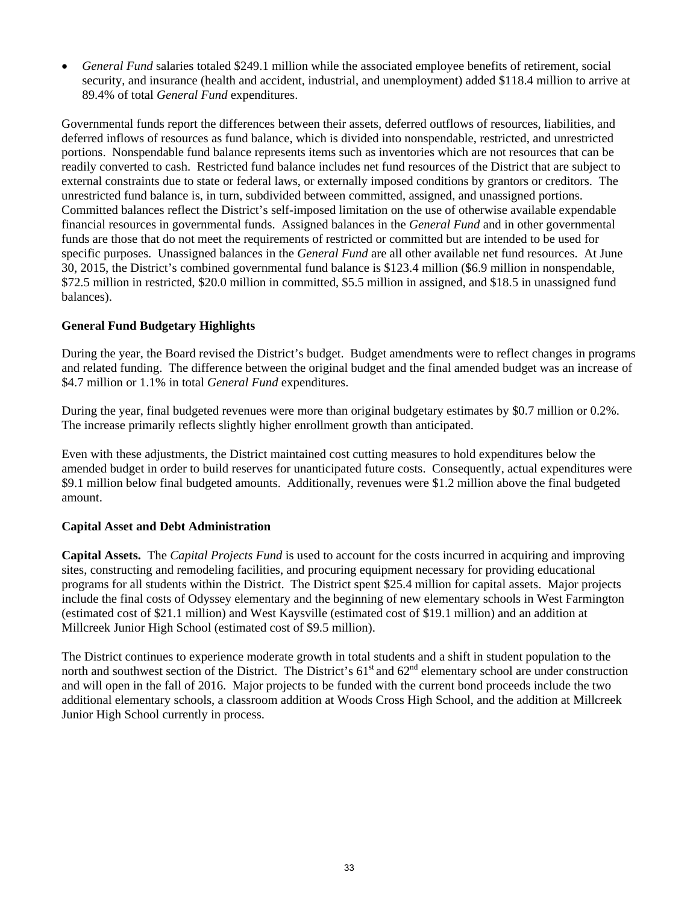*General Fund* salaries totaled \$249.1 million while the associated employee benefits of retirement, social security, and insurance (health and accident, industrial, and unemployment) added \$118.4 million to arrive at 89.4% of total *General Fund* expenditures.

Governmental funds report the differences between their assets, deferred outflows of resources, liabilities, and deferred inflows of resources as fund balance, which is divided into nonspendable, restricted, and unrestricted portions. Nonspendable fund balance represents items such as inventories which are not resources that can be readily converted to cash. Restricted fund balance includes net fund resources of the District that are subject to external constraints due to state or federal laws, or externally imposed conditions by grantors or creditors. The unrestricted fund balance is, in turn, subdivided between committed, assigned, and unassigned portions. Committed balances reflect the District's self-imposed limitation on the use of otherwise available expendable financial resources in governmental funds. Assigned balances in the *General Fund* and in other governmental funds are those that do not meet the requirements of restricted or committed but are intended to be used for specific purposes. Unassigned balances in the *General Fund* are all other available net fund resources. At June 30, 2015, the District's combined governmental fund balance is \$123.4 million (\$6.9 million in nonspendable, \$72.5 million in restricted, \$20.0 million in committed, \$5.5 million in assigned, and \$18.5 in unassigned fund balances).

#### **General Fund Budgetary Highlights**

During the year, the Board revised the District's budget. Budget amendments were to reflect changes in programs and related funding. The difference between the original budget and the final amended budget was an increase of \$4.7 million or 1.1% in total *General Fund* expenditures.

During the year, final budgeted revenues were more than original budgetary estimates by \$0.7 million or 0.2%. The increase primarily reflects slightly higher enrollment growth than anticipated.

Even with these adjustments, the District maintained cost cutting measures to hold expenditures below the amended budget in order to build reserves for unanticipated future costs. Consequently, actual expenditures were \$9.1 million below final budgeted amounts. Additionally, revenues were \$1.2 million above the final budgeted amount.

#### **Capital Asset and Debt Administration**

**Capital Assets.** The *Capital Projects Fund* is used to account for the costs incurred in acquiring and improving sites, constructing and remodeling facilities, and procuring equipment necessary for providing educational programs for all students within the District. The District spent \$25.4 million for capital assets. Major projects include the final costs of Odyssey elementary and the beginning of new elementary schools in West Farmington (estimated cost of \$21.1 million) and West Kaysville (estimated cost of \$19.1 million) and an addition at Millcreek Junior High School (estimated cost of \$9.5 million).

The District continues to experience moderate growth in total students and a shift in student population to the north and southwest section of the District. The District's  $61<sup>st</sup>$  and  $62<sup>nd</sup>$  elementary school are under construction and will open in the fall of 2016. Major projects to be funded with the current bond proceeds include the two additional elementary schools, a classroom addition at Woods Cross High School, and the addition at Millcreek Junior High School currently in process.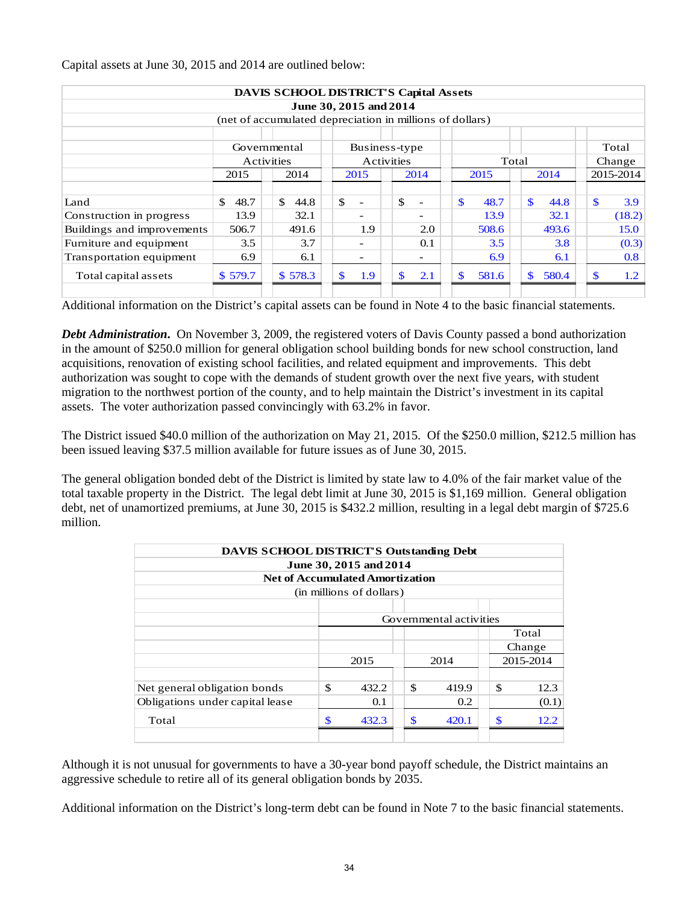| <b>DAVIS SCHOOL DISTRICT'S Capital Assets</b>            |                               |            |                                          |                          |             |                      |                      |  |  |  |  |  |
|----------------------------------------------------------|-------------------------------|------------|------------------------------------------|--------------------------|-------------|----------------------|----------------------|--|--|--|--|--|
| June 30, 2015 and 2014                                   |                               |            |                                          |                          |             |                      |                      |  |  |  |  |  |
| (net of accumulated depreciation in millions of dollars) |                               |            |                                          |                          |             |                      |                      |  |  |  |  |  |
|                                                          |                               |            |                                          |                          |             |                      |                      |  |  |  |  |  |
|                                                          | Governmental<br>Business-type |            |                                          |                          |             |                      |                      |  |  |  |  |  |
|                                                          |                               | Activities |                                          | Activities               | Total       |                      | Change               |  |  |  |  |  |
|                                                          | 2015                          | 2014       | 2015                                     | 2014                     | 2015        | 2014                 | 2015-2014            |  |  |  |  |  |
|                                                          |                               |            |                                          |                          |             |                      |                      |  |  |  |  |  |
| Land                                                     | 48.7<br>\$                    | \$<br>44.8 | $\mathbb{S}$<br>$\overline{\phantom{a}}$ | \$                       | \$<br>48.7  | $\mathbf{s}$<br>44.8 | $\mathbf{\$}$<br>3.9 |  |  |  |  |  |
| Construction in progress                                 | 13.9                          | 32.1       | $\overline{\phantom{a}}$                 |                          | 13.9        | 32.1                 | (18.2)               |  |  |  |  |  |
| Buildings and improvements                               | 506.7                         | 491.6      | 1.9                                      | 2.0                      | 508.6       | 493.6                | 15.0                 |  |  |  |  |  |
| Furniture and equipment                                  | $3.5^{\circ}$                 | 3.7        | $\overline{\phantom{a}}$                 | 0.1                      | 3.5         | 3.8                  | (0.3)                |  |  |  |  |  |
| Transportation equipment                                 | 6.9                           | 6.1        | $\overline{\phantom{a}}$                 | $\overline{\phantom{a}}$ | 6.9         | 6.1                  | 0.8                  |  |  |  |  |  |
| Total capital assets                                     | \$579.7                       | \$578.3    | \$<br>1.9                                | \$<br>2.1                | \$<br>581.6 | \$<br>580.4          | $\mathbf{\$}$<br>1.2 |  |  |  |  |  |
|                                                          |                               |            |                                          |                          |             |                      |                      |  |  |  |  |  |

Capital assets at June 30, 2015 and 2014 are outlined below:

Additional information on the District's capital assets can be found in Note 4 to the basic financial statements.

*Debt Administration***.** On November 3, 2009, the registered voters of Davis County passed a bond authorization in the amount of \$250.0 million for general obligation school building bonds for new school construction, land acquisitions, renovation of existing school facilities, and related equipment and improvements. This debt authorization was sought to cope with the demands of student growth over the next five years, with student migration to the northwest portion of the county, and to help maintain the District's investment in its capital assets. The voter authorization passed convincingly with 63.2% in favor.

The District issued \$40.0 million of the authorization on May 21, 2015. Of the \$250.0 million, \$212.5 million has been issued leaving \$37.5 million available for future issues as of June 30, 2015.

The general obligation bonded debt of the District is limited by state law to 4.0% of the fair market value of the total taxable property in the District. The legal debt limit at June 30, 2015 is \$1,169 million. General obligation debt, net of unamortized premiums, at June 30, 2015 is \$432.2 million, resulting in a legal debt margin of \$725.6 million.

| <b>DAVIS SCHOOL DISTRICT'S Outstanding Debt</b> |              |                                                                  |    |                         |    |           |  |
|-------------------------------------------------|--------------|------------------------------------------------------------------|----|-------------------------|----|-----------|--|
|                                                 |              | June 30, 2015 and 2014<br><b>Net of Accumulated Amortization</b> |    |                         |    |           |  |
|                                                 |              | (in millions of dollars)                                         |    |                         |    |           |  |
|                                                 |              |                                                                  |    | Governmental activities |    |           |  |
|                                                 | Total        |                                                                  |    |                         |    |           |  |
|                                                 |              |                                                                  |    |                         |    | Change    |  |
|                                                 |              | 2015                                                             |    | 2014                    |    | 2015-2014 |  |
| Net general obligation bonds                    | \$           | 432.2                                                            | \$ | 419.9                   | \$ | 12.3      |  |
| Obligations under capital lease                 |              | 0.1                                                              |    | 0.2                     |    | (0.1)     |  |
| Total                                           | $\mathbf{s}$ | 432.3                                                            | \$ | 420.1                   | \$ | 12.2      |  |

Although it is not unusual for governments to have a 30-year bond payoff schedule, the District maintains an aggressive schedule to retire all of its general obligation bonds by 2035.

Additional information on the District's long-term debt can be found in Note 7 to the basic financial statements.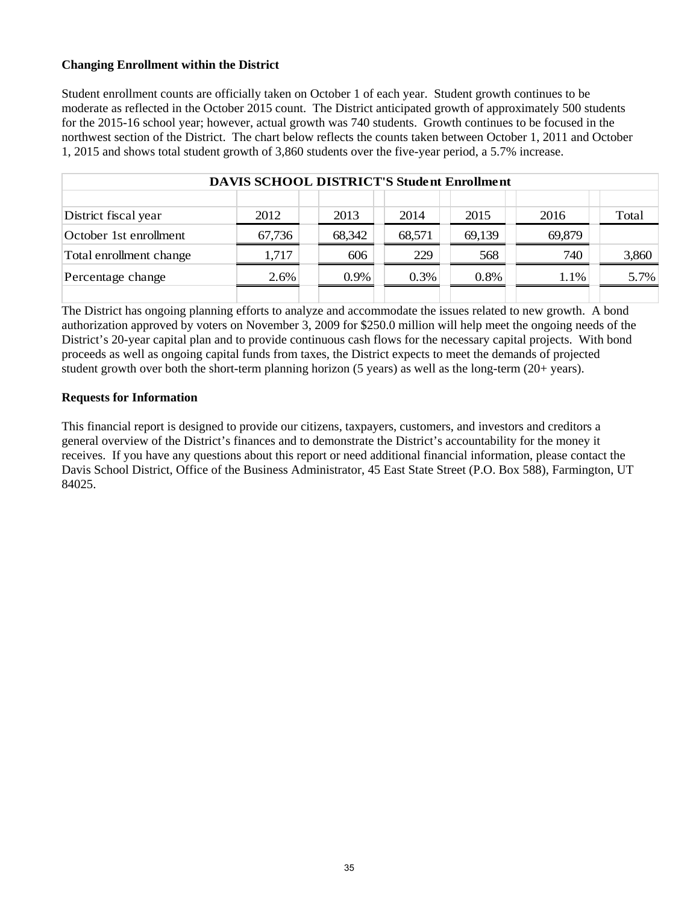#### **Changing Enrollment within the District**

Student enrollment counts are officially taken on October 1 of each year. Student growth continues to be moderate as reflected in the October 2015 count. The District anticipated growth of approximately 500 students for the 2015-16 school year; however, actual growth was 740 students. Growth continues to be focused in the northwest section of the District. The chart below reflects the counts taken between October 1, 2011 and October 1, 2015 and shows total student growth of 3,860 students over the five-year period, a 5.7% increase.

| <b>DAVIS SCHOOL DISTRICT'S Student Enrollment</b> |        |         |         |        |        |       |  |  |  |  |  |
|---------------------------------------------------|--------|---------|---------|--------|--------|-------|--|--|--|--|--|
| District fiscal year                              | 2012   | 2013    | 2014    | 2015   | 2016   | Total |  |  |  |  |  |
| October 1st enrollment                            | 67,736 | 68,342  | 68,571  | 69,139 | 69,879 |       |  |  |  |  |  |
| Total enrollment change                           | 1,717  | 606     | 229     | 568    | 740    | 3,860 |  |  |  |  |  |
| Percentage change                                 | 2.6%   | $0.9\%$ | $0.3\%$ | 0.8%   | l.1%   | 5.7%  |  |  |  |  |  |
|                                                   |        |         |         |        |        |       |  |  |  |  |  |

The District has ongoing planning efforts to analyze and accommodate the issues related to new growth. A bond authorization approved by voters on November 3, 2009 for \$250.0 million will help meet the ongoing needs of the District's 20-year capital plan and to provide continuous cash flows for the necessary capital projects. With bond proceeds as well as ongoing capital funds from taxes, the District expects to meet the demands of projected student growth over both the short-term planning horizon (5 years) as well as the long-term (20+ years).

#### **Requests for Information**

This financial report is designed to provide our citizens, taxpayers, customers, and investors and creditors a general overview of the District's finances and to demonstrate the District's accountability for the money it receives. If you have any questions about this report or need additional financial information, please contact the Davis School District, Office of the Business Administrator, 45 East State Street (P.O. Box 588), Farmington, UT 84025.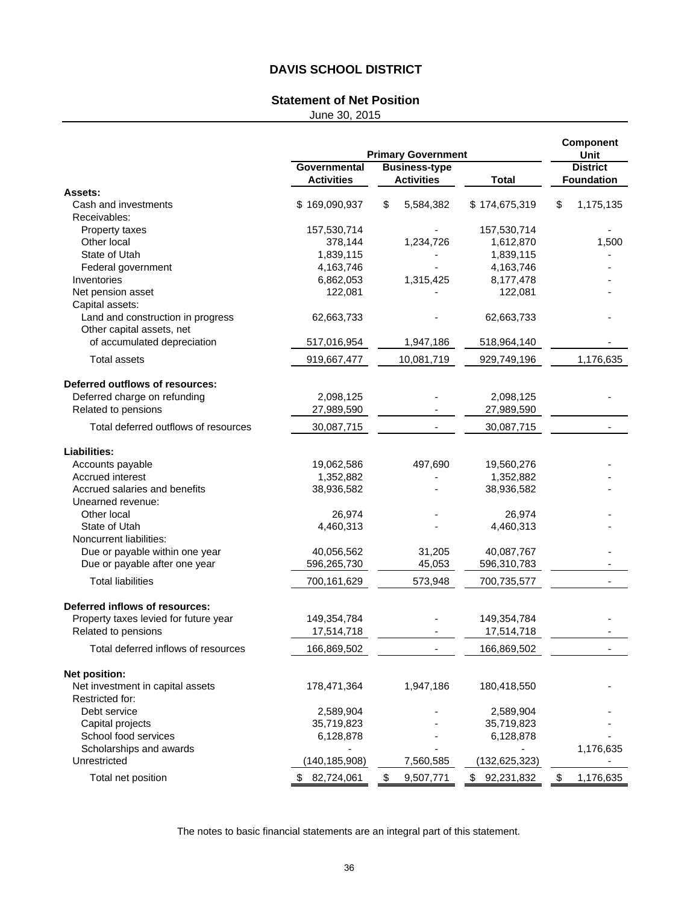#### **Statement of Net Position**

June 30, 2015

|                                                                |                                   | <b>Primary Government</b>                 |                      | Component<br>Unit                    |  |  |
|----------------------------------------------------------------|-----------------------------------|-------------------------------------------|----------------------|--------------------------------------|--|--|
|                                                                | Governmental<br><b>Activities</b> | <b>Business-type</b><br><b>Activities</b> | <b>Total</b>         | <b>District</b><br><b>Foundation</b> |  |  |
| Assets:                                                        |                                   |                                           |                      |                                      |  |  |
| Cash and investments                                           | \$169,090,937                     | \$<br>5,584,382                           | \$174,675,319        | \$<br>1,175,135                      |  |  |
| Receivables:                                                   |                                   |                                           |                      |                                      |  |  |
| Property taxes                                                 | 157,530,714                       |                                           | 157,530,714          |                                      |  |  |
| Other local                                                    | 378,144                           | 1,234,726                                 | 1,612,870            | 1,500                                |  |  |
| State of Utah                                                  | 1,839,115                         |                                           | 1,839,115            |                                      |  |  |
| Federal government<br>Inventories                              | 4,163,746                         | 1,315,425                                 | 4,163,746            |                                      |  |  |
| Net pension asset                                              | 6,862,053<br>122,081              |                                           | 8,177,478<br>122,081 |                                      |  |  |
| Capital assets:                                                |                                   |                                           |                      |                                      |  |  |
| Land and construction in progress<br>Other capital assets, net | 62,663,733                        |                                           | 62,663,733           |                                      |  |  |
| of accumulated depreciation                                    | 517,016,954                       | 1,947,186                                 | 518,964,140          |                                      |  |  |
| <b>Total assets</b>                                            | 919,667,477                       | 10,081,719                                | 929,749,196          | 1,176,635                            |  |  |
| Deferred outflows of resources:                                |                                   |                                           |                      |                                      |  |  |
| Deferred charge on refunding                                   | 2,098,125                         |                                           | 2,098,125            |                                      |  |  |
| Related to pensions                                            | 27,989,590                        |                                           | 27,989,590           |                                      |  |  |
| Total deferred outflows of resources                           | 30,087,715                        |                                           | 30,087,715           |                                      |  |  |
| Liabilities:                                                   |                                   |                                           |                      |                                      |  |  |
| Accounts payable                                               | 19,062,586                        | 497,690                                   | 19,560,276           |                                      |  |  |
| Accrued interest                                               | 1,352,882                         |                                           | 1,352,882            |                                      |  |  |
| Accrued salaries and benefits                                  | 38,936,582                        |                                           | 38,936,582           |                                      |  |  |
| Unearned revenue:                                              |                                   |                                           |                      |                                      |  |  |
| Other local                                                    | 26,974                            |                                           | 26,974               |                                      |  |  |
| State of Utah                                                  | 4,460,313                         |                                           | 4,460,313            |                                      |  |  |
| Noncurrent liabilities:                                        |                                   |                                           |                      |                                      |  |  |
| Due or payable within one year                                 | 40,056,562                        | 31,205                                    | 40,087,767           |                                      |  |  |
| Due or payable after one year                                  | 596,265,730                       | 45,053                                    | 596,310,783          |                                      |  |  |
| <b>Total liabilities</b>                                       | 700,161,629                       | 573,948                                   | 700,735,577          |                                      |  |  |
| Deferred inflows of resources:                                 |                                   |                                           |                      |                                      |  |  |
| Property taxes levied for future year                          | 149,354,784                       |                                           | 149,354,784          |                                      |  |  |
| Related to pensions                                            | 17,514,718                        |                                           | 17,514,718           |                                      |  |  |
| Total deferred inflows of resources                            | 166,869,502                       |                                           | 166,869,502          |                                      |  |  |
| Net position:                                                  |                                   |                                           |                      |                                      |  |  |
| Net investment in capital assets                               | 178,471,364                       | 1,947,186                                 | 180,418,550          |                                      |  |  |
| Restricted for:                                                |                                   |                                           |                      |                                      |  |  |
| Debt service                                                   | 2,589,904                         |                                           | 2,589,904            |                                      |  |  |
| Capital projects                                               | 35,719,823                        |                                           | 35,719,823           |                                      |  |  |
| School food services                                           | 6,128,878                         |                                           | 6,128,878            |                                      |  |  |
| Scholarships and awards                                        |                                   |                                           |                      | 1,176,635                            |  |  |
| Unrestricted                                                   | (140, 185, 908)                   | 7,560,585                                 | (132, 625, 323)      |                                      |  |  |
| Total net position                                             | 82,724,061                        | \$<br>9,507,771                           | 92,231,832           | 1,176,635                            |  |  |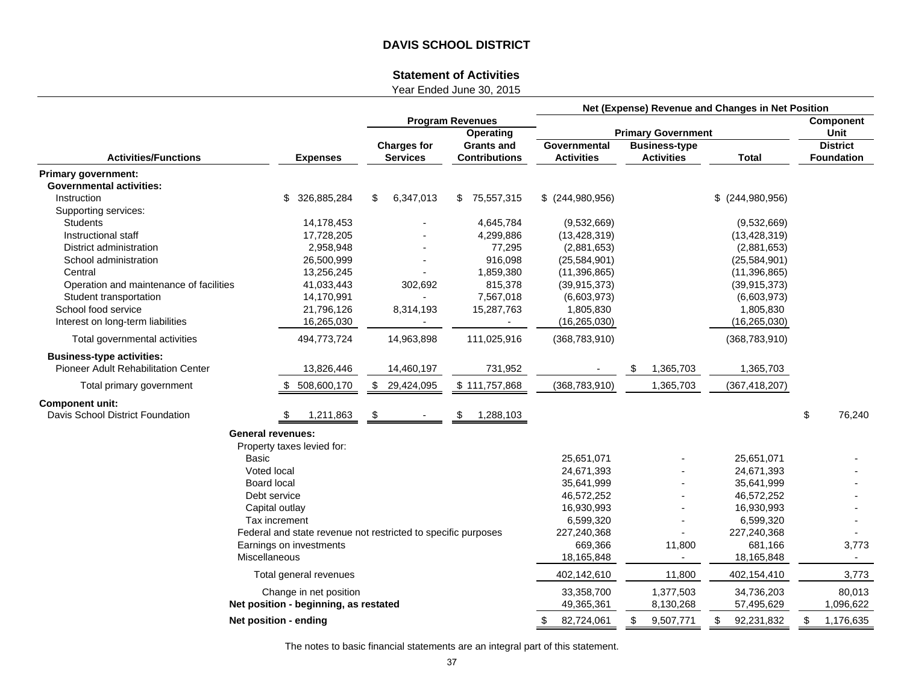#### **Statement of Activities**

Year Ended June 30, 2015

|                                                            |                                                               |                                       |                                           |                                   |                                           | Net (Expense) Revenue and Changes in Net Position |                                      |
|------------------------------------------------------------|---------------------------------------------------------------|---------------------------------------|-------------------------------------------|-----------------------------------|-------------------------------------------|---------------------------------------------------|--------------------------------------|
|                                                            |                                                               |                                       | <b>Program Revenues</b>                   |                                   |                                           |                                                   | <b>Component</b>                     |
|                                                            |                                                               |                                       | Operating                                 |                                   | <b>Primary Government</b>                 |                                                   | Unit                                 |
| <b>Activities/Functions</b>                                |                                                               | <b>Charges for</b><br><b>Services</b> | <b>Grants and</b><br><b>Contributions</b> | Governmental<br><b>Activities</b> | <b>Business-type</b><br><b>Activities</b> | Total                                             | <b>District</b><br><b>Foundation</b> |
|                                                            | <b>Expenses</b>                                               |                                       |                                           |                                   |                                           |                                                   |                                      |
| Primary government:<br><b>Governmental activities:</b>     |                                                               |                                       |                                           |                                   |                                           |                                                   |                                      |
| Instruction                                                | 326,885,284<br>S.                                             | 6,347,013<br>\$                       | 75,557,315<br>\$                          | $$$ (244,980,956)                 |                                           | $$$ (244,980,956)                                 |                                      |
| Supporting services:                                       |                                                               |                                       |                                           |                                   |                                           |                                                   |                                      |
| <b>Students</b>                                            | 14,178,453                                                    |                                       | 4,645,784                                 | (9,532,669)                       |                                           | (9,532,669)                                       |                                      |
| Instructional staff                                        | 17,728,205                                                    |                                       | 4,299,886                                 | (13, 428, 319)                    |                                           | (13, 428, 319)                                    |                                      |
| District administration                                    | 2,958,948                                                     |                                       | 77,295                                    | (2,881,653)                       |                                           | (2,881,653)                                       |                                      |
| School administration                                      | 26,500,999                                                    |                                       | 916,098                                   | (25, 584, 901)                    |                                           | (25,584,901)                                      |                                      |
| Central                                                    | 13,256,245                                                    |                                       | 1,859,380                                 | (11, 396, 865)                    |                                           | (11, 396, 865)                                    |                                      |
| Operation and maintenance of facilities                    | 41,033,443                                                    | 302,692                               | 815,378                                   | (39, 915, 373)                    |                                           | (39, 915, 373)                                    |                                      |
| Student transportation                                     | 14,170,991                                                    |                                       | 7,567,018                                 | (6,603,973)                       |                                           | (6,603,973)                                       |                                      |
| School food service                                        | 21,796,126                                                    | 8,314,193                             | 15,287,763                                | 1,805,830                         |                                           | 1,805,830                                         |                                      |
| Interest on long-term liabilities                          | 16,265,030                                                    |                                       | $\blacksquare$                            | (16, 265, 030)                    |                                           | (16, 265, 030)                                    |                                      |
| Total governmental activities                              | 494,773,724                                                   | 14,963,898                            | 111,025,916                               | (368, 783, 910)                   |                                           | (368, 783, 910)                                   |                                      |
| <b>Business-type activities:</b>                           |                                                               |                                       |                                           |                                   |                                           |                                                   |                                      |
| Pioneer Adult Rehabilitation Center                        | 13,826,446                                                    | 14,460,197                            | 731,952                                   |                                   | 1,365,703<br>\$                           | 1,365,703                                         |                                      |
| Total primary government                                   | 508,600,170                                                   | \$<br>29,424,095                      | \$111,757,868                             | (368, 783, 910)                   | 1,365,703                                 | (367, 418, 207)                                   |                                      |
|                                                            |                                                               |                                       |                                           |                                   |                                           |                                                   |                                      |
| <b>Component unit:</b><br>Davis School District Foundation | 1,211,863<br>\$                                               | \$                                    | 1,288,103<br>\$                           |                                   |                                           |                                                   | \$<br>76,240                         |
|                                                            |                                                               |                                       |                                           |                                   |                                           |                                                   |                                      |
|                                                            | <b>General revenues:</b>                                      |                                       |                                           |                                   |                                           |                                                   |                                      |
| Basic                                                      | Property taxes levied for:                                    |                                       |                                           | 25,651,071                        |                                           |                                                   |                                      |
|                                                            | Voted local                                                   |                                       |                                           | 24,671,393                        |                                           | 25,651,071<br>24,671,393                          |                                      |
|                                                            | <b>Board local</b>                                            |                                       |                                           | 35,641,999                        |                                           | 35,641,999                                        |                                      |
|                                                            | Debt service                                                  |                                       |                                           | 46,572,252                        |                                           | 46,572,252                                        |                                      |
|                                                            | Capital outlay                                                |                                       |                                           | 16,930,993                        |                                           | 16,930,993                                        |                                      |
|                                                            | Tax increment                                                 |                                       |                                           | 6,599,320                         |                                           | 6,599,320                                         |                                      |
|                                                            | Federal and state revenue not restricted to specific purposes |                                       |                                           | 227,240,368                       |                                           | 227,240,368                                       |                                      |
|                                                            | Earnings on investments                                       |                                       |                                           | 669,366                           | 11,800                                    | 681,166                                           | 3,773                                |
| Miscellaneous                                              |                                                               |                                       |                                           | 18,165,848                        |                                           | 18,165,848                                        |                                      |
|                                                            | Total general revenues                                        |                                       |                                           | 402,142,610                       | 11,800                                    | 402,154,410                                       | 3,773                                |
|                                                            | Change in net position                                        |                                       |                                           | 33,358,700                        | 1,377,503                                 | 34,736,203                                        | 80,013                               |
|                                                            | Net position - beginning, as restated                         |                                       |                                           | 49,365,361                        | 8,130,268                                 | 57,495,629                                        | 1,096,622                            |
|                                                            | Net position - ending                                         |                                       |                                           | 82,724,061<br>\$                  | 9,507,771<br>\$                           | \$<br>92,231,832                                  | \$.<br>1,176,635                     |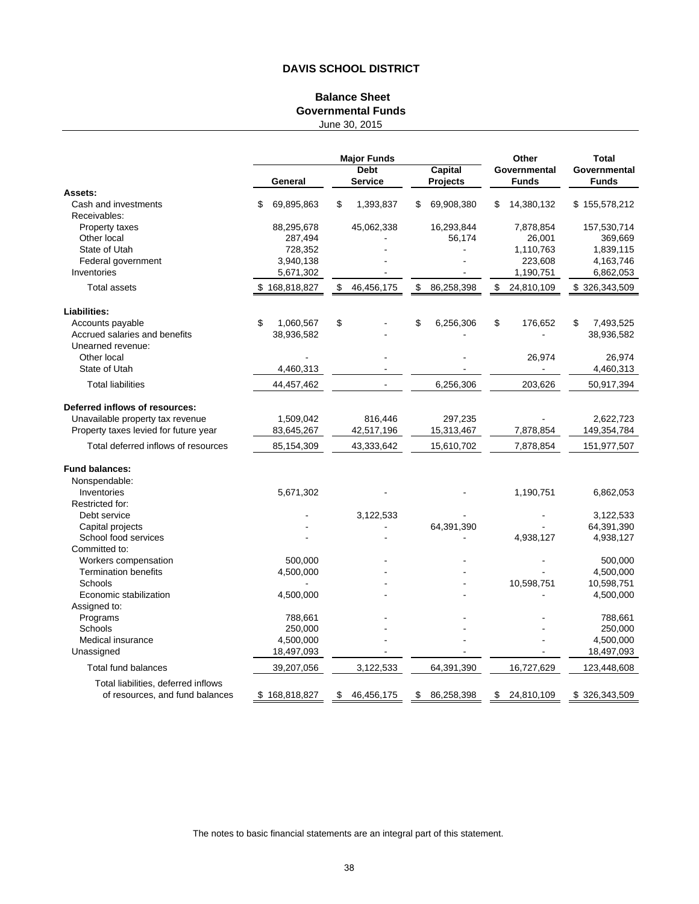#### June 30, 2015  **Balance Sheet Governmental Funds**

| <b>Capital</b><br><b>Debt</b><br>Governmental<br>Governmental<br><b>Service</b><br>Projects<br><b>Funds</b><br><b>Funds</b><br>General<br>Assets:<br>\$<br>Cash and investments<br>69,895,863<br>1,393,837<br>69,908,380<br>14,380,132<br>\$155,578,212<br>S<br>\$<br>S<br>Receivables:<br>88,295,678<br>45,062,338<br>16,293,844<br>7,878,854<br>157,530,714<br>Property taxes<br>Other local<br>287,494<br>56,174<br>26,001<br>State of Utah<br>728,352<br>1,110,763<br>Federal government<br>3,940,138<br>223,608<br>Inventories<br>5,671,302<br>1,190,751 | 369,669<br>1,839,115<br>4,163,746<br>6,862,053<br>7,493,525 |
|---------------------------------------------------------------------------------------------------------------------------------------------------------------------------------------------------------------------------------------------------------------------------------------------------------------------------------------------------------------------------------------------------------------------------------------------------------------------------------------------------------------------------------------------------------------|-------------------------------------------------------------|
|                                                                                                                                                                                                                                                                                                                                                                                                                                                                                                                                                               |                                                             |
|                                                                                                                                                                                                                                                                                                                                                                                                                                                                                                                                                               |                                                             |
|                                                                                                                                                                                                                                                                                                                                                                                                                                                                                                                                                               |                                                             |
|                                                                                                                                                                                                                                                                                                                                                                                                                                                                                                                                                               |                                                             |
|                                                                                                                                                                                                                                                                                                                                                                                                                                                                                                                                                               |                                                             |
|                                                                                                                                                                                                                                                                                                                                                                                                                                                                                                                                                               |                                                             |
|                                                                                                                                                                                                                                                                                                                                                                                                                                                                                                                                                               |                                                             |
|                                                                                                                                                                                                                                                                                                                                                                                                                                                                                                                                                               |                                                             |
| \$<br>\$<br>\$<br><b>Total assets</b><br>46,456,175<br>86,258,398<br>24,810,109<br>\$326,343,509<br>\$168,818,827                                                                                                                                                                                                                                                                                                                                                                                                                                             |                                                             |
|                                                                                                                                                                                                                                                                                                                                                                                                                                                                                                                                                               |                                                             |
| <b>Liabilities:</b>                                                                                                                                                                                                                                                                                                                                                                                                                                                                                                                                           |                                                             |
| \$<br>\$<br>\$<br>6,256,306<br>\$<br>\$<br>Accounts payable<br>1,060,567<br>176,652<br>Accrued salaries and benefits                                                                                                                                                                                                                                                                                                                                                                                                                                          |                                                             |
| 38,936,582<br>38,936,582<br>Unearned revenue:                                                                                                                                                                                                                                                                                                                                                                                                                                                                                                                 |                                                             |
| Other local<br>26,974                                                                                                                                                                                                                                                                                                                                                                                                                                                                                                                                         | 26,974                                                      |
| State of Utah<br>4,460,313                                                                                                                                                                                                                                                                                                                                                                                                                                                                                                                                    | 4,460,313                                                   |
| 6,256,306<br>203,626<br><b>Total liabilities</b><br>44,457,462<br>50,917,394                                                                                                                                                                                                                                                                                                                                                                                                                                                                                  |                                                             |
| Deferred inflows of resources:                                                                                                                                                                                                                                                                                                                                                                                                                                                                                                                                |                                                             |
| Unavailable property tax revenue<br>1,509,042<br>816,446<br>297,235                                                                                                                                                                                                                                                                                                                                                                                                                                                                                           | 2,622,723                                                   |
| Property taxes levied for future year<br>7,878,854<br>149,354,784<br>83,645,267<br>42,517,196<br>15,313,467                                                                                                                                                                                                                                                                                                                                                                                                                                                   |                                                             |
| Total deferred inflows of resources<br>85,154,309<br>43,333,642<br>15,610,702<br>7,878,854<br>151,977,507                                                                                                                                                                                                                                                                                                                                                                                                                                                     |                                                             |
| <b>Fund balances:</b>                                                                                                                                                                                                                                                                                                                                                                                                                                                                                                                                         |                                                             |
| Nonspendable:                                                                                                                                                                                                                                                                                                                                                                                                                                                                                                                                                 |                                                             |
| Inventories<br>1,190,751<br>5,671,302                                                                                                                                                                                                                                                                                                                                                                                                                                                                                                                         | 6,862,053                                                   |
| Restricted for:                                                                                                                                                                                                                                                                                                                                                                                                                                                                                                                                               |                                                             |
| 3,122,533<br>Debt service                                                                                                                                                                                                                                                                                                                                                                                                                                                                                                                                     | 3,122,533                                                   |
| 64,391,390<br>Capital projects<br>64,391,390                                                                                                                                                                                                                                                                                                                                                                                                                                                                                                                  |                                                             |
| School food services<br>4,938,127                                                                                                                                                                                                                                                                                                                                                                                                                                                                                                                             | 4,938,127                                                   |
| Committed to:                                                                                                                                                                                                                                                                                                                                                                                                                                                                                                                                                 |                                                             |
| Workers compensation<br>500,000                                                                                                                                                                                                                                                                                                                                                                                                                                                                                                                               | 500,000                                                     |
| <b>Termination benefits</b><br>4,500,000                                                                                                                                                                                                                                                                                                                                                                                                                                                                                                                      | 4,500,000                                                   |
| Schools<br>10,598,751<br>10,598,751                                                                                                                                                                                                                                                                                                                                                                                                                                                                                                                           |                                                             |
| Economic stabilization<br>4,500,000                                                                                                                                                                                                                                                                                                                                                                                                                                                                                                                           | 4,500,000                                                   |
| Assigned to:                                                                                                                                                                                                                                                                                                                                                                                                                                                                                                                                                  |                                                             |
| Programs<br>788,661                                                                                                                                                                                                                                                                                                                                                                                                                                                                                                                                           | 788,661                                                     |
| Schools<br>250,000                                                                                                                                                                                                                                                                                                                                                                                                                                                                                                                                            | 250,000                                                     |
| Medical insurance<br>4,500,000                                                                                                                                                                                                                                                                                                                                                                                                                                                                                                                                | 4,500,000                                                   |
| Unassigned<br>18,497,093                                                                                                                                                                                                                                                                                                                                                                                                                                                                                                                                      | 18,497,093                                                  |
| <b>Total fund balances</b><br>39,207,056<br>3,122,533<br>64,391,390<br>16,727,629<br>123,448,608                                                                                                                                                                                                                                                                                                                                                                                                                                                              |                                                             |
| Total liabilities, deferred inflows<br>of resources, and fund balances<br>\$168,818,827<br>\$<br>46,456,175<br>86,258,398<br>\$<br>24,810,109<br>\$326,343,509<br>\$                                                                                                                                                                                                                                                                                                                                                                                          |                                                             |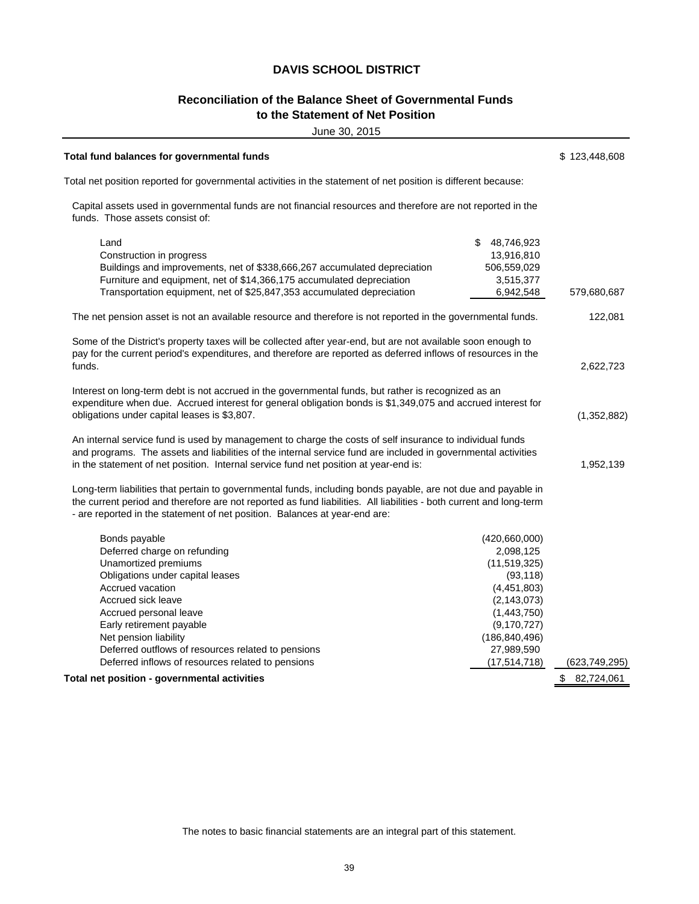#### **to the Statement of Net Position Reconciliation of the Balance Sheet of Governmental Funds**

June 30, 2015

|                                                                                                                                                                                                                                      | \$123,448,608               |
|--------------------------------------------------------------------------------------------------------------------------------------------------------------------------------------------------------------------------------------|-----------------------------|
| Total net position reported for governmental activities in the statement of net position is different because:                                                                                                                       |                             |
| Capital assets used in governmental funds are not financial resources and therefore are not reported in the                                                                                                                          |                             |
| S<br>48,746,923<br>13,916,810<br>506,559,029<br>3,515,377<br>6,942,548                                                                                                                                                               | 579,680,687                 |
| The net pension asset is not an available resource and therefore is not reported in the governmental funds.                                                                                                                          | 122,081                     |
| Some of the District's property taxes will be collected after year-end, but are not available soon enough to<br>pay for the current period's expenditures, and therefore are reported as deferred inflows of resources in the        | 2,622,723                   |
| Interest on long-term debt is not accrued in the governmental funds, but rather is recognized as an<br>expenditure when due. Accrued interest for general obligation bonds is \$1,349,075 and accrued interest for                   | (1, 352, 882)               |
| An internal service fund is used by management to charge the costs of self insurance to individual funds<br>and programs. The assets and liabilities of the internal service fund are included in governmental activities            | 1,952,139                   |
| Long-term liabilities that pertain to governmental funds, including bonds payable, are not due and payable in<br>the current period and therefore are not reported as fund liabilities. All liabilities - both current and long-term |                             |
| (420,660,000)<br>2,098,125<br>(11, 519, 325)<br>(93, 118)<br>(4,451,803)<br>(2, 143, 073)<br>(1,443,750)<br>(9, 170, 727)<br>(186, 840, 496)<br>27,989,590<br>(17, 514, 718)                                                         | (623,749,295)<br>82,724,061 |
|                                                                                                                                                                                                                                      |                             |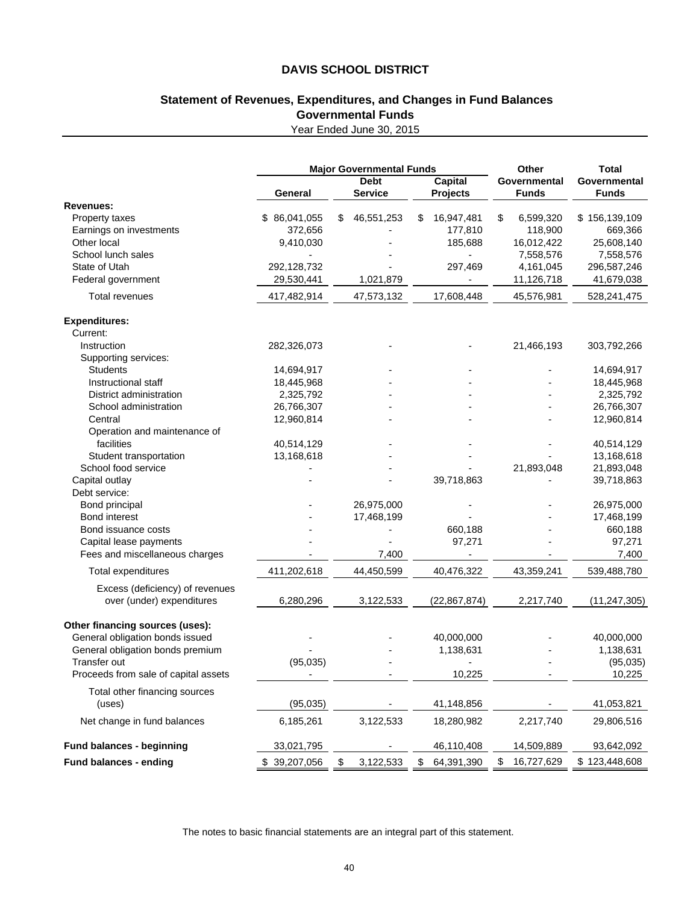#### **Statement of Revenues, Expenditures, and Changes in Fund Balances Governmental Funds**

Year Ended June 30, 2015

|                                      | <b>Major Governmental Funds</b> |    |                |    | Other          | <b>Total</b>     |                |
|--------------------------------------|---------------------------------|----|----------------|----|----------------|------------------|----------------|
|                                      |                                 |    | <b>Debt</b>    |    | Capital        | Governmental     | Governmental   |
| <b>Revenues:</b>                     | General                         |    | <b>Service</b> |    | Projects       | <b>Funds</b>     | <b>Funds</b>   |
| Property taxes                       | 86,041,055                      | \$ | 46,551,253     | S  | 16,947,481     | \$<br>6,599,320  | \$156,139,109  |
| Earnings on investments              | 372,656                         |    |                |    | 177,810        | 118,900          | 669,366        |
| Other local                          | 9,410,030                       |    |                |    | 185,688        | 16,012,422       | 25,608,140     |
| School lunch sales                   |                                 |    |                |    |                | 7,558,576        | 7,558,576      |
| State of Utah                        | 292,128,732                     |    |                |    | 297,469        | 4,161,045        | 296,587,246    |
| Federal government                   | 29,530,441                      |    | 1,021,879      |    |                | 11,126,718       | 41,679,038     |
| Total revenues                       | 417,482,914                     |    | 47,573,132     |    | 17,608,448     | 45,576,981       | 528,241,475    |
| <b>Expenditures:</b>                 |                                 |    |                |    |                |                  |                |
| Current:                             |                                 |    |                |    |                |                  |                |
| Instruction                          | 282,326,073                     |    |                |    |                | 21,466,193       | 303,792,266    |
| Supporting services:                 |                                 |    |                |    |                |                  |                |
| <b>Students</b>                      | 14,694,917                      |    |                |    |                |                  | 14,694,917     |
| Instructional staff                  | 18,445,968                      |    |                |    |                |                  | 18,445,968     |
| District administration              | 2,325,792                       |    |                |    |                |                  | 2,325,792      |
| School administration                | 26,766,307                      |    |                |    |                |                  | 26,766,307     |
| Central                              | 12,960,814                      |    |                |    |                |                  | 12,960,814     |
| Operation and maintenance of         |                                 |    |                |    |                |                  |                |
| facilities                           | 40,514,129                      |    |                |    |                |                  | 40,514,129     |
| Student transportation               | 13,168,618                      |    |                |    |                |                  | 13,168,618     |
| School food service                  |                                 |    |                |    |                | 21,893,048       | 21,893,048     |
| Capital outlay                       |                                 |    |                |    | 39,718,863     |                  | 39,718,863     |
| Debt service:                        |                                 |    |                |    |                |                  |                |
| Bond principal                       |                                 |    | 26,975,000     |    |                |                  | 26,975,000     |
| <b>Bond interest</b>                 |                                 |    | 17,468,199     |    |                |                  | 17,468,199     |
| Bond issuance costs                  |                                 |    |                |    | 660,188        |                  | 660,188        |
| Capital lease payments               |                                 |    |                |    | 97,271         |                  | 97,271         |
| Fees and miscellaneous charges       |                                 |    | 7,400          |    |                |                  | 7,400          |
| Total expenditures                   | 411,202,618                     |    | 44,450,599     |    | 40,476,322     | 43,359,241       | 539,488,780    |
| Excess (deficiency) of revenues      |                                 |    |                |    |                |                  |                |
| over (under) expenditures            | 6,280,296                       |    | 3,122,533      |    | (22, 867, 874) | 2,217,740        | (11, 247, 305) |
| Other financing sources (uses):      |                                 |    |                |    |                |                  |                |
| General obligation bonds issued      |                                 |    |                |    | 40,000,000     |                  | 40,000,000     |
| General obligation bonds premium     |                                 |    |                |    | 1,138,631      |                  | 1,138,631      |
| Transfer out                         | (95, 035)                       |    |                |    |                |                  | (95,035)       |
| Proceeds from sale of capital assets |                                 |    |                |    | 10,225         |                  | 10,225         |
| Total other financing sources        |                                 |    |                |    |                |                  |                |
| (uses)                               | (95, 035)                       |    |                |    | 41,148,856     |                  | 41,053,821     |
| Net change in fund balances          | 6,185,261                       |    | 3,122,533      |    | 18,280,982     | 2,217,740        | 29,806,516     |
| Fund balances - beginning            | 33,021,795                      |    |                |    | 46,110,408     | 14,509,889       | 93,642,092     |
| <b>Fund balances - ending</b>        | \$ 39,207,056                   | \$ | 3,122,533      | \$ | 64,391,390     | \$<br>16,727,629 | \$123,448,608  |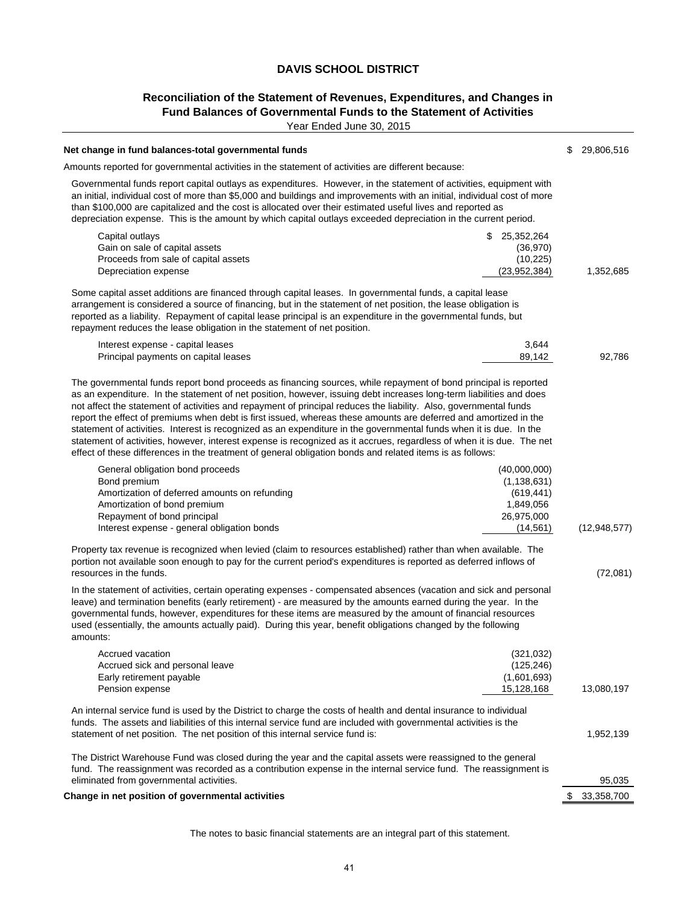# **Reconciliation of the Statement of Revenues, Expenditures, and Changes in Fund Balances of Governmental Funds to the Statement of Activities**

Year Ended June 30, 2015

| Net change in fund balances-total governmental funds                                                                                                                                                                                                                                                                                                                                                                                                                                                                                                                                                                                                                                                                                                                                                                                        | \$<br>29,806,516 |
|---------------------------------------------------------------------------------------------------------------------------------------------------------------------------------------------------------------------------------------------------------------------------------------------------------------------------------------------------------------------------------------------------------------------------------------------------------------------------------------------------------------------------------------------------------------------------------------------------------------------------------------------------------------------------------------------------------------------------------------------------------------------------------------------------------------------------------------------|------------------|
| Amounts reported for governmental activities in the statement of activities are different because:                                                                                                                                                                                                                                                                                                                                                                                                                                                                                                                                                                                                                                                                                                                                          |                  |
| Governmental funds report capital outlays as expenditures. However, in the statement of activities, equipment with<br>an initial, individual cost of more than \$5,000 and buildings and improvements with an initial, individual cost of more<br>than \$100,000 are capitalized and the cost is allocated over their estimated useful lives and reported as<br>depreciation expense. This is the amount by which capital outlays exceeded depreciation in the current period.                                                                                                                                                                                                                                                                                                                                                              |                  |
| \$<br>Capital outlays<br>25,352,264<br>Gain on sale of capital assets<br>(36, 970)<br>Proceeds from sale of capital assets<br>(10, 225)<br>(23,952,384)<br>Depreciation expense                                                                                                                                                                                                                                                                                                                                                                                                                                                                                                                                                                                                                                                             | 1,352,685        |
| Some capital asset additions are financed through capital leases. In governmental funds, a capital lease<br>arrangement is considered a source of financing, but in the statement of net position, the lease obligation is<br>reported as a liability. Repayment of capital lease principal is an expenditure in the governmental funds, but<br>repayment reduces the lease obligation in the statement of net position.                                                                                                                                                                                                                                                                                                                                                                                                                    |                  |
| 3,644<br>Interest expense - capital leases<br>89,142<br>Principal payments on capital leases                                                                                                                                                                                                                                                                                                                                                                                                                                                                                                                                                                                                                                                                                                                                                | 92,786           |
| The governmental funds report bond proceeds as financing sources, while repayment of bond principal is reported<br>as an expenditure. In the statement of net position, however, issuing debt increases long-term liabilities and does<br>not affect the statement of activities and repayment of principal reduces the liability. Also, governmental funds<br>report the effect of premiums when debt is first issued, whereas these amounts are deferred and amortized in the<br>statement of activities. Interest is recognized as an expenditure in the governmental funds when it is due. In the<br>statement of activities, however, interest expense is recognized as it accrues, regardless of when it is due. The net<br>effect of these differences in the treatment of general obligation bonds and related items is as follows: |                  |
| (40,000,000)<br>General obligation bond proceeds<br>Bond premium<br>(1, 138, 631)<br>Amortization of deferred amounts on refunding<br>(619, 441)<br>Amortization of bond premium<br>1,849,056<br>Repayment of bond principal<br>26,975,000<br>(14, 561)<br>Interest expense - general obligation bonds                                                                                                                                                                                                                                                                                                                                                                                                                                                                                                                                      | (12, 948, 577)   |
| Property tax revenue is recognized when levied (claim to resources established) rather than when available. The<br>portion not available soon enough to pay for the current period's expenditures is reported as deferred inflows of<br>resources in the funds.                                                                                                                                                                                                                                                                                                                                                                                                                                                                                                                                                                             | (72,081)         |
| In the statement of activities, certain operating expenses - compensated absences (vacation and sick and personal<br>leave) and termination benefits (early retirement) - are measured by the amounts earned during the year. In the<br>governmental funds, however, expenditures for these items are measured by the amount of financial resources<br>used (essentially, the amounts actually paid). During this year, benefit obligations changed by the following<br>amounts:                                                                                                                                                                                                                                                                                                                                                            |                  |
| Accrued vacation<br>(321, 032)<br>(125, 246)<br>Accrued sick and personal leave<br>(1,601,693)<br>Early retirement payable<br>15,128,168<br>Pension expense                                                                                                                                                                                                                                                                                                                                                                                                                                                                                                                                                                                                                                                                                 | 13,080,197       |
| An internal service fund is used by the District to charge the costs of health and dental insurance to individual<br>funds. The assets and liabilities of this internal service fund are included with governmental activities is the<br>statement of net position. The net position of this internal service fund is:                                                                                                                                                                                                                                                                                                                                                                                                                                                                                                                      | 1,952,139        |
| The District Warehouse Fund was closed during the year and the capital assets were reassigned to the general<br>fund. The reassignment was recorded as a contribution expense in the internal service fund. The reassignment is<br>eliminated from governmental activities.                                                                                                                                                                                                                                                                                                                                                                                                                                                                                                                                                                 | 95,035           |
| Change in net position of governmental activities                                                                                                                                                                                                                                                                                                                                                                                                                                                                                                                                                                                                                                                                                                                                                                                           | \$<br>33,358,700 |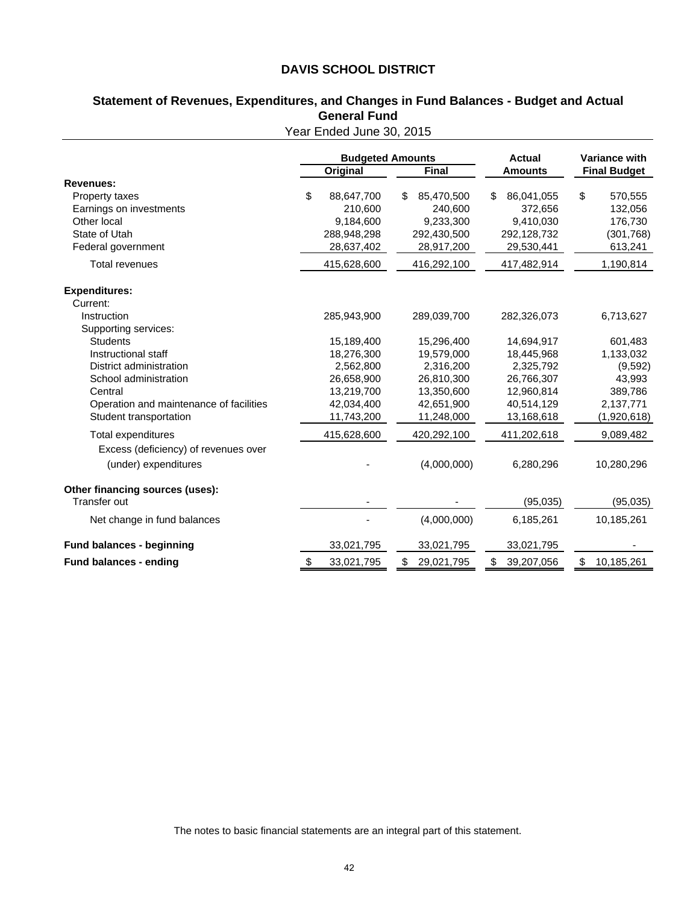# **Statement of Revenues, Expenditures, and Changes in Fund Balances - Budget and Actual General Fund**

|                                         | $\frac{1}{2}$           |     |                         |                         |               |                       |
|-----------------------------------------|-------------------------|-----|-------------------------|-------------------------|---------------|-----------------------|
|                                         | <b>Budgeted Amounts</b> |     |                         | <b>Actual</b>           | Variance with |                       |
|                                         | Original                |     | <b>Final</b>            | <b>Amounts</b>          |               | <b>Final Budget</b>   |
| <b>Revenues:</b>                        |                         |     |                         |                         |               |                       |
| Property taxes                          | \$<br>88,647,700        | \$. | 85,470,500              | \$<br>86,041,055        | \$            | 570,555               |
| Earnings on investments<br>Other local  | 210,600<br>9,184,600    |     | 240,600<br>9,233,300    | 372,656<br>9,410,030    |               | 132,056<br>176,730    |
| State of Utah                           | 288,948,298             |     | 292,430,500             | 292,128,732             |               | (301, 768)            |
| Federal government                      | 28,637,402              |     | 28,917,200              | 29,530,441              |               | 613,241               |
| <b>Total revenues</b>                   | 415,628,600             |     | 416,292,100             | 417,482,914             |               | 1,190,814             |
| <b>Expenditures:</b>                    |                         |     |                         |                         |               |                       |
| Current:                                |                         |     |                         |                         |               |                       |
| Instruction                             | 285,943,900             |     | 289,039,700             | 282,326,073             |               | 6,713,627             |
| Supporting services:                    |                         |     |                         |                         |               |                       |
| <b>Students</b><br>Instructional staff  | 15,189,400              |     | 15,296,400              | 14,694,917              |               | 601,483               |
| District administration                 | 18,276,300<br>2,562,800 |     | 19,579,000<br>2,316,200 | 18,445,968<br>2,325,792 |               | 1,133,032<br>(9, 592) |
| School administration                   | 26,658,900              |     | 26,810,300              | 26,766,307              |               | 43,993                |
| Central                                 | 13,219,700              |     | 13,350,600              | 12,960,814              |               | 389,786               |
| Operation and maintenance of facilities | 42,034,400              |     | 42,651,900              | 40,514,129              |               | 2,137,771             |
| Student transportation                  | 11,743,200              |     | 11,248,000              | 13,168,618              |               | (1,920,618)           |
| Total expenditures                      | 415,628,600             |     | 420,292,100             | 411,202,618             |               | 9,089,482             |
| Excess (deficiency) of revenues over    |                         |     |                         |                         |               |                       |
| (under) expenditures                    |                         |     | (4,000,000)             | 6,280,296               |               | 10,280,296            |
| Other financing sources (uses):         |                         |     |                         |                         |               |                       |
| Transfer out                            |                         |     |                         | (95,035)                |               | (95,035)              |
| Net change in fund balances             |                         |     | (4,000,000)             | 6,185,261               |               | 10,185,261            |
| <b>Fund balances - beginning</b>        | 33,021,795              |     | 33,021,795              | 33,021,795              |               |                       |
| <b>Fund balances - ending</b>           | \$<br>33,021,795        | \$  | 29,021,795              | \$<br>39,207,056        | \$            | 10,185,261            |

Year Ended June 30, 2015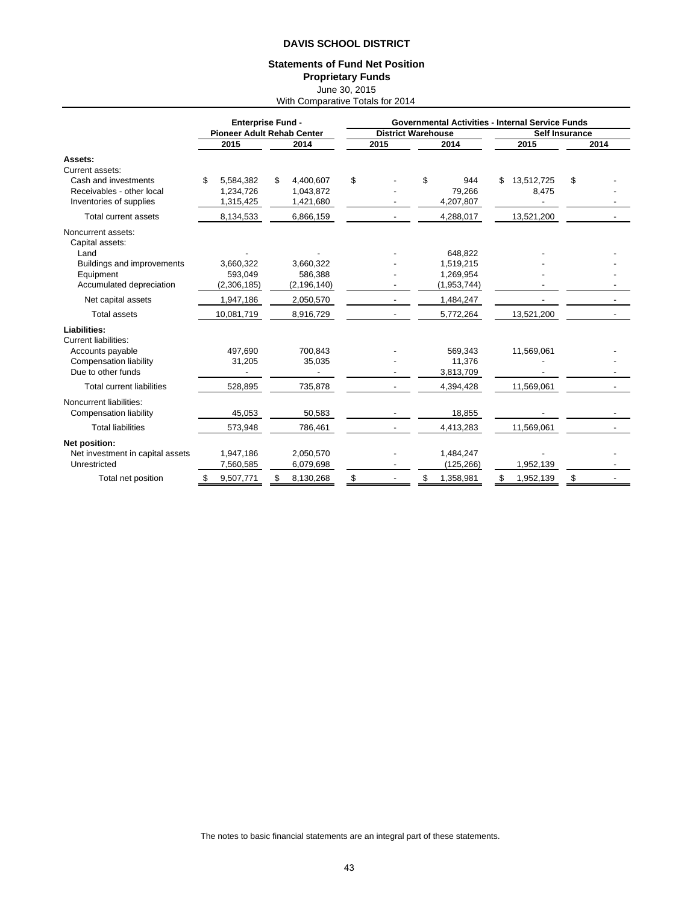#### **Statements of Fund Net Position**

**Proprietary Funds**

June 30, 2015

With Comparative Totals for 2014

|                                                                              | <b>Enterprise Fund -</b>                  |                                           |                          | <b>Governmental Activities - Internal Service Funds</b> |                           |      |  |  |  |  |
|------------------------------------------------------------------------------|-------------------------------------------|-------------------------------------------|--------------------------|---------------------------------------------------------|---------------------------|------|--|--|--|--|
|                                                                              |                                           | <b>Pioneer Adult Rehab Center</b>         |                          | <b>District Warehouse</b>                               | <b>Self Insurance</b>     |      |  |  |  |  |
|                                                                              | 2015                                      | 2014                                      | 2015                     | 2014                                                    |                           | 2014 |  |  |  |  |
| Assets:<br>Current assets:                                                   |                                           |                                           |                          |                                                         |                           |      |  |  |  |  |
| Cash and investments<br>Receivables - other local<br>Inventories of supplies | \$<br>5,584,382<br>1,234,726<br>1,315,425 | \$<br>4,400,607<br>1,043,872<br>1,421,680 | \$                       | 944<br>\$<br>79,266<br>4,207,807                        | \$<br>13,512,725<br>8,475 | \$   |  |  |  |  |
| Total current assets                                                         | 8,134,533                                 | 6,866,159                                 |                          | 4,288,017                                               | 13,521,200                |      |  |  |  |  |
| Noncurrent assets:<br>Capital assets:<br>Land                                |                                           |                                           |                          | 648.822                                                 |                           |      |  |  |  |  |
| Buildings and improvements                                                   | 3,660,322                                 | 3,660,322                                 |                          | 1,519,215                                               |                           |      |  |  |  |  |
| Equipment                                                                    | 593.049                                   | 586.388                                   |                          | 1.269.954                                               |                           |      |  |  |  |  |
| Accumulated depreciation                                                     | (2,306,185)                               | (2, 196, 140)                             |                          | (1,953,744)                                             |                           |      |  |  |  |  |
| Net capital assets                                                           | 1,947,186                                 | 2,050,570                                 |                          | 1,484,247                                               |                           |      |  |  |  |  |
| <b>Total assets</b>                                                          | 10,081,719                                | 8,916,729                                 | $\overline{\phantom{a}}$ | 5,772,264                                               | 13,521,200                |      |  |  |  |  |
| Liabilities:<br><b>Current liabilities:</b>                                  |                                           |                                           |                          |                                                         |                           |      |  |  |  |  |
| Accounts payable                                                             | 497,690                                   | 700,843                                   |                          | 569,343                                                 | 11,569,061                |      |  |  |  |  |
| Compensation liability                                                       | 31,205                                    | 35,035                                    |                          | 11,376                                                  |                           |      |  |  |  |  |
| Due to other funds                                                           |                                           |                                           |                          | 3,813,709                                               |                           |      |  |  |  |  |
| Total current liabilities                                                    | 528,895                                   | 735,878                                   |                          | 4,394,428                                               | 11,569,061                |      |  |  |  |  |
| Noncurrent liabilities:<br>Compensation liability                            | 45,053                                    | 50,583                                    |                          | 18,855                                                  |                           |      |  |  |  |  |
|                                                                              |                                           |                                           |                          |                                                         |                           |      |  |  |  |  |
| <b>Total liabilities</b>                                                     | 573,948                                   | 786,461                                   |                          | 4,413,283                                               | 11,569,061                |      |  |  |  |  |
| Net position:<br>Net investment in capital assets<br>Unrestricted            | 1,947,186<br>7,560,585                    | 2,050,570<br>6,079,698                    |                          | 1,484,247<br>(125, 266)                                 | 1,952,139                 |      |  |  |  |  |
| Total net position                                                           | 9,507,771                                 | \$<br>8,130,268                           | \$                       | \$<br>1,358,981                                         | \$<br>1,952,139           | \$   |  |  |  |  |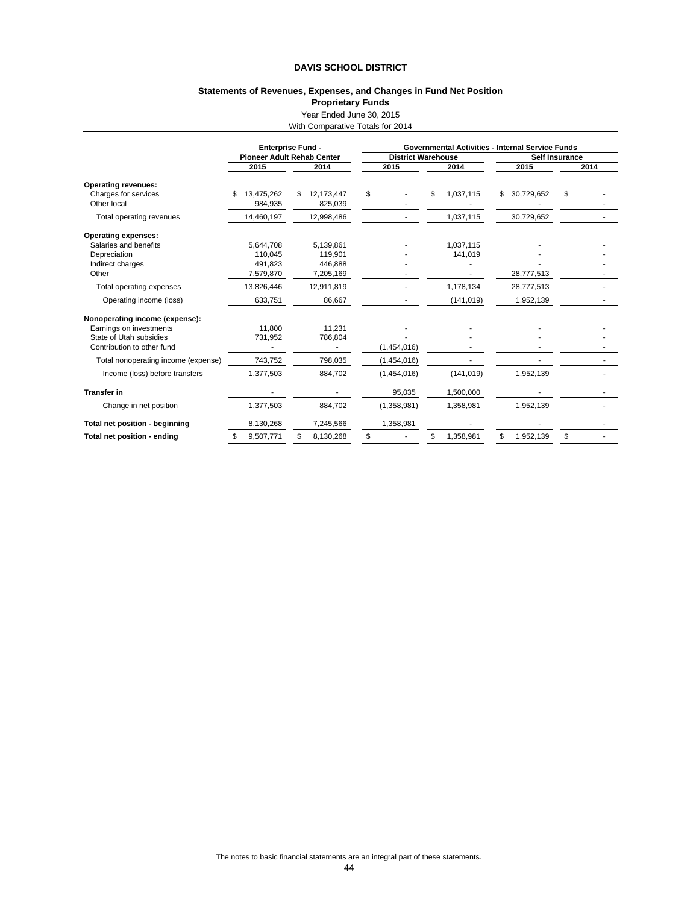#### **Statements of Revenues, Expenses, and Changes in Fund Net Position**

**Proprietary Funds**

Year Ended June 30, 2015

With Comparative Totals for 2014

|                                                                                                                    | <b>Enterprise Fund -</b>                     |                                              | <b>Governmental Activities - Internal Service Funds</b> |                           |                  |                       |  |  |  |  |  |
|--------------------------------------------------------------------------------------------------------------------|----------------------------------------------|----------------------------------------------|---------------------------------------------------------|---------------------------|------------------|-----------------------|--|--|--|--|--|
|                                                                                                                    |                                              | <b>Pioneer Adult Rehab Center</b>            |                                                         | <b>District Warehouse</b> |                  | <b>Self Insurance</b> |  |  |  |  |  |
|                                                                                                                    | 2015<br>2014                                 |                                              | 2015                                                    | 2014                      | 2015             | 2014                  |  |  |  |  |  |
| <b>Operating revenues:</b><br>Charges for services<br>Other local                                                  | 13,475,262<br>S<br>984,935                   | 12,173,447<br>\$<br>825,039                  | \$                                                      | 1,037,115<br>\$           | 30,729,652<br>\$ | \$                    |  |  |  |  |  |
| Total operating revenues                                                                                           | 14,460,197                                   | 12,998,486                                   |                                                         | 1,037,115                 | 30,729,652       |                       |  |  |  |  |  |
| <b>Operating expenses:</b><br>Salaries and benefits<br>Depreciation<br>Indirect charges<br>Other                   | 5,644,708<br>110.045<br>491,823<br>7,579,870 | 5,139,861<br>119,901<br>446,888<br>7,205,169 |                                                         | 1,037,115<br>141,019      | 28,777,513       |                       |  |  |  |  |  |
| Total operating expenses                                                                                           | 13,826,446                                   | 12,911,819                                   |                                                         | 1,178,134                 | 28,777,513       |                       |  |  |  |  |  |
| Operating income (loss)                                                                                            | 633,751                                      | 86,667                                       |                                                         | (141, 019)                | 1,952,139        |                       |  |  |  |  |  |
| Nonoperating income (expense):<br>Earnings on investments<br>State of Utah subsidies<br>Contribution to other fund | 11.800<br>731,952                            | 11.231<br>786,804                            | (1,454,016)                                             |                           |                  |                       |  |  |  |  |  |
| Total nonoperating income (expense)                                                                                | 743,752                                      | 798,035                                      | (1,454,016)                                             |                           |                  |                       |  |  |  |  |  |
| Income (loss) before transfers                                                                                     | 1,377,503                                    | 884,702                                      | (1,454,016)                                             | (141, 019)                | 1,952,139        |                       |  |  |  |  |  |
| <b>Transfer in</b>                                                                                                 |                                              |                                              | 95,035                                                  | 1,500,000                 |                  |                       |  |  |  |  |  |
| Change in net position                                                                                             | 1,377,503                                    | 884,702                                      | (1,358,981)                                             | 1,358,981                 | 1,952,139        |                       |  |  |  |  |  |
| Total net position - beginning                                                                                     | 8,130,268                                    | 7,245,566                                    | 1,358,981                                               |                           |                  |                       |  |  |  |  |  |
| Total net position - ending                                                                                        | 9,507,771                                    | 8,130,268                                    | \$                                                      | 1,358,981<br>S            | \$<br>1,952,139  | \$                    |  |  |  |  |  |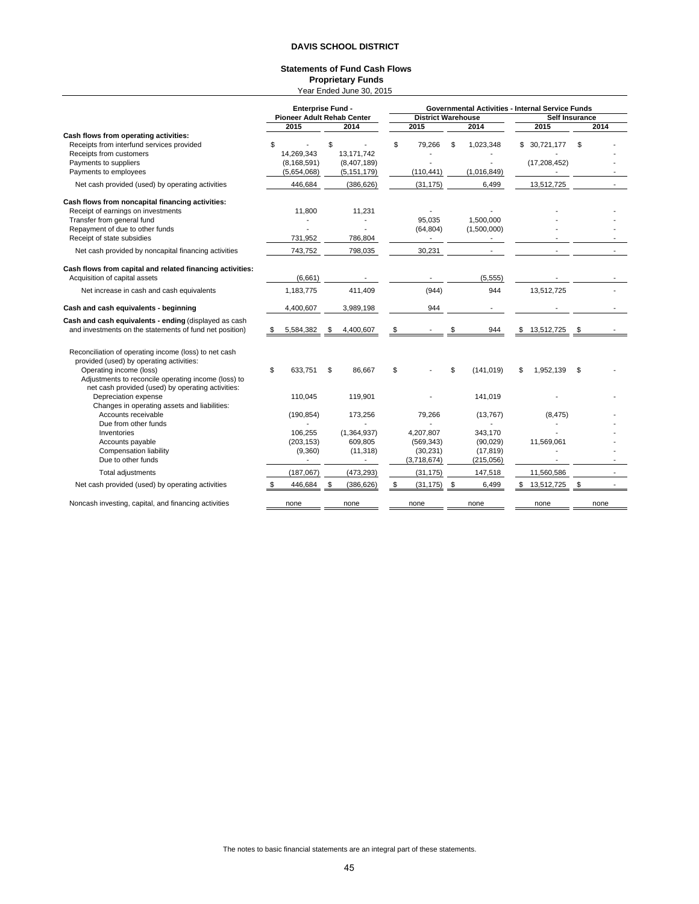#### **Statements of Fund Cash Flows**

 **Proprietary Funds**

Year Ended June 30, 2015

|                                                                                                                                                                                                                                                                  | <b>Enterprise Fund -</b> |                                                                  |                                                  |                           |                                                               |               | Governmental Activities - Internal Service Funds           |                |                              |      |      |
|------------------------------------------------------------------------------------------------------------------------------------------------------------------------------------------------------------------------------------------------------------------|--------------------------|------------------------------------------------------------------|--------------------------------------------------|---------------------------|---------------------------------------------------------------|---------------|------------------------------------------------------------|----------------|------------------------------|------|------|
|                                                                                                                                                                                                                                                                  |                          | <b>Pioneer Adult Rehab Center</b>                                |                                                  | <b>District Warehouse</b> |                                                               |               |                                                            | Self Insurance |                              |      |      |
|                                                                                                                                                                                                                                                                  |                          | 2015                                                             | 2014                                             |                           | 2015                                                          |               | 2014                                                       |                | 2015                         |      | 2014 |
| Cash flows from operating activities:<br>Receipts from interfund services provided<br>Receipts from customers<br>Payments to suppliers<br>Payments to employees                                                                                                  | \$                       | 14,269,343<br>(8, 168, 591)<br>(5,654,068)                       | \$<br>13,171,742<br>(8,407,189)<br>(5, 151, 179) | \$                        | 79,266<br>(110, 441)                                          |               | 1,023,348<br>(1,016,849)                                   | \$             | 30,721,177<br>(17, 208, 452) | S    |      |
| Net cash provided (used) by operating activities                                                                                                                                                                                                                 |                          | 446,684                                                          | (386, 626)                                       |                           | (31, 175)                                                     |               | 6,499                                                      |                | 13,512,725                   |      |      |
| Cash flows from noncapital financing activities:<br>Receipt of earnings on investments<br>Transfer from general fund<br>Repayment of due to other funds<br>Receipt of state subsidies                                                                            |                          | 11,800<br>731,952                                                | 11,231<br>786,804                                |                           | 95,035<br>(64, 804)<br>$\sim$                                 |               | 1,500,000<br>(1,500,000)<br>$\sim$                         |                |                              |      |      |
| Net cash provided by noncapital financing activities                                                                                                                                                                                                             |                          | 743,752                                                          | 798,035                                          |                           | 30.231                                                        |               |                                                            |                |                              |      |      |
| Cash flows from capital and related financing activities:<br>Acquisition of capital assets<br>Net increase in cash and cash equivalents                                                                                                                          |                          | (6,661)<br>1,183,775                                             | 411,409                                          |                           | (944)                                                         |               | (5, 555)<br>944                                            |                | 13,512,725                   |      |      |
| Cash and cash equivalents - beginning                                                                                                                                                                                                                            |                          | 4.400.607                                                        | 3,989,198                                        |                           | 944                                                           |               |                                                            |                |                              |      |      |
| Cash and cash equivalents - ending (displayed as cash<br>and investments on the statements of fund net position)                                                                                                                                                 |                          | 5,584,382                                                        | \$<br>4,400,607                                  | \$                        |                                                               | \$            | 944                                                        | \$             | 13,512,725                   | - \$ |      |
| Reconciliation of operating income (loss) to net cash<br>provided (used) by operating activities:<br>Operating income (loss)<br>Adjustments to reconcile operating income (loss) to<br>net cash provided (used) by operating activities:<br>Depreciation expense | \$                       | 633,751<br>110,045                                               | \$<br>86,667<br>119,901                          | \$                        |                                                               | \$            | (141, 019)<br>141,019                                      | \$             | 1,952,139                    | \$   |      |
| Changes in operating assets and liabilities:<br>Accounts receivable<br>Due from other funds<br>Inventories<br>Accounts payable<br><b>Compensation liability</b><br>Due to other funds                                                                            |                          | (190, 854)<br>106,255<br>(203, 153)<br>(9,360)<br>$\overline{a}$ | 173,256<br>(1,364,937)<br>609,805<br>(11, 318)   |                           | 79,266<br>4.207.807<br>(569, 343)<br>(30, 231)<br>(3,718,674) |               | (13,767)<br>343.170<br>(90, 029)<br>(17, 819)<br>(215,056) |                | (8, 475)<br>11,569,061       |      |      |
| Total adjustments                                                                                                                                                                                                                                                |                          | (187,067)                                                        | (473, 293)                                       |                           | (31, 175)                                                     |               | 147,518                                                    |                | 11,560,586                   |      |      |
| Net cash provided (used) by operating activities                                                                                                                                                                                                                 | \$.                      | 446,684                                                          | \$<br>(386, 626)                                 | \$                        | (31, 175)                                                     | $\mathbf{\$}$ | 6,499                                                      |                | \$ 13,512,725                | \$   |      |
| Noncash investing, capital, and financing activities                                                                                                                                                                                                             |                          | none                                                             | none                                             |                           | none                                                          |               | none                                                       |                | none                         |      | none |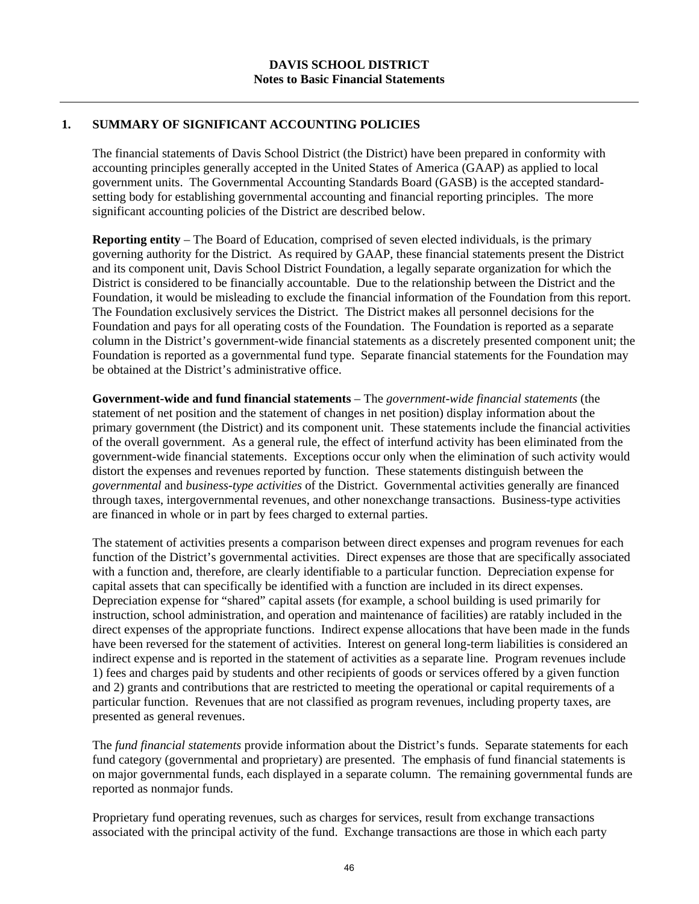#### **1. SUMMARY OF SIGNIFICANT ACCOUNTING POLICIES**

The financial statements of Davis School District (the District) have been prepared in conformity with accounting principles generally accepted in the United States of America (GAAP) as applied to local government units. The Governmental Accounting Standards Board (GASB) is the accepted standardsetting body for establishing governmental accounting and financial reporting principles. The more significant accounting policies of the District are described below.

**Reporting entity** – The Board of Education, comprised of seven elected individuals, is the primary governing authority for the District. As required by GAAP, these financial statements present the District and its component unit, Davis School District Foundation, a legally separate organization for which the District is considered to be financially accountable. Due to the relationship between the District and the Foundation, it would be misleading to exclude the financial information of the Foundation from this report. The Foundation exclusively services the District. The District makes all personnel decisions for the Foundation and pays for all operating costs of the Foundation. The Foundation is reported as a separate column in the District's government-wide financial statements as a discretely presented component unit; the Foundation is reported as a governmental fund type. Separate financial statements for the Foundation may be obtained at the District's administrative office.

**Government-wide and fund financial statements** – The *government-wide financial statements* (the statement of net position and the statement of changes in net position) display information about the primary government (the District) and its component unit. These statements include the financial activities of the overall government. As a general rule, the effect of interfund activity has been eliminated from the government-wide financial statements. Exceptions occur only when the elimination of such activity would distort the expenses and revenues reported by function. These statements distinguish between the *governmental* and *business-type activities* of the District. Governmental activities generally are financed through taxes, intergovernmental revenues, and other nonexchange transactions. Business-type activities are financed in whole or in part by fees charged to external parties.

The statement of activities presents a comparison between direct expenses and program revenues for each function of the District's governmental activities. Direct expenses are those that are specifically associated with a function and, therefore, are clearly identifiable to a particular function. Depreciation expense for capital assets that can specifically be identified with a function are included in its direct expenses. Depreciation expense for "shared" capital assets (for example, a school building is used primarily for instruction, school administration, and operation and maintenance of facilities) are ratably included in the direct expenses of the appropriate functions. Indirect expense allocations that have been made in the funds have been reversed for the statement of activities. Interest on general long-term liabilities is considered an indirect expense and is reported in the statement of activities as a separate line. Program revenues include 1) fees and charges paid by students and other recipients of goods or services offered by a given function and 2) grants and contributions that are restricted to meeting the operational or capital requirements of a particular function. Revenues that are not classified as program revenues, including property taxes, are presented as general revenues.

The *fund financial statements* provide information about the District's funds. Separate statements for each fund category (governmental and proprietary) are presented. The emphasis of fund financial statements is on major governmental funds, each displayed in a separate column. The remaining governmental funds are reported as nonmajor funds.

Proprietary fund operating revenues, such as charges for services, result from exchange transactions associated with the principal activity of the fund. Exchange transactions are those in which each party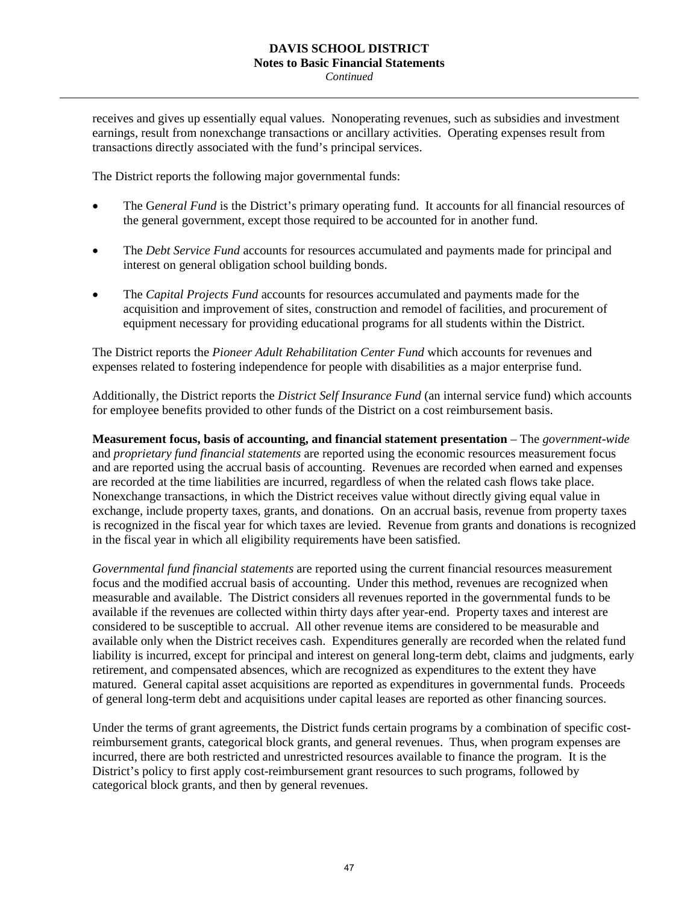*Continued* 

receives and gives up essentially equal values. Nonoperating revenues, such as subsidies and investment earnings, result from nonexchange transactions or ancillary activities. Operating expenses result from transactions directly associated with the fund's principal services.

The District reports the following major governmental funds:

- The G*eneral Fund* is the District's primary operating fund. It accounts for all financial resources of the general government, except those required to be accounted for in another fund.
- The *Debt Service Fund* accounts for resources accumulated and payments made for principal and interest on general obligation school building bonds.
- The *Capital Projects Fund* accounts for resources accumulated and payments made for the acquisition and improvement of sites, construction and remodel of facilities, and procurement of equipment necessary for providing educational programs for all students within the District.

The District reports the *Pioneer Adult Rehabilitation Center Fund* which accounts for revenues and expenses related to fostering independence for people with disabilities as a major enterprise fund.

Additionally, the District reports the *District Self Insurance Fund* (an internal service fund) which accounts for employee benefits provided to other funds of the District on a cost reimbursement basis.

**Measurement focus, basis of accounting, and financial statement presentation** – The *government-wide*  and *proprietary fund financial statements* are reported using the economic resources measurement focus and are reported using the accrual basis of accounting. Revenues are recorded when earned and expenses are recorded at the time liabilities are incurred, regardless of when the related cash flows take place. Nonexchange transactions, in which the District receives value without directly giving equal value in exchange, include property taxes, grants, and donations. On an accrual basis, revenue from property taxes is recognized in the fiscal year for which taxes are levied. Revenue from grants and donations is recognized in the fiscal year in which all eligibility requirements have been satisfied.

*Governmental fund financial statements* are reported using the current financial resources measurement focus and the modified accrual basis of accounting. Under this method, revenues are recognized when measurable and available. The District considers all revenues reported in the governmental funds to be available if the revenues are collected within thirty days after year-end. Property taxes and interest are considered to be susceptible to accrual. All other revenue items are considered to be measurable and available only when the District receives cash. Expenditures generally are recorded when the related fund liability is incurred, except for principal and interest on general long-term debt, claims and judgments, early retirement, and compensated absences, which are recognized as expenditures to the extent they have matured. General capital asset acquisitions are reported as expenditures in governmental funds. Proceeds of general long-term debt and acquisitions under capital leases are reported as other financing sources.

Under the terms of grant agreements, the District funds certain programs by a combination of specific costreimbursement grants, categorical block grants, and general revenues. Thus, when program expenses are incurred, there are both restricted and unrestricted resources available to finance the program. It is the District's policy to first apply cost-reimbursement grant resources to such programs, followed by categorical block grants, and then by general revenues.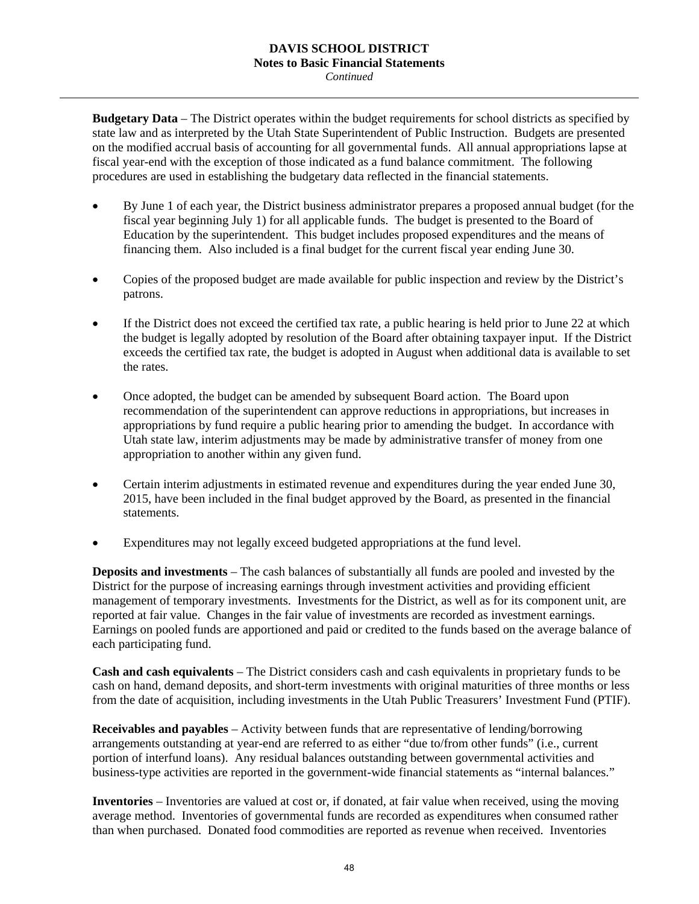*Continued* 

**Budgetary Data** – The District operates within the budget requirements for school districts as specified by state law and as interpreted by the Utah State Superintendent of Public Instruction. Budgets are presented on the modified accrual basis of accounting for all governmental funds. All annual appropriations lapse at fiscal year-end with the exception of those indicated as a fund balance commitment. The following procedures are used in establishing the budgetary data reflected in the financial statements.

- By June 1 of each year, the District business administrator prepares a proposed annual budget (for the fiscal year beginning July 1) for all applicable funds. The budget is presented to the Board of Education by the superintendent. This budget includes proposed expenditures and the means of financing them. Also included is a final budget for the current fiscal year ending June 30.
- Copies of the proposed budget are made available for public inspection and review by the District's patrons.
- If the District does not exceed the certified tax rate, a public hearing is held prior to June 22 at which the budget is legally adopted by resolution of the Board after obtaining taxpayer input. If the District exceeds the certified tax rate, the budget is adopted in August when additional data is available to set the rates.
- Once adopted, the budget can be amended by subsequent Board action. The Board upon recommendation of the superintendent can approve reductions in appropriations, but increases in appropriations by fund require a public hearing prior to amending the budget. In accordance with Utah state law, interim adjustments may be made by administrative transfer of money from one appropriation to another within any given fund.
- Certain interim adjustments in estimated revenue and expenditures during the year ended June 30, 2015, have been included in the final budget approved by the Board, as presented in the financial statements.
- Expenditures may not legally exceed budgeted appropriations at the fund level.

**Deposits and investments** – The cash balances of substantially all funds are pooled and invested by the District for the purpose of increasing earnings through investment activities and providing efficient management of temporary investments. Investments for the District, as well as for its component unit, are reported at fair value. Changes in the fair value of investments are recorded as investment earnings. Earnings on pooled funds are apportioned and paid or credited to the funds based on the average balance of each participating fund.

**Cash and cash equivalents** – The District considers cash and cash equivalents in proprietary funds to be cash on hand, demand deposits, and short-term investments with original maturities of three months or less from the date of acquisition, including investments in the Utah Public Treasurers' Investment Fund (PTIF).

**Receivables and payables** – Activity between funds that are representative of lending/borrowing arrangements outstanding at year-end are referred to as either "due to/from other funds" (i.e., current portion of interfund loans). Any residual balances outstanding between governmental activities and business-type activities are reported in the government-wide financial statements as "internal balances."

**Inventories** – Inventories are valued at cost or, if donated, at fair value when received, using the moving average method. Inventories of governmental funds are recorded as expenditures when consumed rather than when purchased. Donated food commodities are reported as revenue when received. Inventories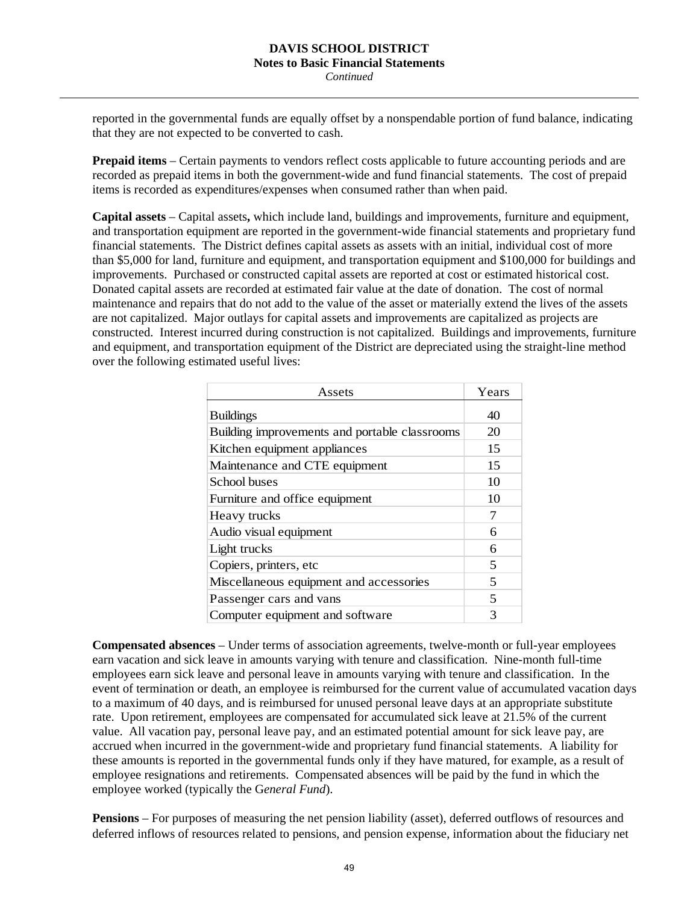*Continued* 

reported in the governmental funds are equally offset by a nonspendable portion of fund balance, indicating that they are not expected to be converted to cash.

**Prepaid items** – Certain payments to vendors reflect costs applicable to future accounting periods and are recorded as prepaid items in both the government-wide and fund financial statements. The cost of prepaid items is recorded as expenditures/expenses when consumed rather than when paid.

**Capital assets** – Capital assets**,** which include land, buildings and improvements, furniture and equipment, and transportation equipment are reported in the government-wide financial statements and proprietary fund financial statements. The District defines capital assets as assets with an initial, individual cost of more than \$5,000 for land, furniture and equipment, and transportation equipment and \$100,000 for buildings and improvements. Purchased or constructed capital assets are reported at cost or estimated historical cost. Donated capital assets are recorded at estimated fair value at the date of donation. The cost of normal maintenance and repairs that do not add to the value of the asset or materially extend the lives of the assets are not capitalized. Major outlays for capital assets and improvements are capitalized as projects are constructed. Interest incurred during construction is not capitalized. Buildings and improvements, furniture and equipment, and transportation equipment of the District are depreciated using the straight-line method over the following estimated useful lives:

| Assets                                        | Years |
|-----------------------------------------------|-------|
| <b>Buildings</b>                              | 40    |
| Building improvements and portable classrooms | 20    |
| Kitchen equipment appliances                  | 15    |
| Maintenance and CTE equipment                 | 15    |
| School buses                                  | 10    |
| Furniture and office equipment                | 10    |
| Heavy trucks                                  | 7     |
| Audio visual equipment                        | 6     |
| Light trucks                                  | 6     |
| Copiers, printers, etc.                       | 5     |
| Miscellaneous equipment and accessories       | 5     |
| Passenger cars and vans                       | 5     |
| Computer equipment and software               | 3     |

**Compensated absences** – Under terms of association agreements, twelve-month or full-year employees earn vacation and sick leave in amounts varying with tenure and classification. Nine-month full-time employees earn sick leave and personal leave in amounts varying with tenure and classification. In the event of termination or death, an employee is reimbursed for the current value of accumulated vacation days to a maximum of 40 days, and is reimbursed for unused personal leave days at an appropriate substitute rate. Upon retirement, employees are compensated for accumulated sick leave at 21.5% of the current value. All vacation pay, personal leave pay, and an estimated potential amount for sick leave pay, are accrued when incurred in the government-wide and proprietary fund financial statements. A liability for these amounts is reported in the governmental funds only if they have matured, for example, as a result of employee resignations and retirements. Compensated absences will be paid by the fund in which the employee worked (typically the G*eneral Fund*).

**Pensions** – For purposes of measuring the net pension liability (asset), deferred outflows of resources and deferred inflows of resources related to pensions, and pension expense, information about the fiduciary net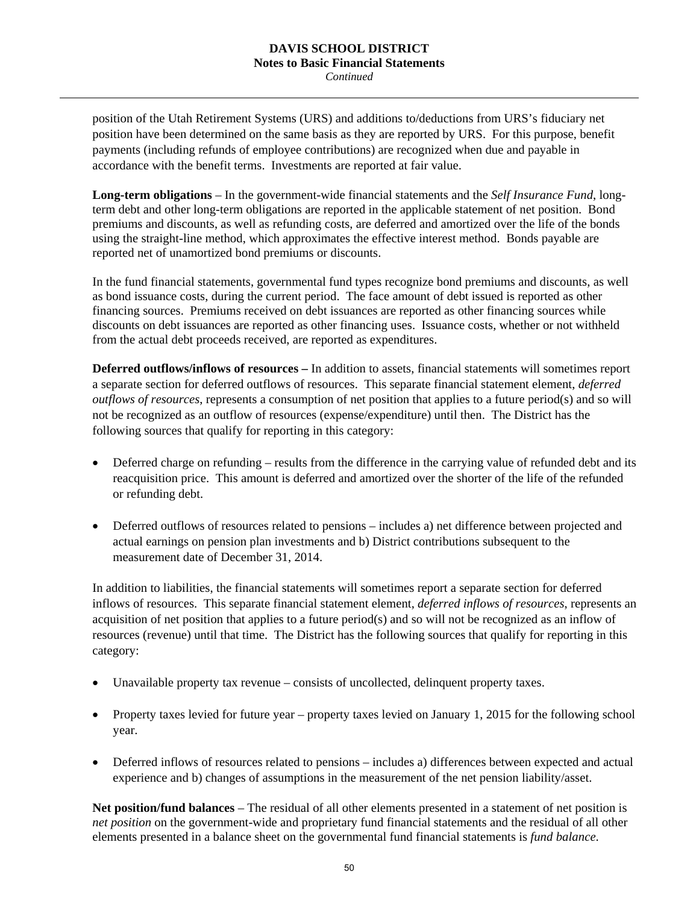*Continued* 

position of the Utah Retirement Systems (URS) and additions to/deductions from URS's fiduciary net position have been determined on the same basis as they are reported by URS. For this purpose, benefit payments (including refunds of employee contributions) are recognized when due and payable in accordance with the benefit terms. Investments are reported at fair value.

**Long-term obligations** – In the government-wide financial statements and the *Self Insurance Fund*, longterm debt and other long-term obligations are reported in the applicable statement of net position. Bond premiums and discounts, as well as refunding costs, are deferred and amortized over the life of the bonds using the straight-line method, which approximates the effective interest method. Bonds payable are reported net of unamortized bond premiums or discounts.

In the fund financial statements, governmental fund types recognize bond premiums and discounts, as well as bond issuance costs, during the current period. The face amount of debt issued is reported as other financing sources. Premiums received on debt issuances are reported as other financing sources while discounts on debt issuances are reported as other financing uses. Issuance costs, whether or not withheld from the actual debt proceeds received, are reported as expenditures.

**Deferred outflows/inflows of resources –** In addition to assets, financial statements will sometimes report a separate section for deferred outflows of resources. This separate financial statement element, *deferred outflows of resources*, represents a consumption of net position that applies to a future period(s) and so will not be recognized as an outflow of resources (expense/expenditure) until then. The District has the following sources that qualify for reporting in this category:

- Deferred charge on refunding results from the difference in the carrying value of refunded debt and its reacquisition price. This amount is deferred and amortized over the shorter of the life of the refunded or refunding debt.
- Deferred outflows of resources related to pensions includes a) net difference between projected and actual earnings on pension plan investments and b) District contributions subsequent to the measurement date of December 31, 2014.

In addition to liabilities, the financial statements will sometimes report a separate section for deferred inflows of resources. This separate financial statement element, *deferred inflows of resources*, represents an acquisition of net position that applies to a future period(s) and so will not be recognized as an inflow of resources (revenue) until that time. The District has the following sources that qualify for reporting in this category:

- Unavailable property tax revenue consists of uncollected, delinquent property taxes.
- Property taxes levied for future year property taxes levied on January 1, 2015 for the following school year.
- Deferred inflows of resources related to pensions includes a) differences between expected and actual experience and b) changes of assumptions in the measurement of the net pension liability/asset.

**Net position/fund balances** – The residual of all other elements presented in a statement of net position is *net position* on the government-wide and proprietary fund financial statements and the residual of all other elements presented in a balance sheet on the governmental fund financial statements is *fund balance*.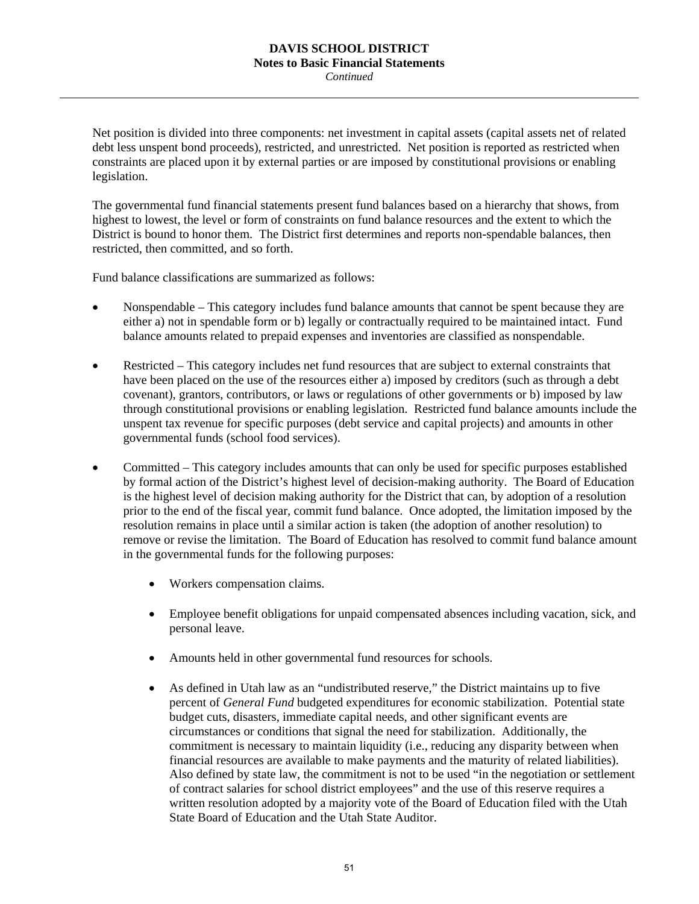*Continued* 

Net position is divided into three components: net investment in capital assets (capital assets net of related debt less unspent bond proceeds), restricted, and unrestricted. Net position is reported as restricted when constraints are placed upon it by external parties or are imposed by constitutional provisions or enabling legislation.

The governmental fund financial statements present fund balances based on a hierarchy that shows, from highest to lowest, the level or form of constraints on fund balance resources and the extent to which the District is bound to honor them. The District first determines and reports non-spendable balances, then restricted, then committed, and so forth.

Fund balance classifications are summarized as follows:

- Nonspendable This category includes fund balance amounts that cannot be spent because they are either a) not in spendable form or b) legally or contractually required to be maintained intact. Fund balance amounts related to prepaid expenses and inventories are classified as nonspendable.
- Restricted This category includes net fund resources that are subject to external constraints that have been placed on the use of the resources either a) imposed by creditors (such as through a debt covenant), grantors, contributors, or laws or regulations of other governments or b) imposed by law through constitutional provisions or enabling legislation. Restricted fund balance amounts include the unspent tax revenue for specific purposes (debt service and capital projects) and amounts in other governmental funds (school food services).
- Committed This category includes amounts that can only be used for specific purposes established by formal action of the District's highest level of decision-making authority. The Board of Education is the highest level of decision making authority for the District that can, by adoption of a resolution prior to the end of the fiscal year, commit fund balance. Once adopted, the limitation imposed by the resolution remains in place until a similar action is taken (the adoption of another resolution) to remove or revise the limitation. The Board of Education has resolved to commit fund balance amount in the governmental funds for the following purposes:
	- Workers compensation claims.
	- Employee benefit obligations for unpaid compensated absences including vacation, sick, and personal leave.
	- Amounts held in other governmental fund resources for schools.
	- As defined in Utah law as an "undistributed reserve," the District maintains up to five percent of *General Fund* budgeted expenditures for economic stabilization. Potential state budget cuts, disasters, immediate capital needs, and other significant events are circumstances or conditions that signal the need for stabilization. Additionally, the commitment is necessary to maintain liquidity (i.e., reducing any disparity between when financial resources are available to make payments and the maturity of related liabilities). Also defined by state law, the commitment is not to be used "in the negotiation or settlement of contract salaries for school district employees" and the use of this reserve requires a written resolution adopted by a majority vote of the Board of Education filed with the Utah State Board of Education and the Utah State Auditor.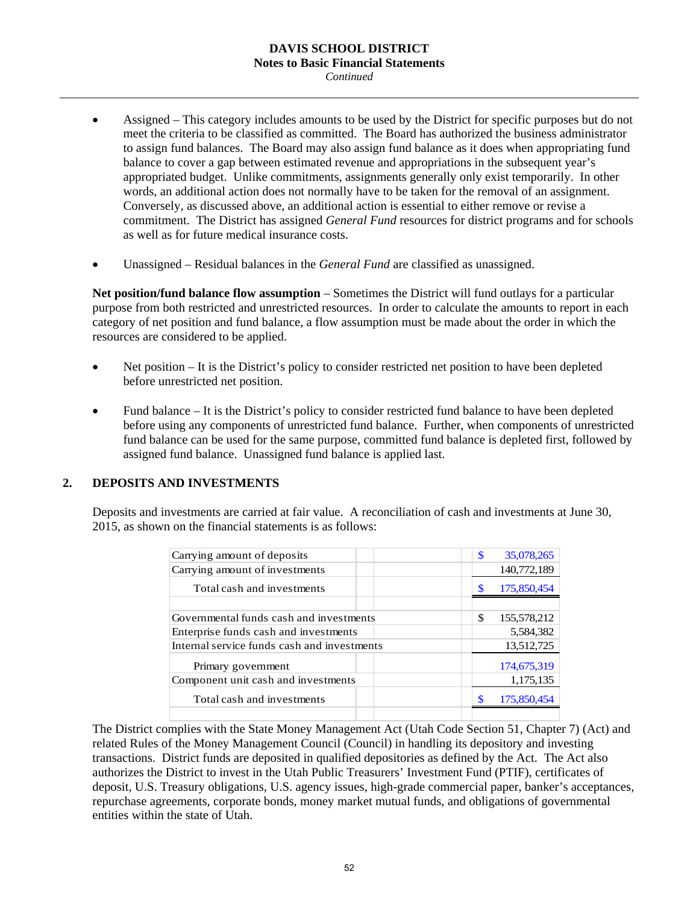*Continued* 

- Assigned This category includes amounts to be used by the District for specific purposes but do not meet the criteria to be classified as committed. The Board has authorized the business administrator to assign fund balances. The Board may also assign fund balance as it does when appropriating fund balance to cover a gap between estimated revenue and appropriations in the subsequent year's appropriated budget. Unlike commitments, assignments generally only exist temporarily. In other words, an additional action does not normally have to be taken for the removal of an assignment. Conversely, as discussed above, an additional action is essential to either remove or revise a commitment. The District has assigned *General Fund* resources for district programs and for schools as well as for future medical insurance costs.
- Unassigned Residual balances in the *General Fund* are classified as unassigned.

**Net position/fund balance flow assumption** – Sometimes the District will fund outlays for a particular purpose from both restricted and unrestricted resources. In order to calculate the amounts to report in each category of net position and fund balance, a flow assumption must be made about the order in which the resources are considered to be applied.

- Net position It is the District's policy to consider restricted net position to have been depleted before unrestricted net position.
- Fund balance It is the District's policy to consider restricted fund balance to have been depleted before using any components of unrestricted fund balance. Further, when components of unrestricted fund balance can be used for the same purpose, committed fund balance is depleted first, followed by assigned fund balance. Unassigned fund balance is applied last.

# **2. DEPOSITS AND INVESTMENTS**

Deposits and investments are carried at fair value. A reconciliation of cash and investments at June 30, 2015, as shown on the financial statements is as follows:

| Carrying amount of deposits                 | \$.<br>35,078,265 |
|---------------------------------------------|-------------------|
| Carrying amount of investments              | 140,772,189       |
| Total cash and investments                  | \$<br>175,850,454 |
|                                             |                   |
| Governmental funds cash and investments     | \$<br>155,578,212 |
| Enterprise funds cash and investments       | 5,584,382         |
| Internal service funds cash and investments | 13,512,725        |
| Primary government                          | 174,675,319       |
| Component unit cash and investments         | 1,175,135         |
| Total cash and investments                  | \$<br>175,850,454 |
|                                             |                   |

The District complies with the State Money Management Act (Utah Code Section 51, Chapter 7) (Act) and related Rules of the Money Management Council (Council) in handling its depository and investing transactions. District funds are deposited in qualified depositories as defined by the Act. The Act also authorizes the District to invest in the Utah Public Treasurers' Investment Fund (PTIF), certificates of deposit, U.S. Treasury obligations, U.S. agency issues, high-grade commercial paper, banker's acceptances, repurchase agreements, corporate bonds, money market mutual funds, and obligations of governmental entities within the state of Utah.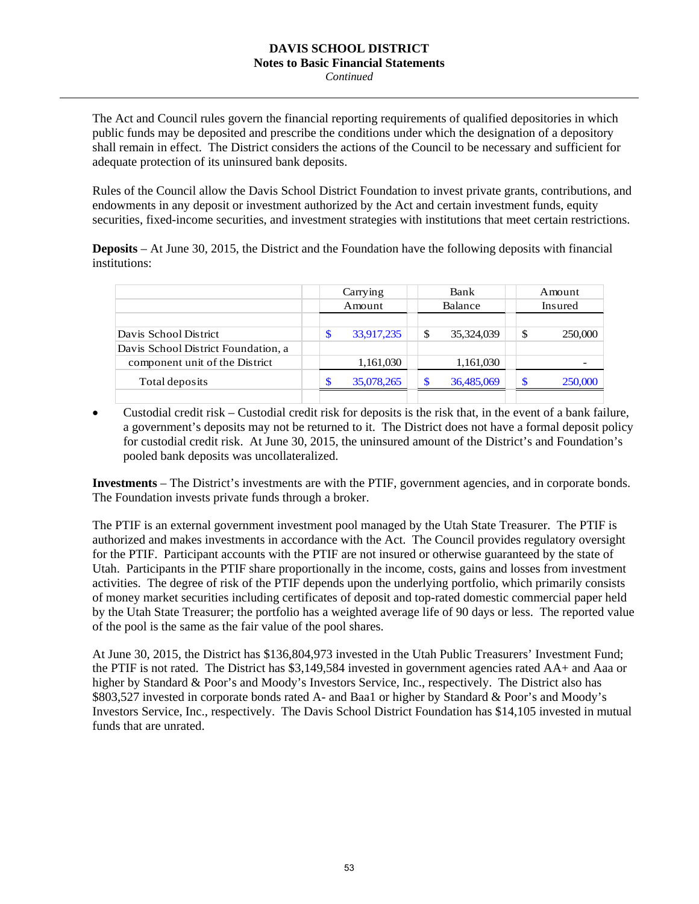*Continued* 

The Act and Council rules govern the financial reporting requirements of qualified depositories in which public funds may be deposited and prescribe the conditions under which the designation of a depository shall remain in effect. The District considers the actions of the Council to be necessary and sufficient for adequate protection of its uninsured bank deposits.

Rules of the Council allow the Davis School District Foundation to invest private grants, contributions, and endowments in any deposit or investment authorized by the Act and certain investment funds, equity securities, fixed-income securities, and investment strategies with institutions that meet certain restrictions.

**Deposits** – At June 30, 2015, the District and the Foundation have the following deposits with financial institutions:

|                                     | Carrying |            |    | Bank<br>Balance |  |    | Amount  |
|-------------------------------------|----------|------------|----|-----------------|--|----|---------|
|                                     |          | Amount     |    |                 |  |    | Insured |
|                                     |          |            |    |                 |  |    |         |
| Davis School District               | S        | 33,917,235 | \$ | 35,324,039      |  | \$ | 250,000 |
| Davis School District Foundation, a |          |            |    |                 |  |    |         |
| component unit of the District      |          | 1,161,030  |    | 1,161,030       |  |    |         |
| Total deposits                      |          | 35,078,265 |    | 36,485,069      |  | ¢  | 250,000 |
|                                     |          |            |    |                 |  |    |         |

 Custodial credit risk – Custodial credit risk for deposits is the risk that, in the event of a bank failure, a government's deposits may not be returned to it. The District does not have a formal deposit policy for custodial credit risk. At June 30, 2015, the uninsured amount of the District's and Foundation's pooled bank deposits was uncollateralized.

**Investments** – The District's investments are with the PTIF, government agencies, and in corporate bonds. The Foundation invests private funds through a broker.

The PTIF is an external government investment pool managed by the Utah State Treasurer. The PTIF is authorized and makes investments in accordance with the Act. The Council provides regulatory oversight for the PTIF. Participant accounts with the PTIF are not insured or otherwise guaranteed by the state of Utah. Participants in the PTIF share proportionally in the income, costs, gains and losses from investment activities. The degree of risk of the PTIF depends upon the underlying portfolio, which primarily consists of money market securities including certificates of deposit and top-rated domestic commercial paper held by the Utah State Treasurer; the portfolio has a weighted average life of 90 days or less. The reported value of the pool is the same as the fair value of the pool shares.

At June 30, 2015, the District has \$136,804,973 invested in the Utah Public Treasurers' Investment Fund; the PTIF is not rated. The District has \$3,149,584 invested in government agencies rated AA+ and Aaa or higher by Standard & Poor's and Moody's Investors Service, Inc., respectively. The District also has \$803,527 invested in corporate bonds rated A- and Baa1 or higher by Standard & Poor's and Moody's Investors Service, Inc., respectively. The Davis School District Foundation has \$14,105 invested in mutual funds that are unrated.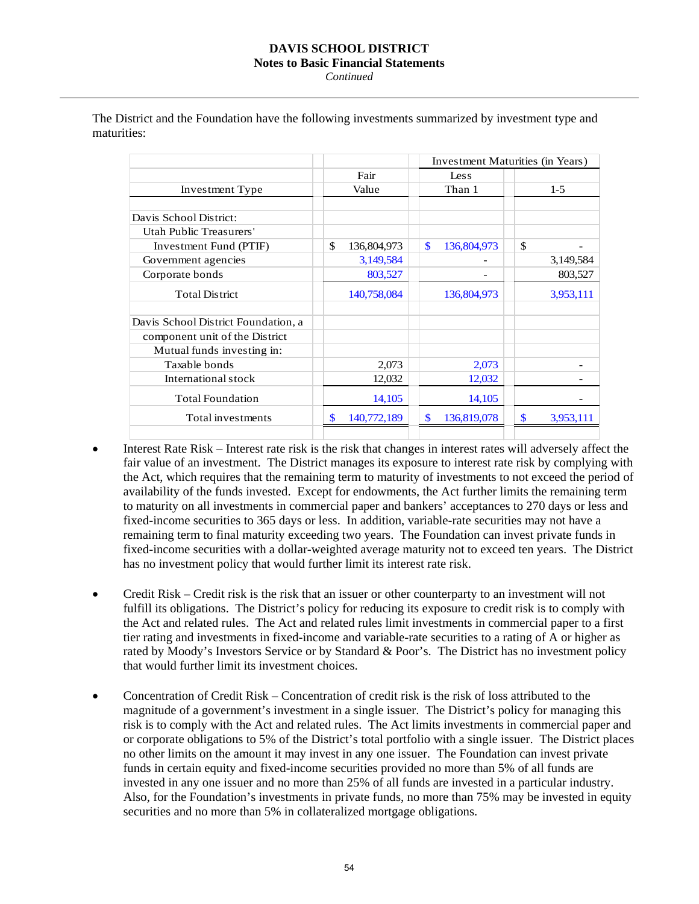*Continued* 

|                                     |                   |                             | Investment Maturities (in Years) |  |  |
|-------------------------------------|-------------------|-----------------------------|----------------------------------|--|--|
|                                     | Fair              | Less                        |                                  |  |  |
| Investment Type                     | Value             | Than 1                      | $1-5$                            |  |  |
|                                     |                   |                             |                                  |  |  |
| Davis School District:              |                   |                             |                                  |  |  |
| Utah Public Treasurers'             |                   |                             |                                  |  |  |
| Investment Fund (PTIF)              | \$<br>136,804,973 | $\mathbf{s}$<br>136,804,973 | \$                               |  |  |
| Government agencies                 | 3,149,584         |                             | 3,149,584                        |  |  |
| Corporate bonds                     | 803,527           |                             | 803,527                          |  |  |
| <b>Total District</b>               | 140,758,084       | 136,804,973                 | 3,953,111                        |  |  |
| Davis School District Foundation, a |                   |                             |                                  |  |  |
| component unit of the District      |                   |                             |                                  |  |  |
| Mutual funds investing in:          |                   |                             |                                  |  |  |
| Taxable bonds                       | 2,073             | 2,073                       |                                  |  |  |
| International stock                 | 12,032            | 12,032                      |                                  |  |  |
| <b>Total Foundation</b>             | 14,105            | 14,105                      |                                  |  |  |
| Total investments                   | 140,772,189<br>\$ | \$<br>136,819,078           | $\mathbf{\$}$<br>3,953,111       |  |  |
|                                     |                   |                             |                                  |  |  |

The District and the Foundation have the following investments summarized by investment type and maturities:

- Interest Rate Risk Interest rate risk is the risk that changes in interest rates will adversely affect the fair value of an investment. The District manages its exposure to interest rate risk by complying with the Act, which requires that the remaining term to maturity of investments to not exceed the period of availability of the funds invested. Except for endowments, the Act further limits the remaining term to maturity on all investments in commercial paper and bankers' acceptances to 270 days or less and fixed-income securities to 365 days or less. In addition, variable-rate securities may not have a remaining term to final maturity exceeding two years. The Foundation can invest private funds in fixed-income securities with a dollar-weighted average maturity not to exceed ten years. The District has no investment policy that would further limit its interest rate risk.
- Credit Risk Credit risk is the risk that an issuer or other counterparty to an investment will not fulfill its obligations. The District's policy for reducing its exposure to credit risk is to comply with the Act and related rules. The Act and related rules limit investments in commercial paper to a first tier rating and investments in fixed-income and variable-rate securities to a rating of A or higher as rated by Moody's Investors Service or by Standard & Poor's. The District has no investment policy that would further limit its investment choices.
- Concentration of Credit Risk Concentration of credit risk is the risk of loss attributed to the magnitude of a government's investment in a single issuer. The District's policy for managing this risk is to comply with the Act and related rules. The Act limits investments in commercial paper and or corporate obligations to 5% of the District's total portfolio with a single issuer. The District places no other limits on the amount it may invest in any one issuer. The Foundation can invest private funds in certain equity and fixed-income securities provided no more than 5% of all funds are invested in any one issuer and no more than 25% of all funds are invested in a particular industry. Also, for the Foundation's investments in private funds, no more than 75% may be invested in equity securities and no more than 5% in collateralized mortgage obligations.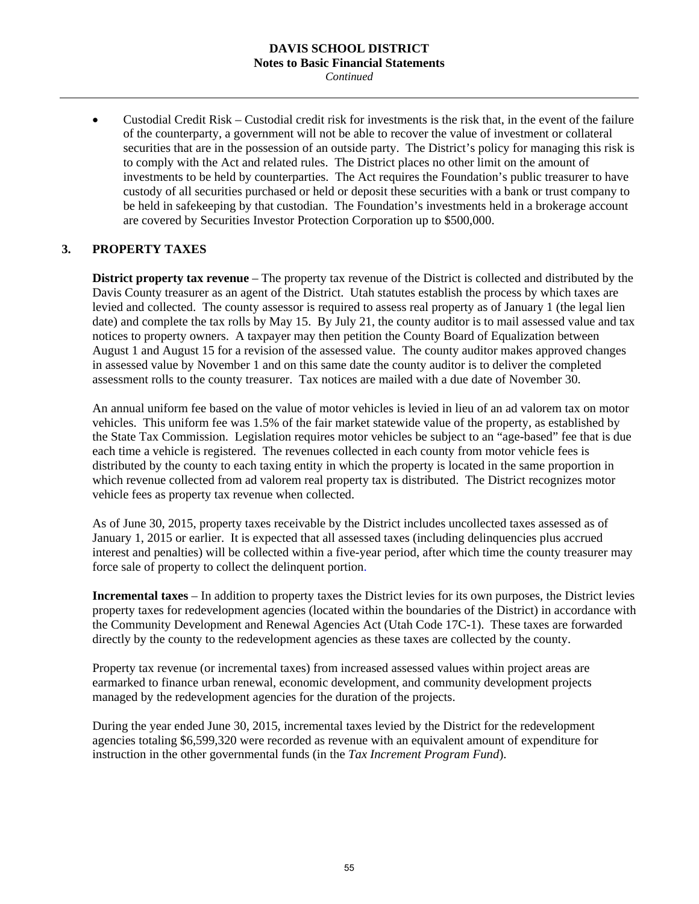*Continued* 

 Custodial Credit Risk – Custodial credit risk for investments is the risk that, in the event of the failure of the counterparty, a government will not be able to recover the value of investment or collateral securities that are in the possession of an outside party. The District's policy for managing this risk is to comply with the Act and related rules. The District places no other limit on the amount of investments to be held by counterparties. The Act requires the Foundation's public treasurer to have custody of all securities purchased or held or deposit these securities with a bank or trust company to be held in safekeeping by that custodian. The Foundation's investments held in a brokerage account are covered by Securities Investor Protection Corporation up to \$500,000.

#### **3. PROPERTY TAXES**

**District property tax revenue** – The property tax revenue of the District is collected and distributed by the Davis County treasurer as an agent of the District. Utah statutes establish the process by which taxes are levied and collected. The county assessor is required to assess real property as of January 1 (the legal lien date) and complete the tax rolls by May 15. By July 21, the county auditor is to mail assessed value and tax notices to property owners. A taxpayer may then petition the County Board of Equalization between August 1 and August 15 for a revision of the assessed value. The county auditor makes approved changes in assessed value by November 1 and on this same date the county auditor is to deliver the completed assessment rolls to the county treasurer. Tax notices are mailed with a due date of November 30.

An annual uniform fee based on the value of motor vehicles is levied in lieu of an ad valorem tax on motor vehicles. This uniform fee was 1.5% of the fair market statewide value of the property, as established by the State Tax Commission. Legislation requires motor vehicles be subject to an "age-based" fee that is due each time a vehicle is registered. The revenues collected in each county from motor vehicle fees is distributed by the county to each taxing entity in which the property is located in the same proportion in which revenue collected from ad valorem real property tax is distributed. The District recognizes motor vehicle fees as property tax revenue when collected.

As of June 30, 2015, property taxes receivable by the District includes uncollected taxes assessed as of January 1, 2015 or earlier. It is expected that all assessed taxes (including delinquencies plus accrued interest and penalties) will be collected within a five-year period, after which time the county treasurer may force sale of property to collect the delinquent portion.

**Incremental taxes** – In addition to property taxes the District levies for its own purposes, the District levies property taxes for redevelopment agencies (located within the boundaries of the District) in accordance with the Community Development and Renewal Agencies Act (Utah Code 17C-1). These taxes are forwarded directly by the county to the redevelopment agencies as these taxes are collected by the county.

Property tax revenue (or incremental taxes) from increased assessed values within project areas are earmarked to finance urban renewal, economic development, and community development projects managed by the redevelopment agencies for the duration of the projects.

During the year ended June 30, 2015, incremental taxes levied by the District for the redevelopment agencies totaling \$6,599,320 were recorded as revenue with an equivalent amount of expenditure for instruction in the other governmental funds (in the *Tax Increment Program Fund*).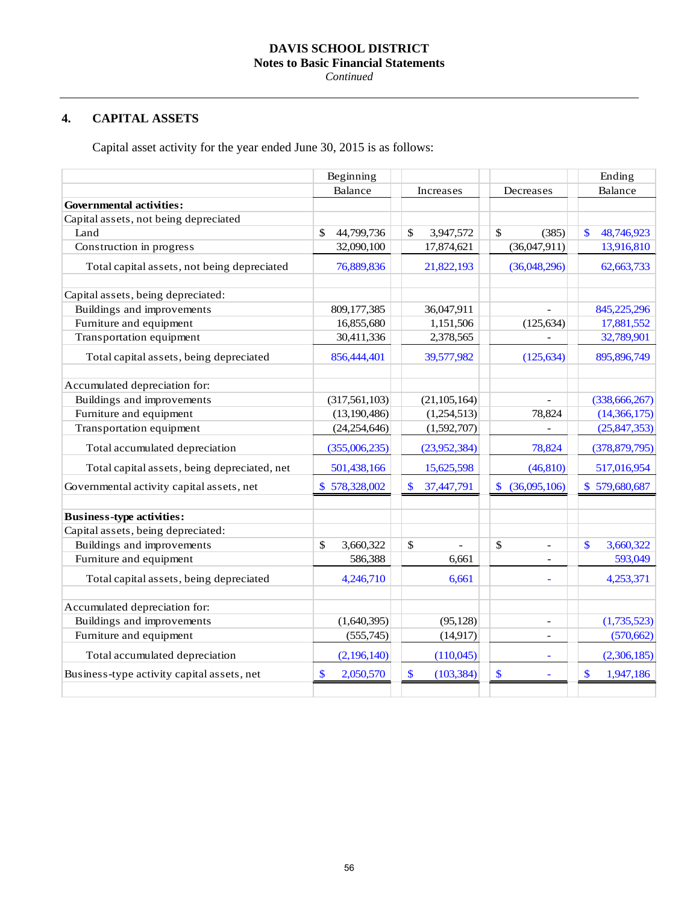*Continued* 

# **4. CAPITAL ASSETS**

Capital asset activity for the year ended June 30, 2015 is as follows:

|                                              | Beginning                  |                             |                                | Ending                     |
|----------------------------------------------|----------------------------|-----------------------------|--------------------------------|----------------------------|
|                                              | Balance                    | Increases                   | Decreases                      | Balance                    |
| <b>Governmental activities:</b>              |                            |                             |                                |                            |
| Capital assets, not being depreciated        |                            |                             |                                |                            |
| Land                                         | \$<br>44,799,736           | \$<br>3,947,572             | $\mathbb{S}$<br>(385)          | 48,746,923<br>$\mathbf{s}$ |
| Construction in progress                     | 32,090,100                 | 17,874,621                  | (36,047,911)                   | 13,916,810                 |
| Total capital assets, not being depreciated  | 76,889,836                 | 21,822,193                  | (36,048,296)                   | 62,663,733                 |
| Capital assets, being depreciated:           |                            |                             |                                |                            |
| Buildings and improvements                   | 809,177,385                | 36,047,911                  |                                | 845,225,296                |
| Furniture and equipment                      | 16,855,680                 | 1,151,506                   | (125, 634)                     | 17,881,552                 |
| Transportation equipment                     | 30,411,336                 | 2,378,565                   |                                | 32,789,901                 |
| Total capital assets, being depreciated      | 856,444,401                | 39,577,982                  | (125, 634)                     | 895,896,749                |
| Accumulated depreciation for:                |                            |                             |                                |                            |
| Buildings and improvements                   | (317, 561, 103)            | (21, 105, 164)              |                                | (338, 666, 267)            |
| Furniture and equipment                      | (13, 190, 486)             | (1,254,513)                 | 78,824                         | (14,366,175)               |
| Transportation equipment                     | (24, 254, 646)             | (1,592,707)                 |                                | (25, 847, 353)             |
| Total accumulated depreciation               | (355,006,235)              | (23,952,384)                | 78,824                         | (378, 879, 795)            |
| Total capital assets, being depreciated, net | 501,438,166                | 15,625,598                  | (46, 810)                      | 517,016,954                |
| Governmental activity capital assets, net    | \$578,328,002              | $\mathbf{\$}$<br>37,447,791 | \$ (36,095,106)                | \$579,680,687              |
| <b>Business-type activities:</b>             |                            |                             |                                |                            |
| Capital assets, being depreciated:           |                            |                             |                                |                            |
| Buildings and improvements                   | \$<br>3,660,322            | \$<br>$\overline{a}$        | $\mathbb{S}$<br>$\blacksquare$ | $\mathbf{\$}$<br>3,660,322 |
| Furniture and equipment                      | 586,388                    | 6,661                       | $\overline{\phantom{a}}$       | 593,049                    |
| Total capital assets, being depreciated      | 4,246,710                  | 6,661                       | $\blacksquare$                 | 4,253,371                  |
| Accumulated depreciation for:                |                            |                             |                                |                            |
| Buildings and improvements                   | (1,640,395)                | (95, 128)                   | $\overline{\phantom{a}}$       | (1,735,523)                |
| Furniture and equipment                      | (555,745)                  | (14, 917)                   |                                | (570, 662)                 |
| Total accumulated depreciation               | (2,196,140)                | (110,045)                   | $\blacksquare$                 | (2,306,185)                |
| Business-type activity capital assets, net   | $\mathbf{\$}$<br>2,050,570 | \$<br>(103, 384)            | \$                             | \$<br>1,947,186            |
|                                              |                            |                             |                                |                            |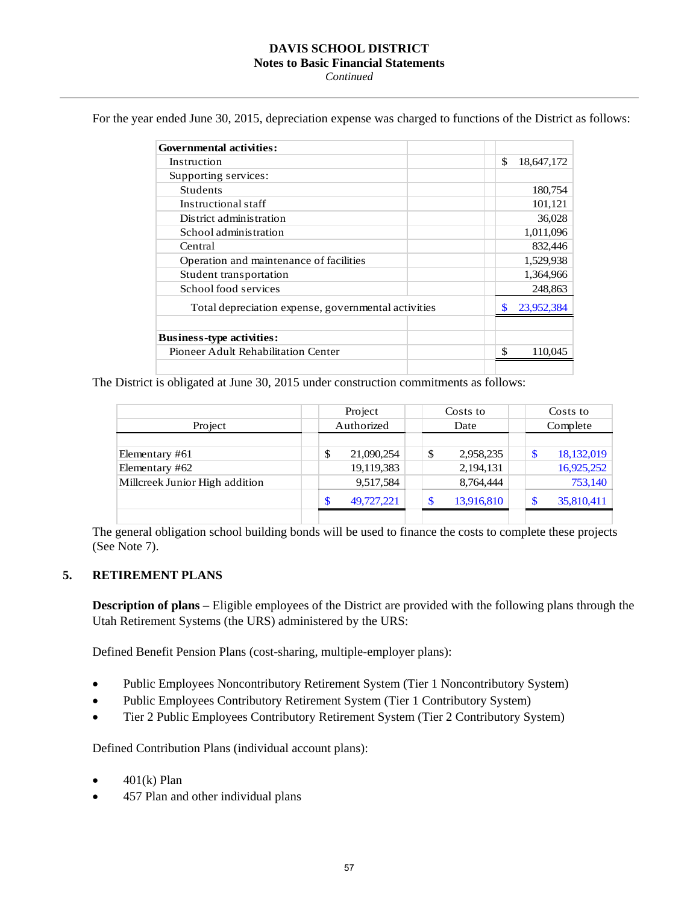*Continued* 

For the year ended June 30, 2015, depreciation expense was charged to functions of the District as follows:

| <b>Governmental activities:</b>                     |                  |
|-----------------------------------------------------|------------------|
| Instruction                                         | \$<br>18,647,172 |
| Supporting services:                                |                  |
| <b>Students</b>                                     | 180,754          |
| Instructional staff                                 | 101,121          |
| District administration                             | 36,028           |
| School administration                               | 1,011,096        |
| Central                                             | 832,446          |
| Operation and maintenance of facilities             | 1,529,938        |
| Student transportation                              | 1,364,966        |
| School food services                                | 248,863          |
| Total depreciation expense, governmental activities | \$<br>23,952,384 |
|                                                     |                  |
| <b>Business-type activities:</b>                    |                  |
| Pioneer Adult Rehabilitation Center                 | \$<br>110,045    |
|                                                     |                  |

The District is obligated at June 30, 2015 under construction commitments as follows:

|                                |    | Project    |  | Costs to |            |      |  | Costs to   |  |          |  |
|--------------------------------|----|------------|--|----------|------------|------|--|------------|--|----------|--|
| Project                        |    | Authorized |  |          |            | Date |  |            |  | Complete |  |
|                                |    |            |  |          |            |      |  |            |  |          |  |
| Elementary #61                 | \$ | 21,090,254 |  | \$       | 2,958,235  |      |  | 18,132,019 |  |          |  |
| Elementary #62                 |    | 19,119,383 |  |          | 2,194,131  |      |  | 16,925,252 |  |          |  |
| Millcreek Junior High addition |    | 9,517,584  |  |          | 8,764,444  |      |  | 753,140    |  |          |  |
|                                |    | 49,727,221 |  |          | 13,916,810 |      |  | 35,810,411 |  |          |  |
|                                |    |            |  |          |            |      |  |            |  |          |  |

The general obligation school building bonds will be used to finance the costs to complete these projects (See Note 7).

#### **5. RETIREMENT PLANS**

**Description of plans** – Eligible employees of the District are provided with the following plans through the Utah Retirement Systems (the URS) administered by the URS:

Defined Benefit Pension Plans (cost-sharing, multiple-employer plans):

- Public Employees Noncontributory Retirement System (Tier 1 Noncontributory System)
- Public Employees Contributory Retirement System (Tier 1 Contributory System)
- Tier 2 Public Employees Contributory Retirement System (Tier 2 Contributory System)

Defined Contribution Plans (individual account plans):

- $401(k)$  Plan
- 457 Plan and other individual plans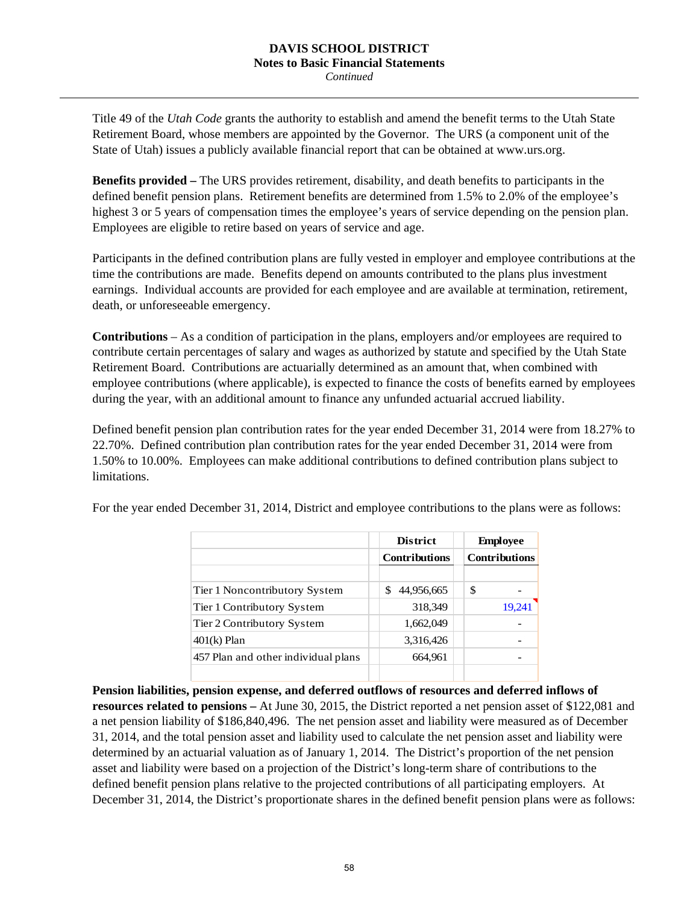*Continued* 

Title 49 of the *Utah Code* grants the authority to establish and amend the benefit terms to the Utah State Retirement Board, whose members are appointed by the Governor. The URS (a component unit of the State of Utah) issues a publicly available financial report that can be obtained at www.urs.org.

**Benefits provided –** The URS provides retirement, disability, and death benefits to participants in the defined benefit pension plans. Retirement benefits are determined from 1.5% to 2.0% of the employee's highest 3 or 5 years of compensation times the employee's years of service depending on the pension plan. Employees are eligible to retire based on years of service and age.

Participants in the defined contribution plans are fully vested in employer and employee contributions at the time the contributions are made. Benefits depend on amounts contributed to the plans plus investment earnings. Individual accounts are provided for each employee and are available at termination, retirement, death, or unforeseeable emergency.

**Contributions** – As a condition of participation in the plans, employers and/or employees are required to contribute certain percentages of salary and wages as authorized by statute and specified by the Utah State Retirement Board. Contributions are actuarially determined as an amount that, when combined with employee contributions (where applicable), is expected to finance the costs of benefits earned by employees during the year, with an additional amount to finance any unfunded actuarial accrued liability.

Defined benefit pension plan contribution rates for the year ended December 31, 2014 were from 18.27% to 22.70%. Defined contribution plan contribution rates for the year ended December 31, 2014 were from 1.50% to 10.00%. Employees can make additional contributions to defined contribution plans subject to limitations.

| For the year ended December 31, 2014, District and employee contributions to the plans were as follows: |  |  |
|---------------------------------------------------------------------------------------------------------|--|--|
|                                                                                                         |  |  |

|                                     | <b>District</b>      | <b>Employee</b>      |
|-------------------------------------|----------------------|----------------------|
|                                     | <b>Contributions</b> | <b>Contributions</b> |
|                                     |                      |                      |
| Tier 1 Noncontributory System       | 44,956,665           | \$                   |
| Tier 1 Contributory System          | 318,349              | 19.241               |
| Tier 2 Contributory System          | 1,662,049            |                      |
| $401(k)$ Plan                       | 3,316,426            |                      |
| 457 Plan and other individual plans | 664,961              |                      |
|                                     |                      |                      |

**Pension liabilities, pension expense, and deferred outflows of resources and deferred inflows of resources related to pensions –** At June 30, 2015, the District reported a net pension asset of \$122,081 and a net pension liability of \$186,840,496. The net pension asset and liability were measured as of December 31, 2014, and the total pension asset and liability used to calculate the net pension asset and liability were determined by an actuarial valuation as of January 1, 2014. The District's proportion of the net pension asset and liability were based on a projection of the District's long-term share of contributions to the defined benefit pension plans relative to the projected contributions of all participating employers. At December 31, 2014, the District's proportionate shares in the defined benefit pension plans were as follows: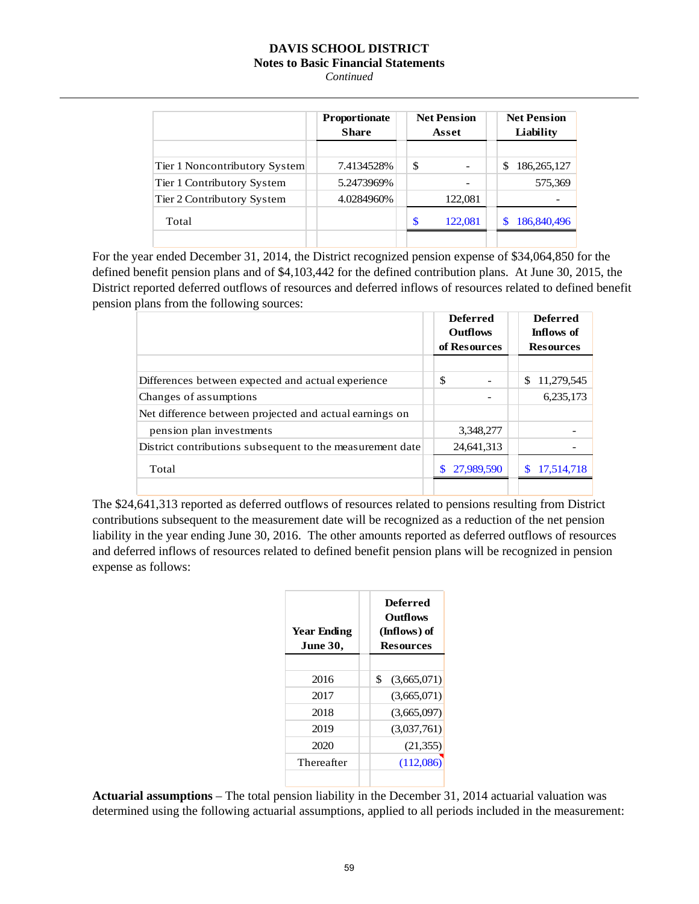*Continued* 

|                               | Proportionate<br><b>Share</b> | <b>Net Pension</b><br>Asset | <b>Net Pension</b><br>Liability |
|-------------------------------|-------------------------------|-----------------------------|---------------------------------|
|                               |                               |                             |                                 |
| Tier 1 Noncontributory System | 7.4134528%                    | \$                          | 186, 265, 127<br>S              |
| Tier 1 Contributory System    | 5.2473969%                    |                             | 575,369                         |
| Tier 2 Contributory System    | 4.0284960%                    | 122,081                     |                                 |
| Total                         |                               | \$<br>122,081               | 186,840,496<br>S                |
|                               |                               |                             |                                 |

For the year ended December 31, 2014, the District recognized pension expense of \$34,064,850 for the defined benefit pension plans and of \$4,103,442 for the defined contribution plans. At June 30, 2015, the District reported deferred outflows of resources and deferred inflows of resources related to defined benefit pension plans from the following sources:

|                                                           | <b>Deferred</b><br><b>Outflows</b><br>of Resources | <b>Deferred</b><br>Inflows of<br><b>Resources</b> |
|-----------------------------------------------------------|----------------------------------------------------|---------------------------------------------------|
| Differences between expected and actual experience        | \$                                                 | \$.<br>11,279,545                                 |
| Changes of assumptions                                    |                                                    | 6,235,173                                         |
| Net difference between projected and actual earnings on   |                                                    |                                                   |
| pension plan investments                                  | 3,348,277                                          |                                                   |
| District contributions subsequent to the measurement date | 24,641,313                                         |                                                   |
| Total                                                     | 27,989,590                                         | 17.514.718<br>S.                                  |
|                                                           |                                                    |                                                   |

The \$24,641,313 reported as deferred outflows of resources related to pensions resulting from District contributions subsequent to the measurement date will be recognized as a reduction of the net pension liability in the year ending June 30, 2016. The other amounts reported as deferred outflows of resources and deferred inflows of resources related to defined benefit pension plans will be recognized in pension expense as follows:

| <b>Year Ending</b><br><b>June 30,</b> | <b>Deferred</b><br><b>Outflows</b><br>(Inflows) of<br><b>Resources</b> |
|---------------------------------------|------------------------------------------------------------------------|
|                                       |                                                                        |
| 2016                                  | \$<br>(3,665,071)                                                      |
| 2017                                  | (3,665,071)                                                            |
| 2018                                  | (3,665,097)                                                            |
| 2019                                  | (3,037,761)                                                            |
| 2020                                  | (21, 355)                                                              |
| Thereafter                            | (112,086)                                                              |
|                                       |                                                                        |

**Actuarial assumptions** – The total pension liability in the December 31, 2014 actuarial valuation was determined using the following actuarial assumptions, applied to all periods included in the measurement: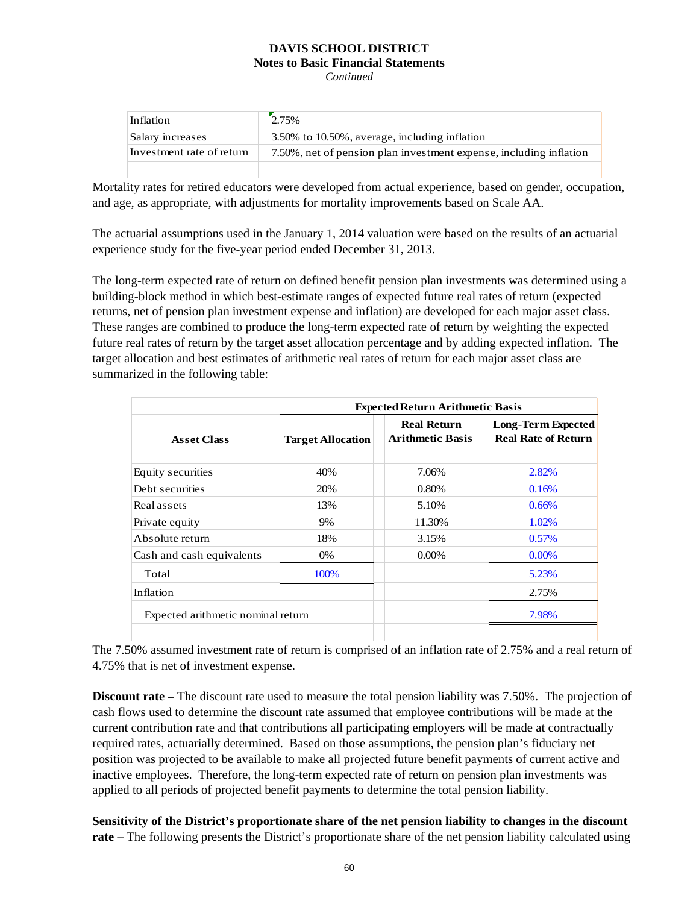*Continued* 

| Inflation                 | 2.75%                                                              |
|---------------------------|--------------------------------------------------------------------|
| Salary increases          | 3.50% to 10.50%, average, including inflation                      |
| Investment rate of return | 7.50%, net of pension plan investment expense, including inflation |
|                           |                                                                    |

Mortality rates for retired educators were developed from actual experience, based on gender, occupation, and age, as appropriate, with adjustments for mortality improvements based on Scale AA.

The actuarial assumptions used in the January 1, 2014 valuation were based on the results of an actuarial experience study for the five-year period ended December 31, 2013.

The long-term expected rate of return on defined benefit pension plan investments was determined using a building-block method in which best-estimate ranges of expected future real rates of return (expected returns, net of pension plan investment expense and inflation) are developed for each major asset class. These ranges are combined to produce the long-term expected rate of return by weighting the expected future real rates of return by the target asset allocation percentage and by adding expected inflation. The target allocation and best estimates of arithmetic real rates of return for each major asset class are summarized in the following table:

|                                    | <b>Expected Return Arithmetic Basis</b> |                                               |                                                         |  |  |
|------------------------------------|-----------------------------------------|-----------------------------------------------|---------------------------------------------------------|--|--|
| <b>Asset Class</b>                 | <b>Target Allocation</b>                | <b>Real Return</b><br><b>Arithmetic Basis</b> | <b>Long-Term Expected</b><br><b>Real Rate of Return</b> |  |  |
|                                    |                                         |                                               |                                                         |  |  |
| Equity securities                  | 40%                                     | 7.06%                                         | 2.82%                                                   |  |  |
| Debt securities                    | 20%                                     | 0.80%                                         | 0.16%                                                   |  |  |
| Real assets                        | 13%                                     | 5.10%                                         | 0.66%                                                   |  |  |
| Private equity                     | 9%                                      | 11.30%                                        | 1.02%                                                   |  |  |
| Absolute return                    | 18%                                     | 3.15%                                         | 0.57%                                                   |  |  |
| Cash and cash equivalents          | 0%                                      | $0.00\%$                                      | 0.00%                                                   |  |  |
| Total                              | 100%                                    |                                               | 5.23%                                                   |  |  |
| Inflation                          |                                         |                                               | 2.75%                                                   |  |  |
| Expected arithmetic nominal return |                                         |                                               | 7.98%                                                   |  |  |
|                                    |                                         |                                               |                                                         |  |  |

The 7.50% assumed investment rate of return is comprised of an inflation rate of 2.75% and a real return of 4.75% that is net of investment expense.

**Discount rate –** The discount rate used to measure the total pension liability was 7.50%. The projection of cash flows used to determine the discount rate assumed that employee contributions will be made at the current contribution rate and that contributions all participating employers will be made at contractually required rates, actuarially determined. Based on those assumptions, the pension plan's fiduciary net position was projected to be available to make all projected future benefit payments of current active and inactive employees. Therefore, the long-term expected rate of return on pension plan investments was applied to all periods of projected benefit payments to determine the total pension liability.

**Sensitivity of the District's proportionate share of the net pension liability to changes in the discount rate –** The following presents the District's proportionate share of the net pension liability calculated using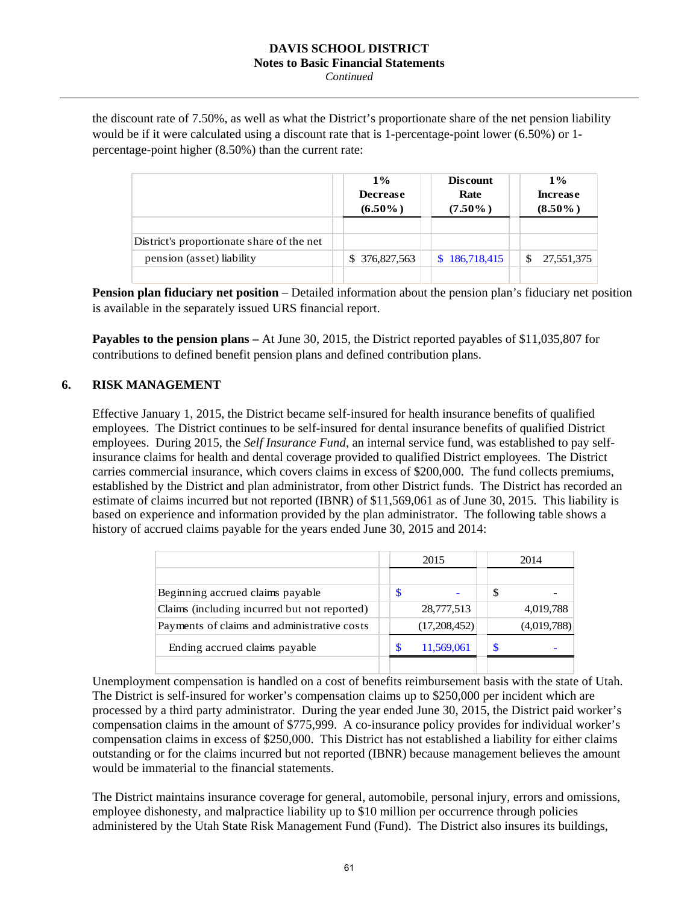*Continued* 

the discount rate of 7.50%, as well as what the District's proportionate share of the net pension liability would be if it were calculated using a discount rate that is 1-percentage-point lower (6.50%) or 1 percentage-point higher (8.50%) than the current rate:

|                                           | $1\%$<br><b>Decrease</b><br>$(6.50\%)$ | <b>Discount</b><br>Rate<br>$(7.50\%)$ | $1\%$<br><b>Increase</b><br>$(8.50\%)$ |
|-------------------------------------------|----------------------------------------|---------------------------------------|----------------------------------------|
|                                           |                                        |                                       |                                        |
| District's proportionate share of the net |                                        |                                       |                                        |
| pension (asset) liability                 | \$376,827,563                          | \$186,718,415                         | 27,551,375<br>\$.                      |
|                                           |                                        |                                       |                                        |

**Pension plan fiduciary net position** – Detailed information about the pension plan's fiduciary net position is available in the separately issued URS financial report.

**Payables to the pension plans –** At June 30, 2015, the District reported payables of \$11,035,807 for contributions to defined benefit pension plans and defined contribution plans.

#### **6. RISK MANAGEMENT**

Effective January 1, 2015, the District became self-insured for health insurance benefits of qualified employees. The District continues to be self-insured for dental insurance benefits of qualified District employees. During 2015, the *Self Insurance Fund*, an internal service fund, was established to pay selfinsurance claims for health and dental coverage provided to qualified District employees. The District carries commercial insurance, which covers claims in excess of \$200,000. The fund collects premiums, established by the District and plan administrator, from other District funds. The District has recorded an estimate of claims incurred but not reported (IBNR) of \$11,569,061 as of June 30, 2015. This liability is based on experience and information provided by the plan administrator. The following table shows a history of accrued claims payable for the years ended June 30, 2015 and 2014:

|                                              |    | 2015         |    | 2014        |
|----------------------------------------------|----|--------------|----|-------------|
|                                              |    |              |    |             |
| Beginning accrued claims payable             | S  | ۰            | \$ |             |
| Claims (including incurred but not reported) |    | 28,777,513   |    | 4,019,788   |
| Payments of claims and administrative costs  |    | (17,208,452) |    | (4,019,788) |
| Ending accrued claims payable                | ۰π | 11,569,061   | S  |             |
|                                              |    |              |    |             |

Unemployment compensation is handled on a cost of benefits reimbursement basis with the state of Utah. The District is self-insured for worker's compensation claims up to \$250,000 per incident which are processed by a third party administrator. During the year ended June 30, 2015, the District paid worker's compensation claims in the amount of \$775,999. A co-insurance policy provides for individual worker's compensation claims in excess of \$250,000. This District has not established a liability for either claims outstanding or for the claims incurred but not reported (IBNR) because management believes the amount would be immaterial to the financial statements.

The District maintains insurance coverage for general, automobile, personal injury, errors and omissions, employee dishonesty, and malpractice liability up to \$10 million per occurrence through policies administered by the Utah State Risk Management Fund (Fund). The District also insures its buildings,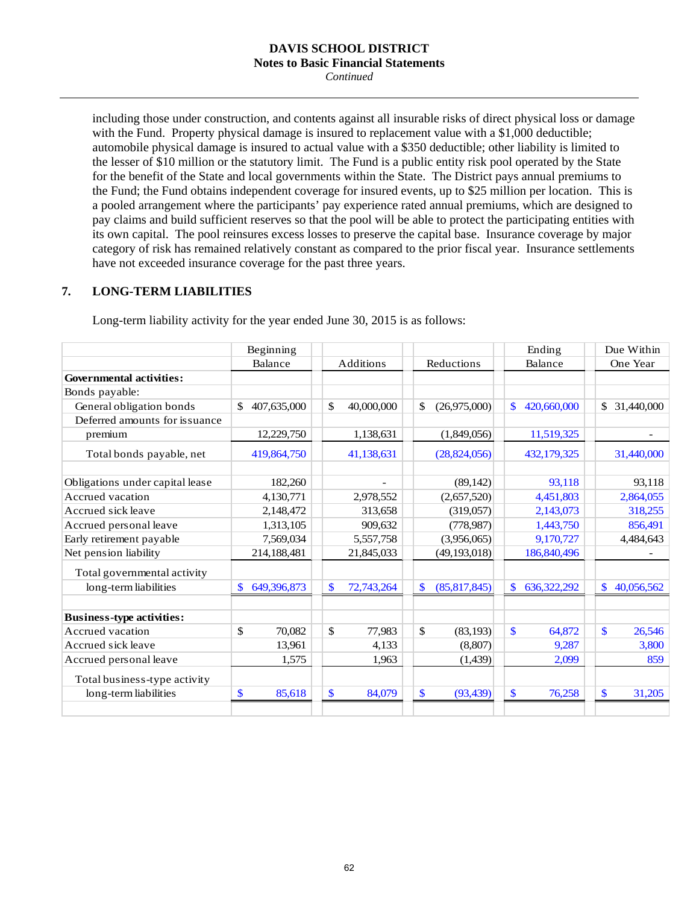*Continued* 

including those under construction, and contents against all insurable risks of direct physical loss or damage with the Fund. Property physical damage is insured to replacement value with a \$1,000 deductible; automobile physical damage is insured to actual value with a \$350 deductible; other liability is limited to the lesser of \$10 million or the statutory limit. The Fund is a public entity risk pool operated by the State for the benefit of the State and local governments within the State. The District pays annual premiums to the Fund; the Fund obtains independent coverage for insured events, up to \$25 million per location. This is a pooled arrangement where the participants' pay experience rated annual premiums, which are designed to pay claims and build sufficient reserves so that the pool will be able to protect the participating entities with its own capital. The pool reinsures excess losses to preserve the capital base. Insurance coverage by major category of risk has remained relatively constant as compared to the prior fiscal year. Insurance settlements have not exceeded insurance coverage for the past three years.

#### **7. LONG-TERM LIABILITIES**

| <b>Additions</b><br>Reductions<br>One Year<br>Balance                                     |
|-------------------------------------------------------------------------------------------|
|                                                                                           |
|                                                                                           |
|                                                                                           |
| \$<br>40,000,000<br>(26,975,000)<br>\$<br>420,660,000<br>31,440,000<br>\$                 |
|                                                                                           |
| 1,138,631<br>(1,849,056)<br>11,519,325                                                    |
| 31,440,000<br>41,138,631<br>(28, 824, 056)<br>432,179,325                                 |
| 93,118<br>93,118<br>(89, 142)                                                             |
| 2,978,552<br>(2,657,520)<br>4,451,803<br>2,864,055                                        |
| 318,255<br>313,658<br>(319,057)<br>2,143,073                                              |
| 856,491<br>909,632<br>(778, 987)<br>1,443,750                                             |
| 4,484,643<br>5,557,758<br>(3,956,065)<br>9,170,727                                        |
| 21,845,033<br>(49, 193, 018)<br>186,840,496                                               |
|                                                                                           |
| 40,056,562<br>72,743,264<br>$\mathbf{\$}$<br>(85,817,845)<br>\$<br>636, 322, 292<br>\$    |
|                                                                                           |
| $\mathbb{S}$<br>$\mathbf{\$}$<br>$\mathbf{\$}$<br>26,546<br>77,983<br>(83, 193)<br>64,872 |
| 4,133<br>(8,807)<br>9,287<br>3,800                                                        |
| 859<br>1,963<br>(1,439)<br>2,099                                                          |
|                                                                                           |
| $\mathbf{\$}$<br>\$<br>\$<br>31,205<br>84,079<br>(93, 439)<br>76,258                      |
|                                                                                           |

Long-term liability activity for the year ended June 30, 2015 is as follows: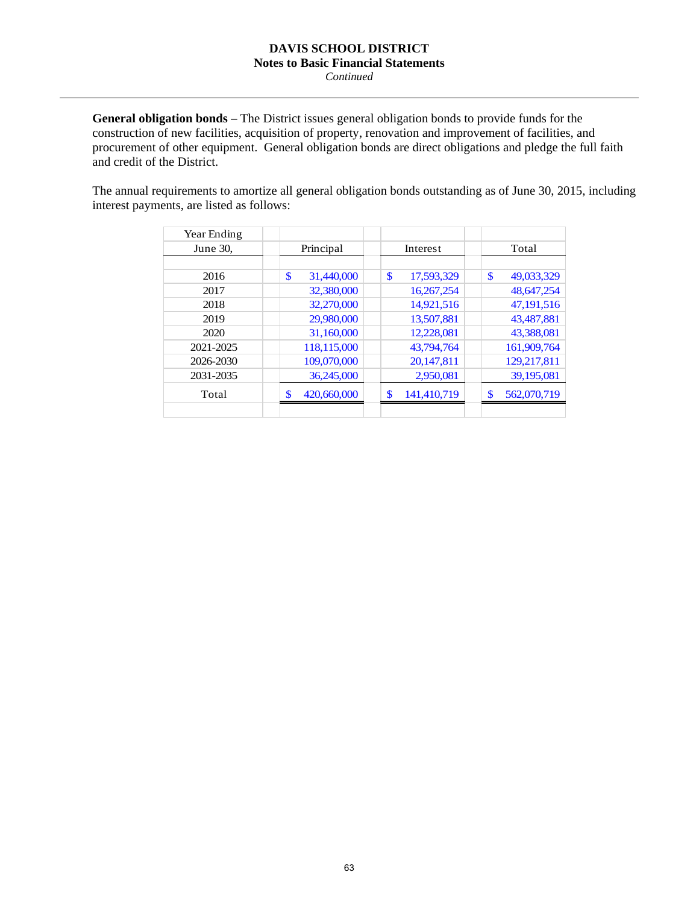*Continued* 

**General obligation bonds** – The District issues general obligation bonds to provide funds for the construction of new facilities, acquisition of property, renovation and improvement of facilities, and procurement of other equipment. General obligation bonds are direct obligations and pledge the full faith and credit of the District.

The annual requirements to amortize all general obligation bonds outstanding as of June 30, 2015, including interest payments, are listed as follows:

| Year Ending<br>June 30, | Principal         | Interest          | Total            |
|-------------------------|-------------------|-------------------|------------------|
|                         |                   |                   |                  |
| 2016                    | \$<br>31,440,000  | 17,593,329<br>\$  | \$<br>49,033,329 |
| 2017                    | 32,380,000        | 16.267.254        | 48,647,254       |
| 2018                    | 32,270,000        | 14,921,516        | 47,191,516       |
| 2019                    | 29,980,000        | 13,507,881        | 43,487,881       |
| 2020                    | 31,160,000        | 12,228,081        | 43,388,081       |
| 2021-2025               | 118,115,000       | 43,794,764        | 161,909,764      |
| 2026-2030               | 109,070,000       | 20,147,811        | 129,217,811      |
| 2031-2035               | 36,245,000        | 2,950,081         | 39,195,081       |
| Total                   | \$<br>420,660,000 | 141,410,719<br>\$ | 562,070,719      |
|                         |                   |                   |                  |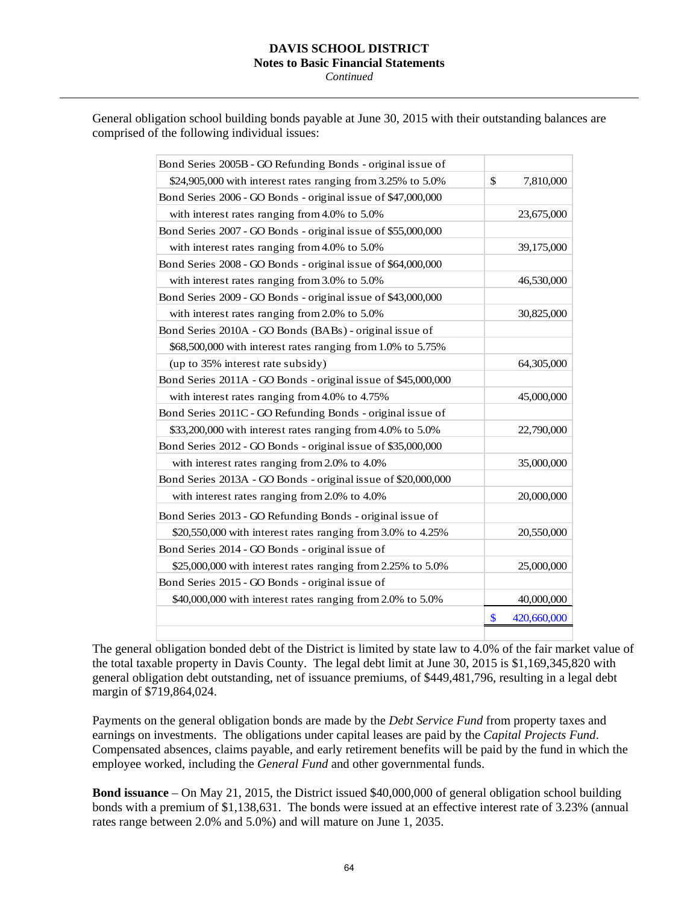*Continued* 

General obligation school building bonds payable at June 30, 2015 with their outstanding balances are comprised of the following individual issues:

| Bond Series 2005B - GO Refunding Bonds - original issue of    |                   |
|---------------------------------------------------------------|-------------------|
| \$24,905,000 with interest rates ranging from 3.25% to 5.0%   | \$<br>7,810,000   |
| Bond Series 2006 - GO Bonds - original issue of \$47,000,000  |                   |
| with interest rates ranging from 4.0% to 5.0%                 | 23,675,000        |
| Bond Series 2007 - GO Bonds - original issue of \$55,000,000  |                   |
| with interest rates ranging from 4.0% to 5.0%                 | 39,175,000        |
| Bond Series 2008 - GO Bonds - original issue of \$64,000,000  |                   |
| with interest rates ranging from 3.0% to 5.0%                 | 46,530,000        |
| Bond Series 2009 - GO Bonds - original issue of \$43,000,000  |                   |
| with interest rates ranging from 2.0% to 5.0%                 | 30,825,000        |
| Bond Series 2010A - GO Bonds (BABs) - original issue of       |                   |
| \$68,500,000 with interest rates ranging from 1.0% to 5.75%   |                   |
| (up to 35% interest rate subsidy)                             | 64,305,000        |
| Bond Series 2011A - GO Bonds - original issue of \$45,000,000 |                   |
| with interest rates ranging from 4.0% to 4.75%                | 45,000,000        |
| Bond Series 2011C - GO Refunding Bonds - original issue of    |                   |
| \$33,200,000 with interest rates ranging from 4.0% to 5.0%    | 22,790,000        |
| Bond Series 2012 - GO Bonds - original issue of \$35,000,000  |                   |
| with interest rates ranging from 2.0% to 4.0%                 | 35,000,000        |
| Bond Series 2013A - GO Bonds - original issue of \$20,000,000 |                   |
| with interest rates ranging from 2.0% to 4.0%                 | 20,000,000        |
| Bond Series 2013 - GO Refunding Bonds - original issue of     |                   |
| \$20,550,000 with interest rates ranging from 3.0% to 4.25%   | 20,550,000        |
| Bond Series 2014 - GO Bonds - original issue of               |                   |
| \$25,000,000 with interest rates ranging from 2.25% to 5.0%   | 25,000,000        |
| Bond Series 2015 - GO Bonds - original issue of               |                   |
| \$40,000,000 with interest rates ranging from 2.0% to 5.0%    | 40,000,000        |
|                                                               | \$<br>420,660,000 |
|                                                               |                   |

The general obligation bonded debt of the District is limited by state law to 4.0% of the fair market value of the total taxable property in Davis County. The legal debt limit at June 30, 2015 is \$1,169,345,820 with general obligation debt outstanding, net of issuance premiums, of \$449,481,796, resulting in a legal debt margin of \$719,864,024.

Payments on the general obligation bonds are made by the *Debt Service Fund* from property taxes and earnings on investments. The obligations under capital leases are paid by the *Capital Projects Fund*. Compensated absences, claims payable, and early retirement benefits will be paid by the fund in which the employee worked, including the *General Fund* and other governmental funds.

**Bond issuance** – On May 21, 2015, the District issued \$40,000,000 of general obligation school building bonds with a premium of \$1,138,631. The bonds were issued at an effective interest rate of 3.23% (annual rates range between 2.0% and 5.0%) and will mature on June 1, 2035.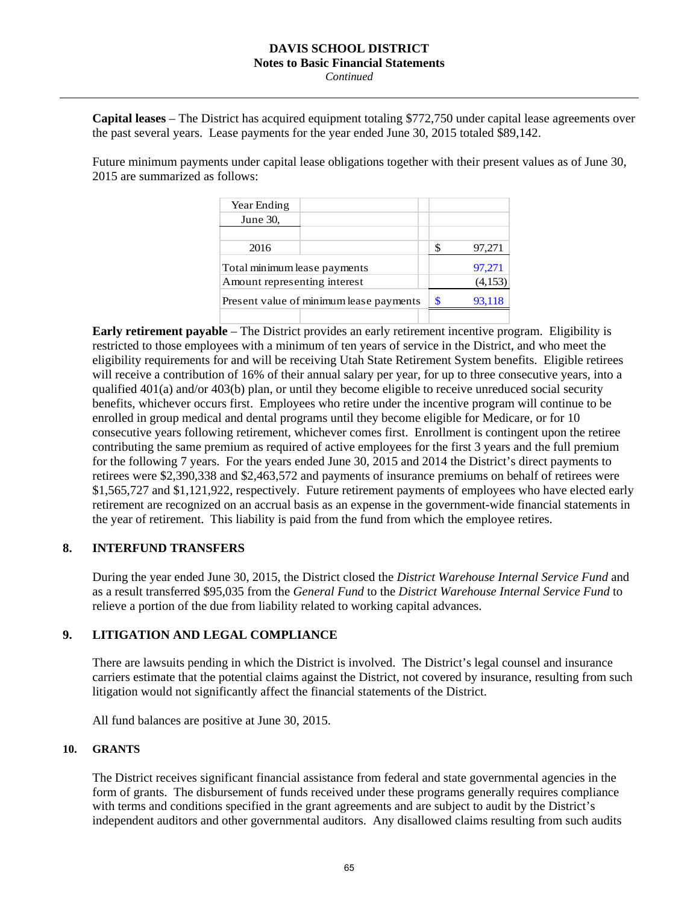*Continued* 

**Capital leases** – The District has acquired equipment totaling \$772,750 under capital lease agreements over the past several years. Lease payments for the year ended June 30, 2015 totaled \$89,142.

Future minimum payments under capital lease obligations together with their present values as of June 30, 2015 are summarized as follows:

| Year Ending                  |                                         |   |         |
|------------------------------|-----------------------------------------|---|---------|
| June 30,                     |                                         |   |         |
|                              |                                         |   |         |
| 2016                         |                                         | S | 97,271  |
| Total minimum lease payments |                                         |   | 97,271  |
| Amount representing interest |                                         |   | (4,153) |
|                              | Present value of minimum lease payments | S | 93,118  |
|                              |                                         |   |         |

**Early retirement payable** – The District provides an early retirement incentive program. Eligibility is restricted to those employees with a minimum of ten years of service in the District, and who meet the eligibility requirements for and will be receiving Utah State Retirement System benefits. Eligible retirees will receive a contribution of 16% of their annual salary per year, for up to three consecutive years, into a qualified 401(a) and/or 403(b) plan, or until they become eligible to receive unreduced social security benefits, whichever occurs first. Employees who retire under the incentive program will continue to be enrolled in group medical and dental programs until they become eligible for Medicare, or for 10 consecutive years following retirement, whichever comes first. Enrollment is contingent upon the retiree contributing the same premium as required of active employees for the first 3 years and the full premium for the following 7 years. For the years ended June 30, 2015 and 2014 the District's direct payments to retirees were \$2,390,338 and \$2,463,572 and payments of insurance premiums on behalf of retirees were \$1,565,727 and \$1,121,922, respectively. Future retirement payments of employees who have elected early retirement are recognized on an accrual basis as an expense in the government-wide financial statements in the year of retirement. This liability is paid from the fund from which the employee retires.

#### **8. INTERFUND TRANSFERS**

During the year ended June 30, 2015, the District closed the *District Warehouse Internal Service Fund* and as a result transferred \$95,035 from the *General Fund* to the *District Warehouse Internal Service Fund* to relieve a portion of the due from liability related to working capital advances.

#### **9. LITIGATION AND LEGAL COMPLIANCE**

 There are lawsuits pending in which the District is involved. The District's legal counsel and insurance carriers estimate that the potential claims against the District, not covered by insurance, resulting from such litigation would not significantly affect the financial statements of the District.

All fund balances are positive at June 30, 2015.

#### **10. GRANTS**

The District receives significant financial assistance from federal and state governmental agencies in the form of grants. The disbursement of funds received under these programs generally requires compliance with terms and conditions specified in the grant agreements and are subject to audit by the District's independent auditors and other governmental auditors. Any disallowed claims resulting from such audits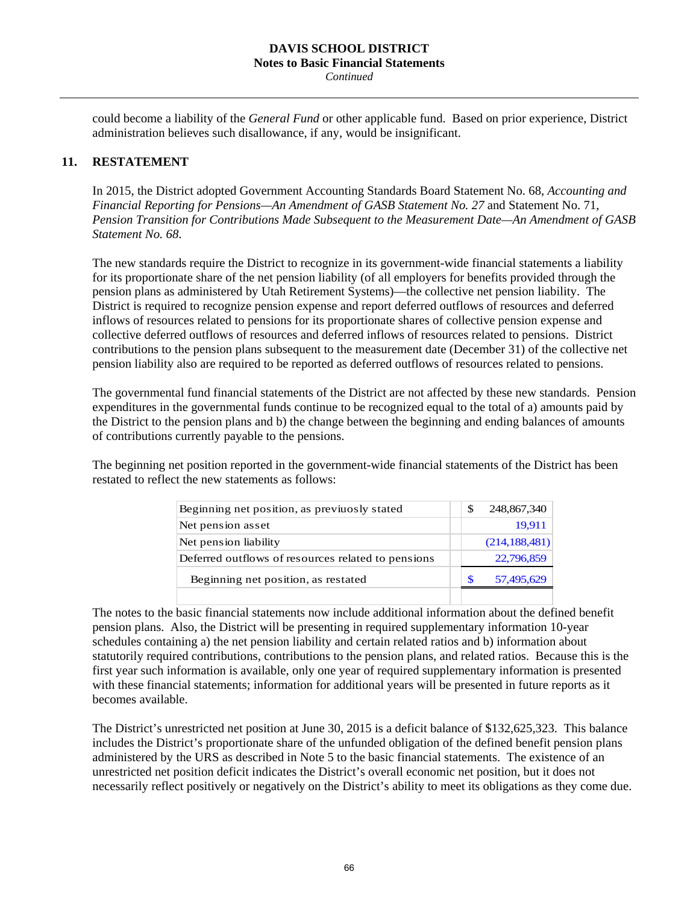*Continued* 

could become a liability of the *General Fund* or other applicable fund. Based on prior experience, District administration believes such disallowance, if any, would be insignificant.

#### **11. RESTATEMENT**

In 2015, the District adopted Government Accounting Standards Board Statement No. 68, *Accounting and Financial Reporting for Pensions—An Amendment of GASB Statement No. 27* and Statement No. 71, *Pension Transition for Contributions Made Subsequent to the Measurement Date—An Amendment of GASB Statement No. 68*.

The new standards require the District to recognize in its government-wide financial statements a liability for its proportionate share of the net pension liability (of all employers for benefits provided through the pension plans as administered by Utah Retirement Systems)—the collective net pension liability. The District is required to recognize pension expense and report deferred outflows of resources and deferred inflows of resources related to pensions for its proportionate shares of collective pension expense and collective deferred outflows of resources and deferred inflows of resources related to pensions. District contributions to the pension plans subsequent to the measurement date (December 31) of the collective net pension liability also are required to be reported as deferred outflows of resources related to pensions.

The governmental fund financial statements of the District are not affected by these new standards. Pension expenditures in the governmental funds continue to be recognized equal to the total of a) amounts paid by the District to the pension plans and b) the change between the beginning and ending balances of amounts of contributions currently payable to the pensions.

The beginning net position reported in the government-wide financial statements of the District has been restated to reflect the new statements as follows:

| Beginning net position, as previuosly stated       |   | 248,867,340     |
|----------------------------------------------------|---|-----------------|
| Net pension asset                                  |   | 19,911          |
| Net pension liability                              |   | (214, 188, 481) |
| Deferred outflows of resources related to pensions |   | 22,796,859      |
| Beginning net position, as restated                | S | 57,495,629      |
|                                                    |   |                 |

The notes to the basic financial statements now include additional information about the defined benefit pension plans. Also, the District will be presenting in required supplementary information 10-year schedules containing a) the net pension liability and certain related ratios and b) information about statutorily required contributions, contributions to the pension plans, and related ratios. Because this is the first year such information is available, only one year of required supplementary information is presented with these financial statements; information for additional years will be presented in future reports as it becomes available.

The District's unrestricted net position at June 30, 2015 is a deficit balance of \$132,625,323. This balance includes the District's proportionate share of the unfunded obligation of the defined benefit pension plans administered by the URS as described in Note 5 to the basic financial statements. The existence of an unrestricted net position deficit indicates the District's overall economic net position, but it does not necessarily reflect positively or negatively on the District's ability to meet its obligations as they come due.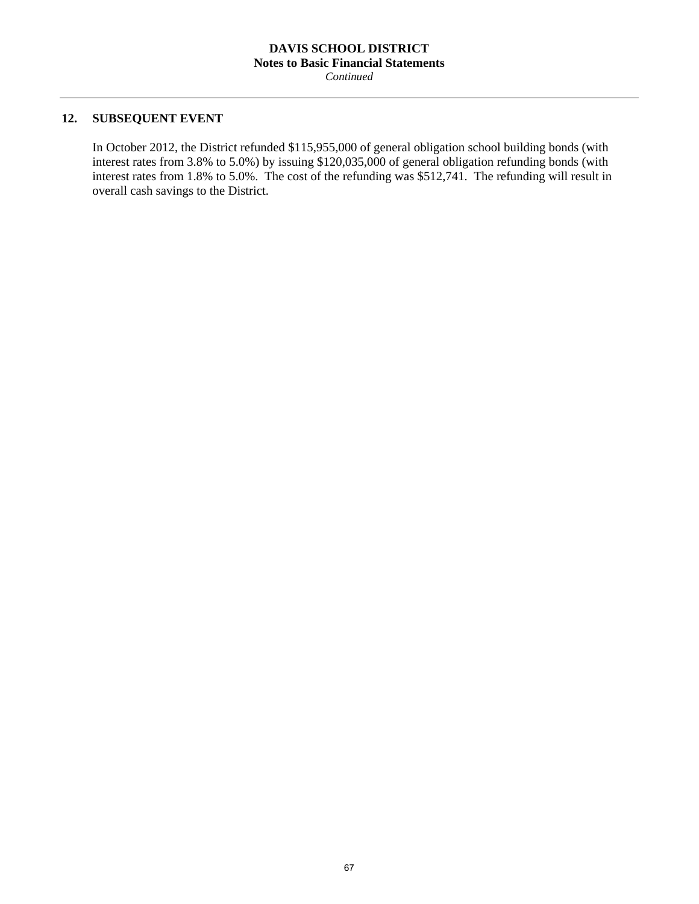*Continued* 

#### **12. SUBSEQUENT EVENT**

In October 2012, the District refunded \$115,955,000 of general obligation school building bonds (with interest rates from 3.8% to 5.0%) by issuing \$120,035,000 of general obligation refunding bonds (with interest rates from 1.8% to 5.0%. The cost of the refunding was \$512,741. The refunding will result in overall cash savings to the District.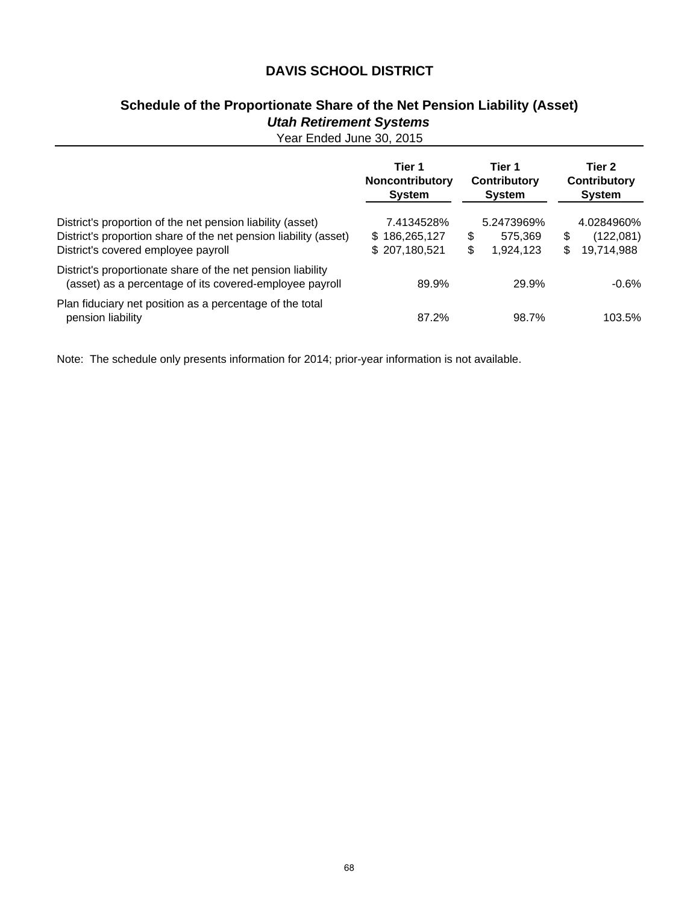# **Schedule of the Proportionate Share of the Net Pension Liability (Asset)**  *Utah Retirement Systems*

Year Ended June 30, 2015

|                                                                                                                                                                       | Tier 1<br><b>Noncontributory</b><br><b>System</b> | Tier 1<br>Contributory<br><b>System</b>        | Tier 2<br><b>Contributory</b><br><b>System</b>    |
|-----------------------------------------------------------------------------------------------------------------------------------------------------------------------|---------------------------------------------------|------------------------------------------------|---------------------------------------------------|
| District's proportion of the net pension liability (asset)<br>District's proportion share of the net pension liability (asset)<br>District's covered employee payroll | 7.4134528%<br>\$186,265,127<br>\$207,180,521      | 5.2473969%<br>\$<br>575.369<br>\$<br>1,924,123 | 4.0284960%<br>\$<br>(122,081)<br>19,714,988<br>\$ |
| District's proportionate share of the net pension liability<br>(asset) as a percentage of its covered-employee payroll                                                | 89.9%                                             | 29.9%                                          | $-0.6\%$                                          |
| Plan fiduciary net position as a percentage of the total<br>pension liability                                                                                         | 87.2%                                             | 98.7%                                          | 103.5%                                            |

Note: The schedule only presents information for 2014; prior-year information is not available.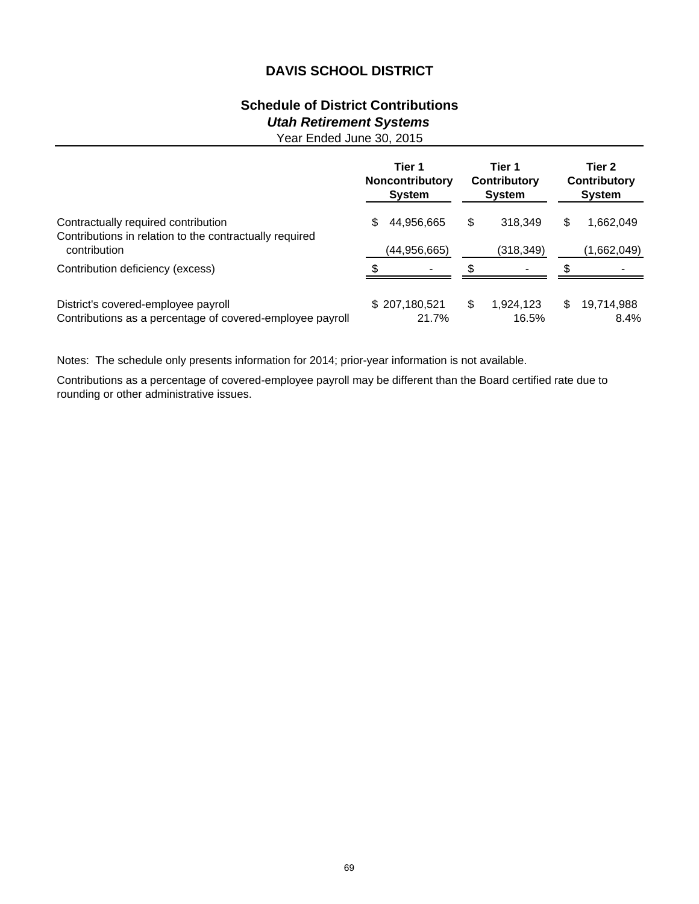# **Schedule of District Contributions**

# *Utah Retirement Systems*

Year Ended June 30, 2015

|                                                                                                  | Tier 1<br><b>Noncontributory</b><br><b>System</b> |    | Tier 1<br><b>Contributory</b><br><b>System</b> |    | Tier 2<br><b>Contributory</b><br><b>System</b> |
|--------------------------------------------------------------------------------------------------|---------------------------------------------------|----|------------------------------------------------|----|------------------------------------------------|
| Contractually required contribution<br>Contributions in relation to the contractually required   | 44,956,665                                        | \$ | 318.349                                        | S  | 1,662,049                                      |
| contribution                                                                                     | (44,956,665)                                      |    | (318,349)                                      |    | (1,662,049)                                    |
| Contribution deficiency (excess)                                                                 |                                                   |    |                                                |    |                                                |
| District's covered-employee payroll<br>Contributions as a percentage of covered-employee payroll | \$207,180,521<br>21.7%                            | S  | 1,924,123<br>16.5%                             | S. | 19,714,988<br>8.4%                             |

Notes: The schedule only presents information for 2014; prior-year information is not available.

Contributions as a percentage of covered-employee payroll may be different than the Board certified rate due to rounding or other administrative issues.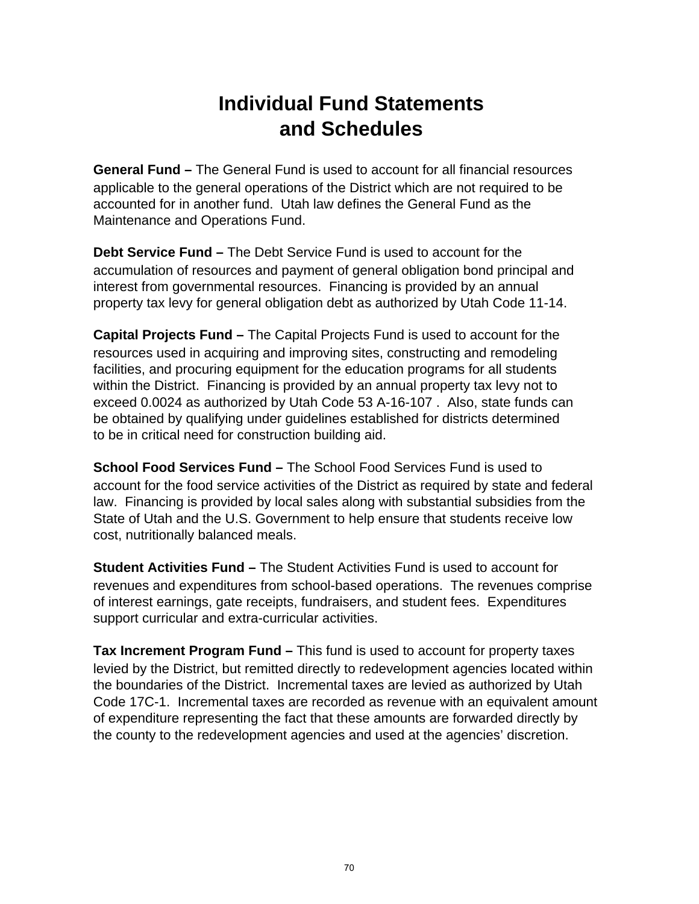# **Individual Fund Statements and Schedules**

**General Fund –** The General Fund is used to account for all financial resources applicable to the general operations of the District which are not required to be accounted for in another fund. Utah law defines the General Fund as the Maintenance and Operations Fund.

**Debt Service Fund –** The Debt Service Fund is used to account for the accumulation of resources and payment of general obligation bond principal and interest from governmental resources. Financing is provided by an annual property tax levy for general obligation debt as authorized by Utah Code 11-14.

**Capital Projects Fund –** The Capital Projects Fund is used to account for the resources used in acquiring and improving sites, constructing and remodeling facilities, and procuring equipment for the education programs for all students within the District. Financing is provided by an annual property tax levy not to exceed 0.0024 as authorized by Utah Code 53 A-16-107 . Also, state funds can be obtained by qualifying under guidelines established for districts determined to be in critical need for construction building aid.

**School Food Services Fund –** The School Food Services Fund is used to account for the food service activities of the District as required by state and federal law. Financing is provided by local sales along with substantial subsidies from the State of Utah and the U.S. Government to help ensure that students receive low cost, nutritionally balanced meals.

**Student Activities Fund –** The Student Activities Fund is used to account for revenues and expenditures from school-based operations. The revenues comprise of interest earnings, gate receipts, fundraisers, and student fees. Expenditures support curricular and extra-curricular activities.

**Tax Increment Program Fund –** This fund is used to account for property taxes levied by the District, but remitted directly to redevelopment agencies located within the boundaries of the District. Incremental taxes are levied as authorized by Utah Code 17C-1. Incremental taxes are recorded as revenue with an equivalent amount of expenditure representing the fact that these amounts are forwarded directly by the county to the redevelopment agencies and used at the agencies' discretion.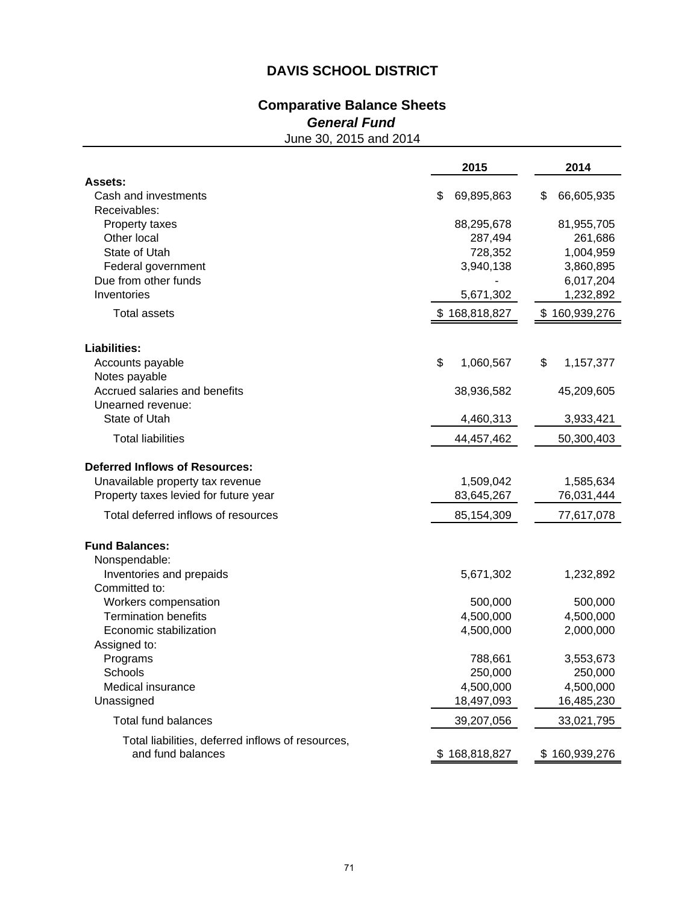# June 30, 2015 and 2014 **Comparative Balance Sheets** *General Fund*

|                                                                        | 2015             | 2014             |
|------------------------------------------------------------------------|------------------|------------------|
| Assets:<br>Cash and investments<br>Receivables:                        | 69,895,863<br>\$ | 66,605,935<br>\$ |
| Property taxes                                                         | 88,295,678       | 81,955,705       |
| Other local                                                            | 287,494          | 261,686          |
| State of Utah                                                          | 728,352          | 1,004,959        |
| Federal government                                                     | 3,940,138        | 3,860,895        |
| Due from other funds                                                   |                  | 6,017,204        |
| Inventories                                                            | 5,671,302        | 1,232,892        |
| <b>Total assets</b>                                                    | \$168,818,827    | \$160,939,276    |
| <b>Liabilities:</b>                                                    |                  |                  |
| Accounts payable                                                       | \$<br>1,060,567  | \$<br>1,157,377  |
| Notes payable<br>Accrued salaries and benefits<br>Unearned revenue:    | 38,936,582       | 45,209,605       |
| State of Utah                                                          | 4,460,313        | 3,933,421        |
| <b>Total liabilities</b>                                               | 44,457,462       | 50,300,403       |
| <b>Deferred Inflows of Resources:</b>                                  |                  |                  |
| Unavailable property tax revenue                                       | 1,509,042        | 1,585,634        |
| Property taxes levied for future year                                  | 83,645,267       | 76,031,444       |
| Total deferred inflows of resources                                    | 85,154,309       | 77,617,078       |
| <b>Fund Balances:</b><br>Nonspendable:                                 |                  |                  |
| Inventories and prepaids<br>Committed to:                              | 5,671,302        | 1,232,892        |
| Workers compensation                                                   | 500,000          | 500,000          |
| <b>Termination benefits</b>                                            | 4,500,000        | 4,500,000        |
| Economic stabilization                                                 | 4,500,000        | 2,000,000        |
| Assigned to:                                                           |                  |                  |
| Programs                                                               | 788,661          | 3,553,673        |
| Schools                                                                | 250,000          | 250,000          |
| Medical insurance                                                      | 4,500,000        | 4,500,000        |
| Unassigned                                                             | 18,497,093       | 16,485,230       |
| <b>Total fund balances</b>                                             | 39,207,056       | 33,021,795       |
| Total liabilities, deferred inflows of resources,<br>and fund balances | \$168,818,827    | \$160,939,276    |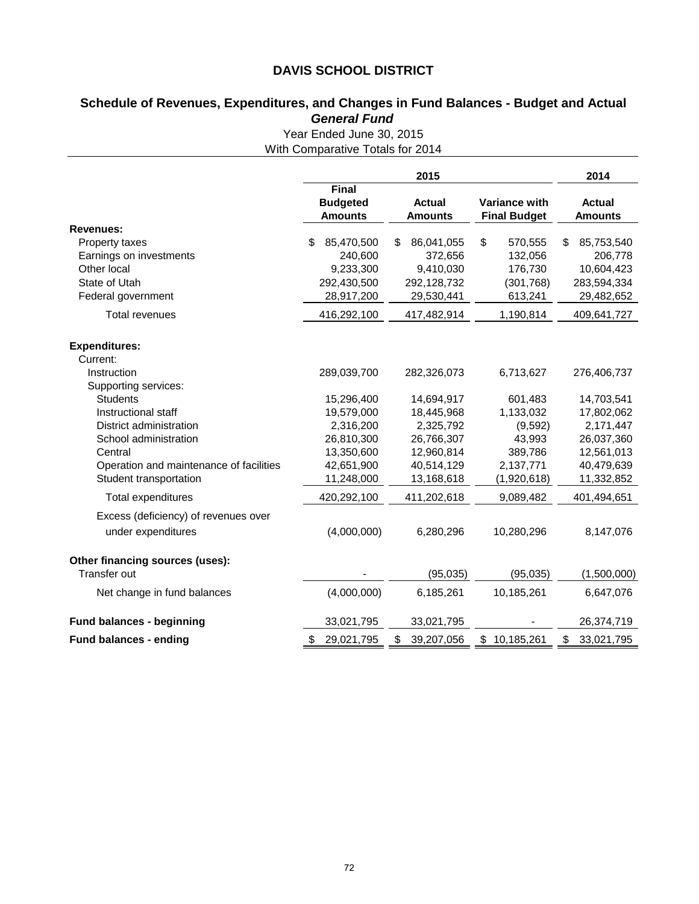# **Schedule of Revenues, Expenditures, and Changes in Fund Balances - Budget and Actual** *General Fund*

With Comparative Totals for 2014 Year Ended June 30, 2015

|                                         |                                                   |                                 | 2014                                 |                                 |
|-----------------------------------------|---------------------------------------------------|---------------------------------|--------------------------------------|---------------------------------|
|                                         | <b>Final</b><br><b>Budgeted</b><br><b>Amounts</b> | <b>Actual</b><br><b>Amounts</b> | Variance with<br><b>Final Budget</b> | <b>Actual</b><br><b>Amounts</b> |
| <b>Revenues:</b>                        |                                                   |                                 |                                      |                                 |
| Property taxes                          | 85,470,500<br>S                                   | 86,041,055<br>\$                | \$<br>570,555                        | 85,753,540<br>\$                |
| Earnings on investments                 | 240,600                                           | 372,656                         | 132,056                              | 206,778                         |
| Other local                             | 9,233,300                                         | 9,410,030                       | 176,730                              | 10,604,423                      |
| State of Utah                           | 292,430,500                                       | 292,128,732                     | (301, 768)                           | 283,594,334                     |
| Federal government                      | 28,917,200                                        | 29,530,441                      | 613,241                              | 29,482,652                      |
| <b>Total revenues</b>                   | 416,292,100                                       | 417,482,914                     | 1,190,814                            | 409,641,727                     |
| <b>Expenditures:</b><br>Current:        |                                                   |                                 |                                      |                                 |
| Instruction                             | 289,039,700                                       | 282,326,073                     | 6,713,627                            | 276,406,737                     |
| Supporting services:                    |                                                   |                                 |                                      |                                 |
| <b>Students</b>                         | 15,296,400                                        | 14,694,917                      | 601,483                              | 14,703,541                      |
| Instructional staff                     | 19,579,000                                        | 18,445,968                      | 1,133,032                            | 17,802,062                      |
| District administration                 | 2,316,200                                         | 2,325,792                       | (9,592)                              | 2,171,447                       |
| School administration                   | 26,810,300                                        | 26,766,307                      | 43,993                               | 26,037,360                      |
| Central                                 | 13,350,600                                        | 12,960,814                      | 389,786                              | 12,561,013                      |
| Operation and maintenance of facilities | 42,651,900                                        | 40,514,129                      | 2,137,771                            | 40,479,639                      |
| Student transportation                  | 11,248,000                                        | 13,168,618                      | (1,920,618)                          | 11,332,852                      |
| <b>Total expenditures</b>               | 420,292,100                                       | 411,202,618                     | 9,089,482                            | 401,494,651                     |
| Excess (deficiency) of revenues over    |                                                   |                                 |                                      |                                 |
| under expenditures                      | (4,000,000)                                       | 6,280,296                       | 10,280,296                           | 8,147,076                       |
| Other financing sources (uses):         |                                                   |                                 |                                      |                                 |
| Transfer out                            |                                                   | (95,035)                        | (95,035)                             | (1,500,000)                     |
| Net change in fund balances             | (4,000,000)                                       | 6,185,261                       | 10,185,261                           | 6,647,076                       |
| <b>Fund balances - beginning</b>        | 33,021,795                                        | 33,021,795                      |                                      | 26,374,719                      |
| <b>Fund balances - ending</b>           | 29,021,795<br>\$                                  | \$<br>39,207,056                | \$10,185,261                         | \$<br>33,021,795                |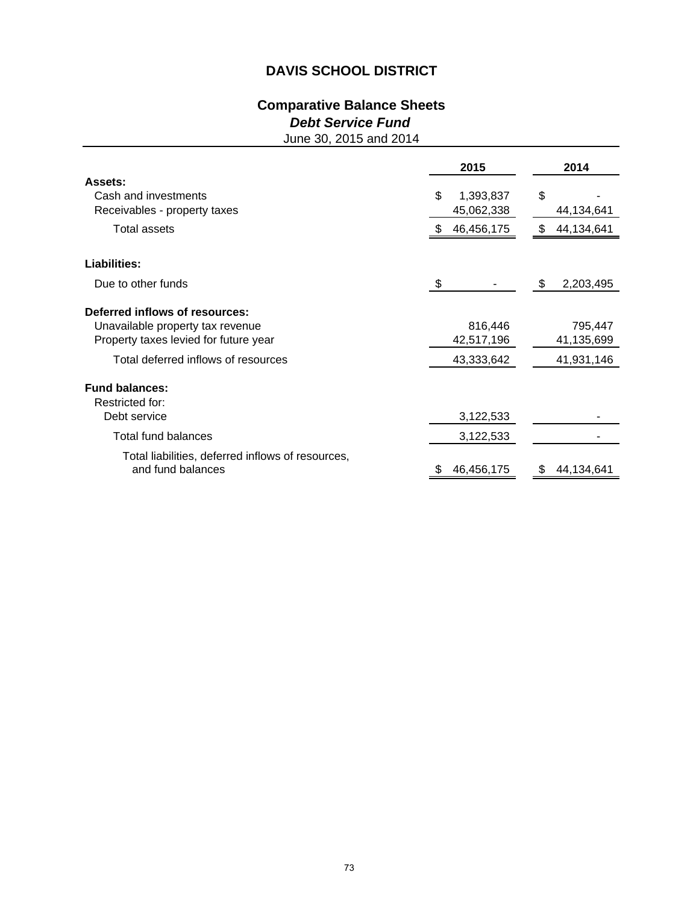# **Comparative Balance Sheets** *Debt Service Fund*

June 30, 2015 and 2014

|                                                                        | 2015            | 2014            |
|------------------------------------------------------------------------|-----------------|-----------------|
| <b>Assets:</b>                                                         |                 |                 |
| Cash and investments                                                   | \$<br>1,393,837 | \$              |
| Receivables - property taxes                                           | 45,062,338      | 44,134,641      |
| Total assets                                                           | 46,456,175      | 44,134,641      |
| Liabilities:                                                           |                 |                 |
| Due to other funds                                                     | \$              | 2,203,495<br>\$ |
| Deferred inflows of resources:                                         |                 |                 |
| Unavailable property tax revenue                                       | 816,446         | 795,447         |
| Property taxes levied for future year                                  | 42,517,196      | 41,135,699      |
| Total deferred inflows of resources                                    | 43,333,642      | 41,931,146      |
| <b>Fund balances:</b><br>Restricted for:                               |                 |                 |
| Debt service                                                           | 3,122,533       |                 |
| Total fund balances                                                    | 3,122,533       |                 |
| Total liabilities, deferred inflows of resources,<br>and fund balances | 46,456,175      | 44,134,641      |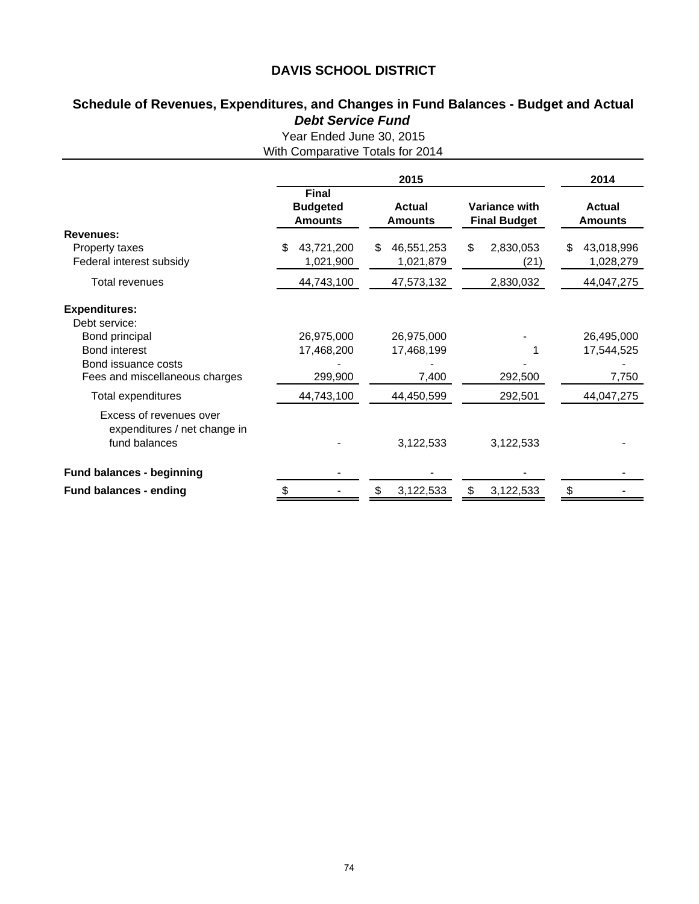# **Schedule of Revenues, Expenditures, and Changes in Fund Balances - Budget and Actual** *Debt Service Fund*

Year Ended June 30, 2015

With Comparative Totals for 2014

|                                                                          |                                                   | 2015                            |                                      | 2014                           |
|--------------------------------------------------------------------------|---------------------------------------------------|---------------------------------|--------------------------------------|--------------------------------|
|                                                                          | <b>Final</b><br><b>Budgeted</b><br><b>Amounts</b> | <b>Actual</b><br><b>Amounts</b> | Variance with<br><b>Final Budget</b> | Actual<br><b>Amounts</b>       |
| Revenues:                                                                |                                                   |                                 |                                      |                                |
| Property taxes<br>Federal interest subsidy                               | \$<br>43,721,200<br>1,021,900                     | \$<br>46,551,253<br>1,021,879   | \$<br>2,830,053<br>(21)              | 43,018,996<br>\$.<br>1,028,279 |
| <b>Total revenues</b>                                                    | 44,743,100                                        | 47,573,132                      | 2,830,032                            | 44,047,275                     |
| <b>Expenditures:</b><br>Debt service:                                    |                                                   |                                 |                                      |                                |
| Bond principal                                                           | 26,975,000                                        | 26,975,000                      |                                      | 26,495,000                     |
| <b>Bond interest</b>                                                     | 17,468,200                                        | 17,468,199                      |                                      | 17,544,525                     |
| Bond issuance costs                                                      |                                                   |                                 |                                      |                                |
| Fees and miscellaneous charges                                           | 299,900                                           | 7,400                           | 292,500                              | 7,750                          |
| Total expenditures                                                       | 44,743,100                                        | 44,450,599                      | 292,501                              | 44,047,275                     |
| Excess of revenues over<br>expenditures / net change in<br>fund balances |                                                   | 3,122,533                       | 3,122,533                            |                                |
|                                                                          |                                                   |                                 |                                      |                                |
| <b>Fund balances - beginning</b>                                         |                                                   |                                 |                                      |                                |
| <b>Fund balances - ending</b>                                            | \$                                                | 3,122,533<br>S                  | \$<br>3,122,533                      | S                              |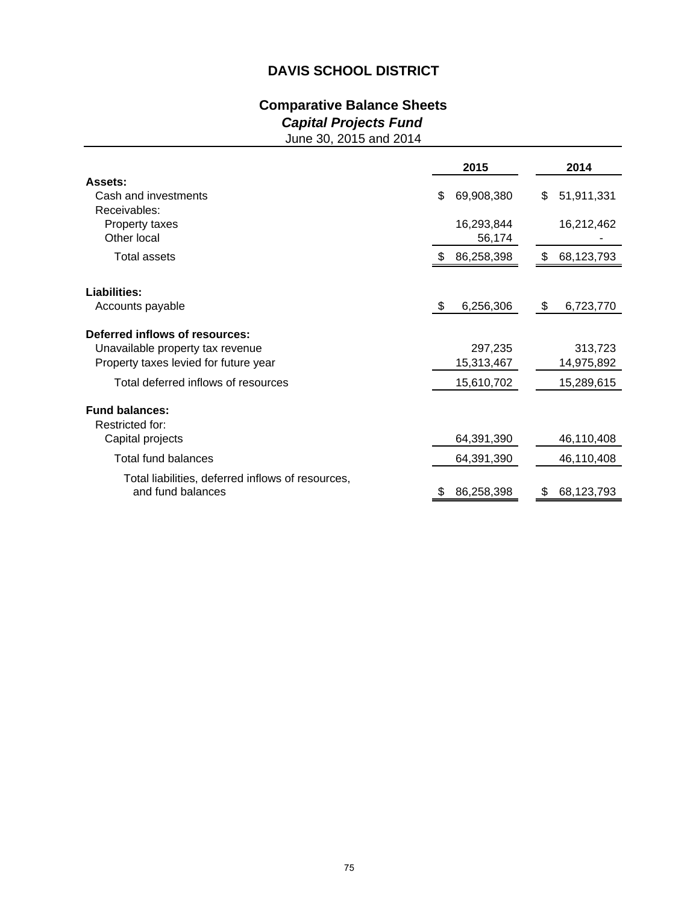### June 30, 2015 and 2014 **Comparative Balance Sheets** *Capital Projects Fund*

|                                                                        | 2015             | 2014             |
|------------------------------------------------------------------------|------------------|------------------|
| Assets:                                                                |                  |                  |
| Cash and investments                                                   | \$<br>69,908,380 | 51,911,331<br>\$ |
| Receivables:                                                           |                  |                  |
| Property taxes                                                         | 16,293,844       | 16,212,462       |
| Other local                                                            | 56,174           |                  |
| Total assets                                                           | 86,258,398       | 68,123,793<br>\$ |
|                                                                        |                  |                  |
| <b>Liabilities:</b>                                                    |                  |                  |
| Accounts payable                                                       | 6,256,306<br>\$  | \$<br>6,723,770  |
| Deferred inflows of resources:                                         |                  |                  |
| Unavailable property tax revenue                                       | 297,235          | 313,723          |
| Property taxes levied for future year                                  | 15,313,467       | 14,975,892       |
| Total deferred inflows of resources                                    | 15,610,702       | 15,289,615       |
| <b>Fund balances:</b><br>Restricted for:                               |                  |                  |
| Capital projects                                                       | 64,391,390       | 46,110,408       |
| <b>Total fund balances</b>                                             | 64,391,390       | 46,110,408       |
| Total liabilities, deferred inflows of resources,<br>and fund balances | 86,258,398<br>\$ | 68,123,793<br>Ж  |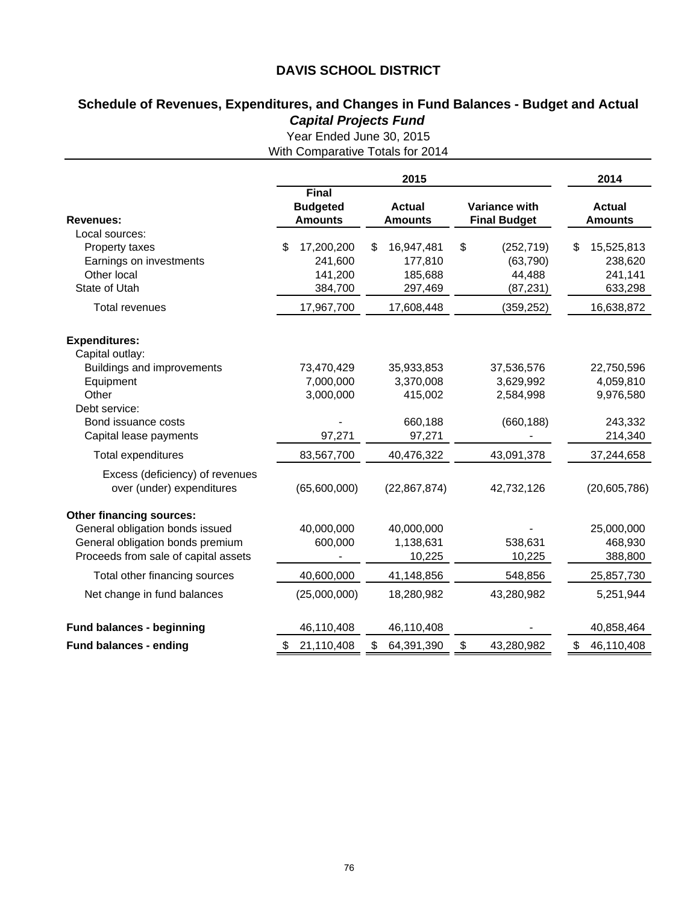# **Schedule of Revenues, Expenditures, and Changes in Fund Balances - Budget and Actual** *Capital Projects Fund*

Year Ended June 30, 2015

With Comparative Totals for 2014

|                                                                                                                                                |                                                   | 2015                                              |                                                      | 2014                                              |  |
|------------------------------------------------------------------------------------------------------------------------------------------------|---------------------------------------------------|---------------------------------------------------|------------------------------------------------------|---------------------------------------------------|--|
| <b>Revenues:</b>                                                                                                                               | <b>Final</b><br><b>Budgeted</b><br><b>Amounts</b> | <b>Actual</b><br><b>Amounts</b>                   | <b>Variance with</b><br><b>Final Budget</b>          | <b>Actual</b><br><b>Amounts</b>                   |  |
| Local sources:<br>Property taxes<br>Earnings on investments<br>Other local<br>State of Utah                                                    | 17,200,200<br>S<br>241,600<br>141,200<br>384,700  | \$<br>16,947,481<br>177,810<br>185,688<br>297,469 | \$<br>(252, 719)<br>(63, 790)<br>44,488<br>(87, 231) | 15,525,813<br>\$<br>238,620<br>241,141<br>633,298 |  |
| <b>Total revenues</b>                                                                                                                          | 17,967,700                                        | 17,608,448                                        | (359, 252)                                           | 16,638,872                                        |  |
| <b>Expenditures:</b><br>Capital outlay:                                                                                                        |                                                   |                                                   |                                                      |                                                   |  |
| Buildings and improvements<br>Equipment<br>Other<br>Debt service:                                                                              | 73,470,429<br>7,000,000<br>3,000,000              | 35,933,853<br>3,370,008<br>415,002                | 37,536,576<br>3,629,992<br>2,584,998                 | 22,750,596<br>4,059,810<br>9,976,580              |  |
| Bond issuance costs<br>Capital lease payments                                                                                                  | 97,271                                            | 660,188<br>97,271                                 | (660, 188)                                           | 243,332<br>214,340                                |  |
| <b>Total expenditures</b>                                                                                                                      | 83,567,700                                        | 40,476,322                                        | 43,091,378                                           | 37,244,658                                        |  |
| Excess (deficiency) of revenues<br>over (under) expenditures                                                                                   | (65,600,000)                                      | (22, 867, 874)                                    | 42,732,126                                           | (20,605,786)                                      |  |
| <b>Other financing sources:</b><br>General obligation bonds issued<br>General obligation bonds premium<br>Proceeds from sale of capital assets | 40,000,000<br>600,000                             | 40,000,000<br>1,138,631<br>10,225                 | 538,631<br>10,225                                    | 25,000,000<br>468,930<br>388,800                  |  |
| Total other financing sources                                                                                                                  | 40,600,000                                        | 41,148,856                                        | 548,856                                              | 25,857,730                                        |  |
| Net change in fund balances                                                                                                                    | (25,000,000)                                      | 18,280,982                                        | 43,280,982                                           | 5,251,944                                         |  |
| <b>Fund balances - beginning</b>                                                                                                               | 46,110,408                                        | 46,110,408                                        |                                                      | 40,858,464                                        |  |
| <b>Fund balances - ending</b>                                                                                                                  | 21,110,408<br>\$                                  | 64,391,390<br>\$                                  | \$<br>43,280,982                                     | \$<br>46,110,408                                  |  |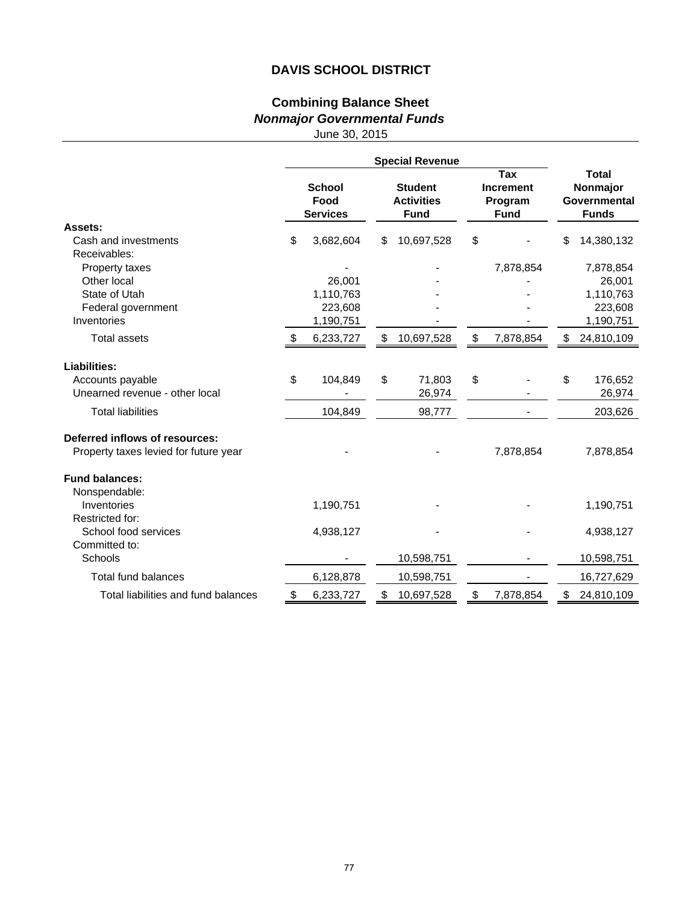# **Combining Balance Sheet** *Nonmajor Governmental Funds*

June 30, 2015

|                                       | <b>Special Revenue</b> |                                          |                                                    |            |                                                   |           |                                                                 |                     |
|---------------------------------------|------------------------|------------------------------------------|----------------------------------------------------|------------|---------------------------------------------------|-----------|-----------------------------------------------------------------|---------------------|
|                                       |                        | <b>School</b><br>Food<br><b>Services</b> | <b>Student</b><br><b>Activities</b><br><b>Fund</b> |            | Tax<br><b>Increment</b><br>Program<br><b>Fund</b> |           | <b>Total</b><br>Nonmajor<br><b>Governmental</b><br><b>Funds</b> |                     |
| Assets:                               |                        |                                          |                                                    |            |                                                   |           |                                                                 |                     |
| Cash and investments                  | \$                     | 3,682,604                                | \$                                                 | 10,697,528 | \$                                                |           | \$                                                              | 14,380,132          |
| Receivables:                          |                        |                                          |                                                    |            |                                                   |           |                                                                 |                     |
| Property taxes<br>Other local         |                        | 26,001                                   |                                                    |            |                                                   | 7,878,854 |                                                                 | 7,878,854<br>26,001 |
| State of Utah                         |                        | 1,110,763                                |                                                    |            |                                                   |           |                                                                 | 1,110,763           |
| Federal government                    |                        | 223,608                                  |                                                    |            |                                                   |           |                                                                 | 223,608             |
| Inventories                           |                        | 1,190,751                                |                                                    |            |                                                   |           |                                                                 | 1,190,751           |
| <b>Total assets</b>                   |                        | 6,233,727                                | \$                                                 | 10,697,528 | \$                                                | 7,878,854 | \$                                                              | 24,810,109          |
| <b>Liabilities:</b>                   |                        |                                          |                                                    |            |                                                   |           |                                                                 |                     |
| Accounts payable                      | \$                     | 104,849                                  | \$                                                 | 71,803     | \$                                                |           | \$                                                              | 176,652             |
| Unearned revenue - other local        |                        |                                          |                                                    | 26,974     |                                                   |           |                                                                 | 26,974              |
| <b>Total liabilities</b>              |                        | 104,849                                  |                                                    | 98,777     |                                                   |           |                                                                 | 203,626             |
| Deferred inflows of resources:        |                        |                                          |                                                    |            |                                                   |           |                                                                 |                     |
| Property taxes levied for future year |                        |                                          |                                                    |            |                                                   | 7,878,854 |                                                                 | 7,878,854           |
| <b>Fund balances:</b>                 |                        |                                          |                                                    |            |                                                   |           |                                                                 |                     |
| Nonspendable:                         |                        |                                          |                                                    |            |                                                   |           |                                                                 |                     |
| Inventories                           |                        | 1,190,751                                |                                                    |            |                                                   |           |                                                                 | 1,190,751           |
| Restricted for:                       |                        |                                          |                                                    |            |                                                   |           |                                                                 |                     |
| School food services<br>Committed to: |                        | 4,938,127                                |                                                    |            |                                                   |           |                                                                 | 4,938,127           |
| Schools                               |                        |                                          |                                                    | 10,598,751 |                                                   |           |                                                                 | 10,598,751          |
| <b>Total fund balances</b>            |                        | 6,128,878                                |                                                    | 10,598,751 |                                                   |           |                                                                 | 16,727,629          |
| Total liabilities and fund balances   | \$                     | 6,233,727                                | \$                                                 | 10,697,528 | \$                                                | 7,878,854 | \$                                                              | 24,810,109          |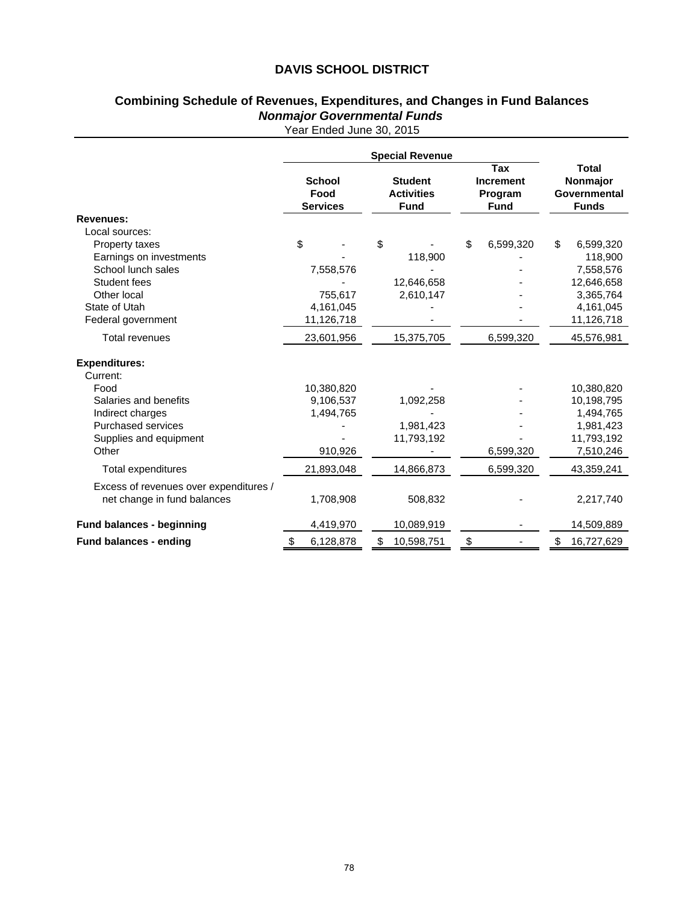### **Combining Schedule of Revenues, Expenditures, and Changes in Fund Balances** *Nonmajor Governmental Funds*

| Year Ended June 30, 2015 |  |
|--------------------------|--|
|                          |  |

|                                                                       | <b>Special Revenue</b>                   |            |                                                                                                         |            |    |                                                                 |    |            |
|-----------------------------------------------------------------------|------------------------------------------|------------|---------------------------------------------------------------------------------------------------------|------------|----|-----------------------------------------------------------------|----|------------|
|                                                                       | <b>School</b><br>Food<br><b>Services</b> |            | Tax<br><b>Student</b><br><b>Increment</b><br><b>Activities</b><br>Program<br><b>Fund</b><br><b>Fund</b> |            |    | <b>Total</b><br>Nonmajor<br><b>Governmental</b><br><b>Funds</b> |    |            |
| <b>Revenues:</b>                                                      |                                          |            |                                                                                                         |            |    |                                                                 |    |            |
| Local sources:                                                        |                                          |            |                                                                                                         |            |    |                                                                 |    |            |
| Property taxes                                                        | \$                                       |            | \$                                                                                                      |            | \$ | 6,599,320                                                       | \$ | 6,599,320  |
| Earnings on investments                                               |                                          |            |                                                                                                         | 118,900    |    |                                                                 |    | 118,900    |
| School lunch sales                                                    |                                          | 7,558,576  |                                                                                                         |            |    |                                                                 |    | 7,558,576  |
| Student fees                                                          |                                          |            |                                                                                                         | 12,646,658 |    |                                                                 |    | 12,646,658 |
| Other local                                                           |                                          | 755,617    |                                                                                                         | 2,610,147  |    |                                                                 |    | 3,365,764  |
| State of Utah                                                         |                                          | 4,161,045  |                                                                                                         |            |    |                                                                 |    | 4,161,045  |
| Federal government                                                    |                                          | 11,126,718 |                                                                                                         |            |    |                                                                 |    | 11,126,718 |
| <b>Total revenues</b>                                                 |                                          | 23,601,956 |                                                                                                         | 15,375,705 |    | 6,599,320                                                       |    | 45,576,981 |
| <b>Expenditures:</b>                                                  |                                          |            |                                                                                                         |            |    |                                                                 |    |            |
| Current:                                                              |                                          |            |                                                                                                         |            |    |                                                                 |    |            |
| Food                                                                  |                                          | 10,380,820 |                                                                                                         |            |    |                                                                 |    | 10,380,820 |
| Salaries and benefits                                                 |                                          | 9,106,537  |                                                                                                         | 1,092,258  |    |                                                                 |    | 10,198,795 |
| Indirect charges                                                      |                                          | 1,494,765  |                                                                                                         |            |    |                                                                 |    | 1,494,765  |
| <b>Purchased services</b>                                             |                                          |            |                                                                                                         | 1,981,423  |    |                                                                 |    | 1,981,423  |
| Supplies and equipment                                                |                                          |            |                                                                                                         | 11,793,192 |    |                                                                 |    | 11,793,192 |
| Other                                                                 |                                          | 910,926    |                                                                                                         |            |    | 6,599,320                                                       |    | 7,510,246  |
| Total expenditures                                                    |                                          | 21,893,048 |                                                                                                         | 14,866,873 |    | 6,599,320                                                       |    | 43,359,241 |
| Excess of revenues over expenditures /<br>net change in fund balances |                                          | 1,708,908  |                                                                                                         | 508,832    |    |                                                                 |    | 2,217,740  |
| <b>Fund balances - beginning</b>                                      |                                          | 4,419,970  |                                                                                                         | 10,089,919 |    |                                                                 |    | 14,509,889 |
| <b>Fund balances - ending</b>                                         | \$                                       | 6,128,878  | \$                                                                                                      | 10,598,751 | \$ |                                                                 | \$ | 16,727,629 |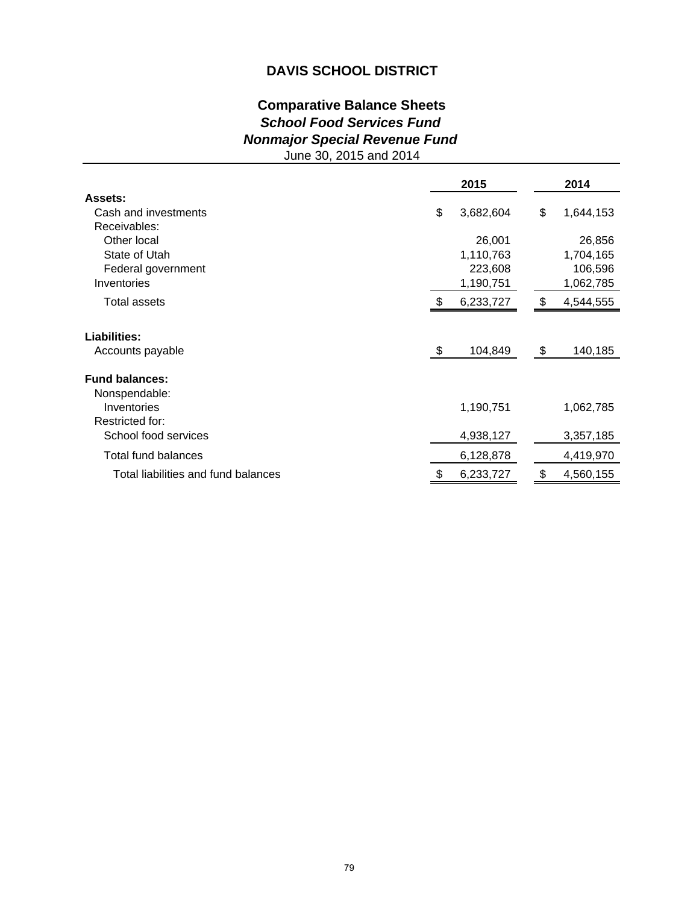# *Nonmajor Special Revenue Fund* **Comparative Balance Sheets** *School Food Services Fund* June 30, 2015 and 2014

|                                     |    | 2014      |    |           |
|-------------------------------------|----|-----------|----|-----------|
| <b>Assets:</b>                      |    |           |    |           |
| Cash and investments                | \$ | 3,682,604 | \$ | 1,644,153 |
| Receivables:                        |    |           |    |           |
| Other local                         |    | 26,001    |    | 26,856    |
| State of Utah                       |    | 1,110,763 |    | 1,704,165 |
| Federal government                  |    | 223,608   |    | 106,596   |
| Inventories                         |    | 1,190,751 |    | 1,062,785 |
| Total assets                        |    | 6,233,727 |    | 4,544,555 |
| Liabilities:                        |    |           |    |           |
| Accounts payable                    | \$ | 104,849   | \$ | 140,185   |
| <b>Fund balances:</b>               |    |           |    |           |
| Nonspendable:                       |    |           |    |           |
| Inventories                         |    | 1,190,751 |    | 1,062,785 |
| Restricted for:                     |    |           |    |           |
| School food services                |    | 4,938,127 |    | 3,357,185 |
| <b>Total fund balances</b>          |    | 6,128,878 |    | 4,419,970 |
| Total liabilities and fund balances | \$ | 6,233,727 | \$ | 4,560,155 |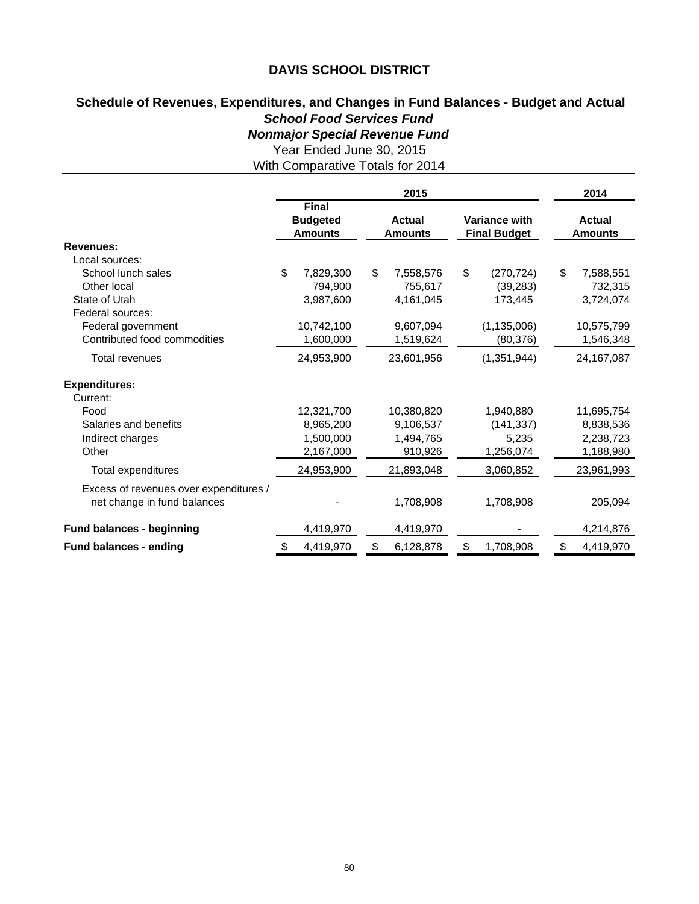# **Schedule of Revenues, Expenditures, and Changes in Fund Balances - Budget and Actual** *School Food Services Fund Nonmajor Special Revenue Fund*

Year Ended June 30, 2015

With Comparative Totals for 2014

|                                                                       | 2015 |                                                   |    |                                 | 2014 |                                             |    |                                 |  |
|-----------------------------------------------------------------------|------|---------------------------------------------------|----|---------------------------------|------|---------------------------------------------|----|---------------------------------|--|
|                                                                       |      | <b>Final</b><br><b>Budgeted</b><br><b>Amounts</b> |    | <b>Actual</b><br><b>Amounts</b> |      | <b>Variance with</b><br><b>Final Budget</b> |    | <b>Actual</b><br><b>Amounts</b> |  |
| <b>Revenues:</b>                                                      |      |                                                   |    |                                 |      |                                             |    |                                 |  |
| Local sources:                                                        |      |                                                   |    |                                 |      |                                             |    |                                 |  |
| School lunch sales                                                    | \$   | 7,829,300                                         | \$ | 7,558,576                       | \$   | (270, 724)                                  | \$ | 7,588,551                       |  |
| Other local                                                           |      | 794.900                                           |    | 755,617                         |      | (39, 283)                                   |    | 732,315                         |  |
| State of Utah                                                         |      | 3,987,600                                         |    | 4,161,045                       |      | 173,445                                     |    | 3,724,074                       |  |
| Federal sources:                                                      |      |                                                   |    |                                 |      |                                             |    |                                 |  |
| Federal government                                                    |      | 10,742,100                                        |    | 9,607,094                       |      | (1, 135, 006)                               |    | 10,575,799                      |  |
| Contributed food commodities                                          |      | 1,600,000                                         |    | 1,519,624                       |      | (80, 376)                                   |    | 1,546,348                       |  |
| <b>Total revenues</b>                                                 |      | 24,953,900                                        |    | 23,601,956                      |      | (1, 351, 944)                               |    | 24,167,087                      |  |
| <b>Expenditures:</b>                                                  |      |                                                   |    |                                 |      |                                             |    |                                 |  |
| Current:                                                              |      |                                                   |    |                                 |      |                                             |    |                                 |  |
| Food                                                                  |      | 12,321,700                                        |    | 10,380,820                      |      | 1,940,880                                   |    | 11,695,754                      |  |
| Salaries and benefits                                                 |      | 8,965,200                                         |    | 9,106,537                       |      | (141, 337)                                  |    | 8,838,536                       |  |
| Indirect charges                                                      |      | 1,500,000                                         |    | 1,494,765                       |      | 5,235                                       |    | 2,238,723                       |  |
| Other                                                                 |      | 2,167,000                                         |    | 910,926                         |      | 1,256,074                                   |    | 1,188,980                       |  |
| Total expenditures                                                    |      | 24,953,900                                        |    | 21,893,048                      |      | 3,060,852                                   |    | 23,961,993                      |  |
| Excess of revenues over expenditures /<br>net change in fund balances |      |                                                   |    | 1,708,908                       |      | 1,708,908                                   |    | 205,094                         |  |
| <b>Fund balances - beginning</b>                                      |      | 4,419,970                                         |    | 4,419,970                       |      |                                             |    | 4,214,876                       |  |
| <b>Fund balances - ending</b>                                         | \$   | 4,419,970                                         | \$ | 6,128,878                       | \$   | 1,708,908                                   | \$ | 4,419,970                       |  |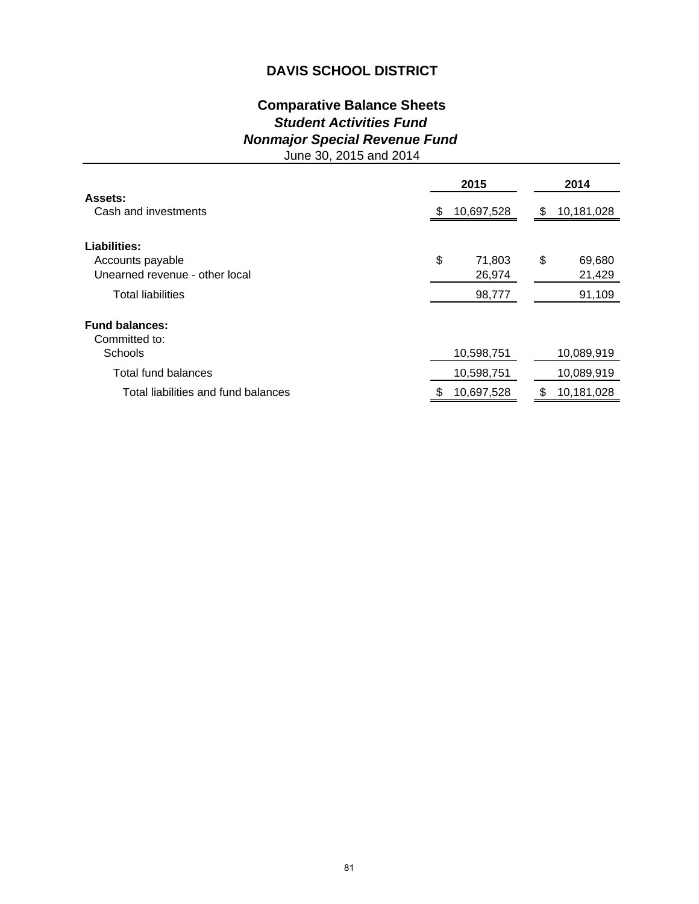# *Nonmajor Special Revenue Fund* June 30, 2015 and 2014 **Comparative Balance Sheets** *Student Activities Fund*

|                                                    | 2015                   | 2014                   |
|----------------------------------------------------|------------------------|------------------------|
| Assets:<br>Cash and investments                    | 10,697,528<br>S        | 10,181,028<br>\$       |
| <b>Liabilities:</b>                                |                        |                        |
| Accounts payable<br>Unearned revenue - other local | \$<br>71,803<br>26,974 | \$<br>69,680<br>21,429 |
| <b>Total liabilities</b>                           | 98,777                 | 91,109                 |
| <b>Fund balances:</b><br>Committed to:             |                        |                        |
| Schools                                            | 10,598,751             | 10,089,919             |
| Total fund balances                                | 10,598,751             | 10,089,919             |
| Total liabilities and fund balances                | 10,697,528             | 10,181,028             |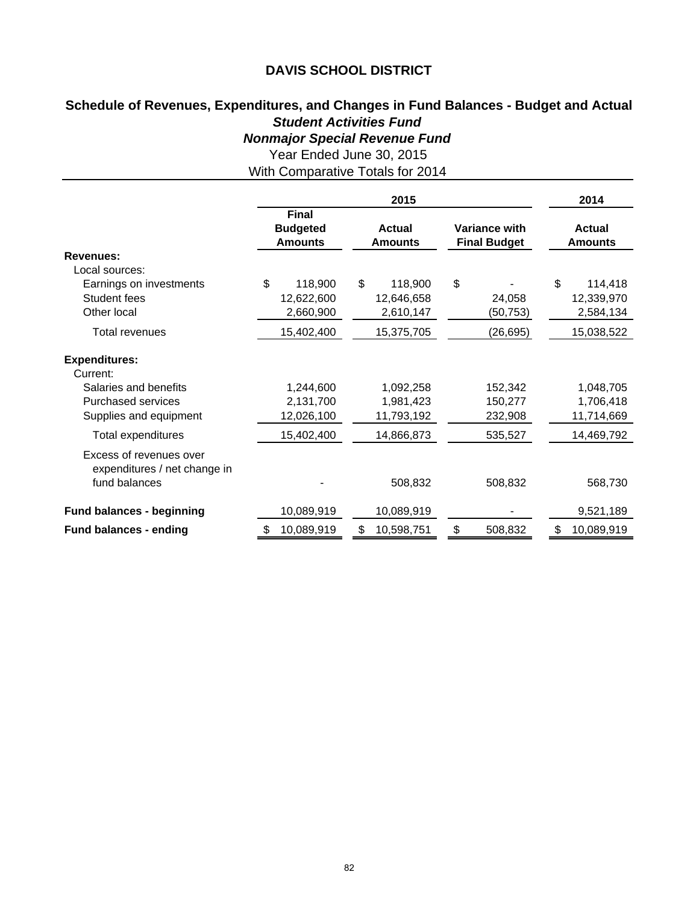# **Schedule of Revenues, Expenditures, and Changes in Fund Balances - Budget and Actual** *Student Activities Fund Nonmajor Special Revenue Fund*

Year Ended June 30, 2015

With Comparative Totals for 2014

|                                                                                        |                                                   | 2014                                     |                                             |                                          |  |
|----------------------------------------------------------------------------------------|---------------------------------------------------|------------------------------------------|---------------------------------------------|------------------------------------------|--|
|                                                                                        | <b>Final</b><br><b>Budgeted</b><br><b>Amounts</b> | <b>Actual</b><br><b>Amounts</b>          | <b>Variance with</b><br><b>Final Budget</b> | Actual<br><b>Amounts</b>                 |  |
| <b>Revenues:</b><br>Local sources:                                                     |                                                   |                                          |                                             |                                          |  |
| Earnings on investments<br>Student fees<br>Other local                                 | \$<br>118,900<br>12,622,600<br>2,660,900          | \$<br>118,900<br>12,646,658<br>2,610,147 | \$<br>24,058<br>(50,753)                    | \$<br>114,418<br>12,339,970<br>2,584,134 |  |
| Total revenues                                                                         | 15,402,400                                        | 15,375,705                               | (26, 695)                                   | 15,038,522                               |  |
| <b>Expenditures:</b><br>Current:<br>Salaries and benefits<br><b>Purchased services</b> | 1,244,600<br>2,131,700                            | 1,092,258<br>1,981,423                   | 152,342<br>150,277                          | 1,048,705<br>1,706,418                   |  |
| Supplies and equipment                                                                 | 12,026,100                                        | 11,793,192                               | 232,908                                     | 11,714,669                               |  |
| Total expenditures                                                                     | 15,402,400                                        | 14,866,873                               | 535,527                                     | 14,469,792                               |  |
| Excess of revenues over<br>expenditures / net change in<br>fund balances               |                                                   | 508,832                                  | 508,832                                     | 568,730                                  |  |
| <b>Fund balances - beginning</b>                                                       | 10,089,919                                        | 10,089,919                               |                                             | 9,521,189                                |  |
| <b>Fund balances - ending</b>                                                          | 10,089,919<br>P.                                  | 10,598,751<br>\$                         | \$<br>508,832                               | 10,089,919<br>\$                         |  |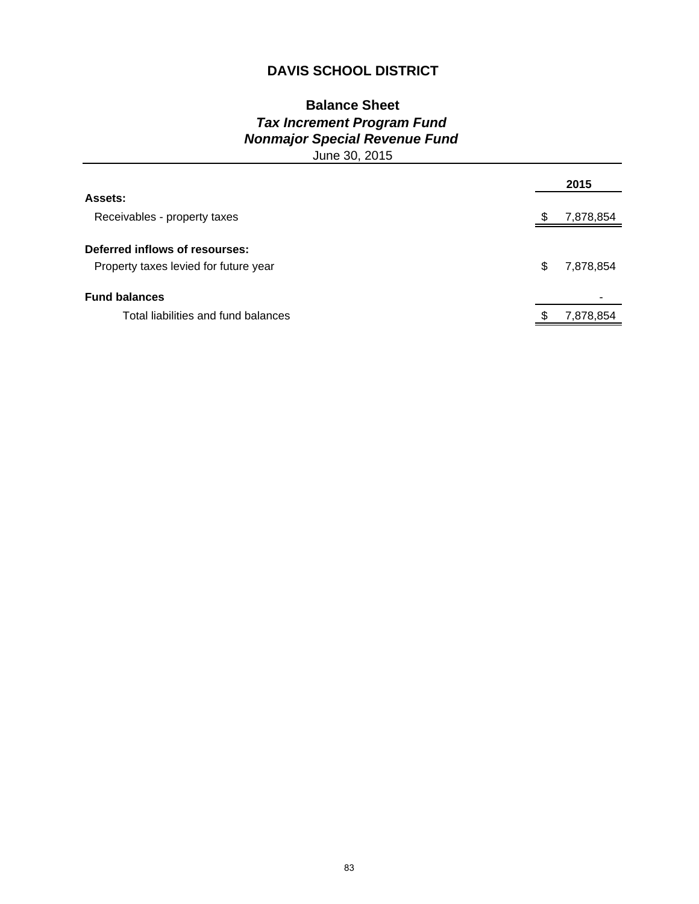# **Balance Sheet** *Tax Increment Program Fund Nonmajor Special Revenue Fund* June 30, 2015

|                                                                         | 2015            |
|-------------------------------------------------------------------------|-----------------|
| <b>Assets:</b>                                                          |                 |
| Receivables - property taxes                                            | \$<br>7,878,854 |
| Deferred inflows of resourses:<br>Property taxes levied for future year | \$<br>7,878,854 |
| <b>Fund balances</b>                                                    |                 |
| Total liabilities and fund balances                                     | 7,878,854       |